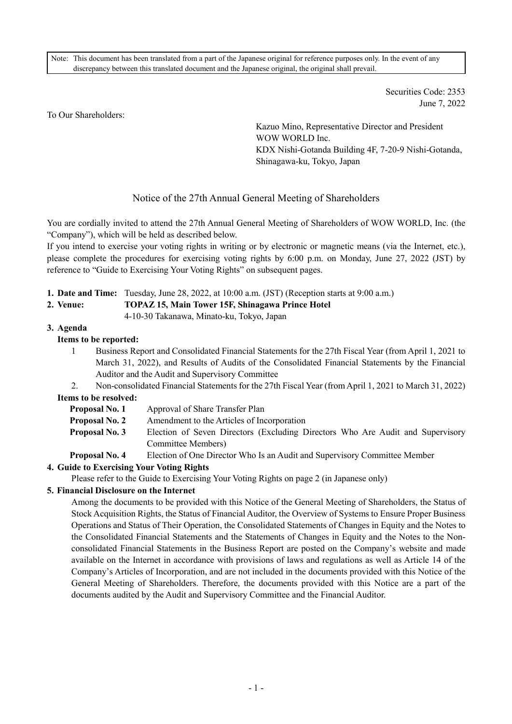Note: This document has been translated from a part of the Japanese original for reference purposes only. In the event of any discrepancy between this translated document and the Japanese original, the original shall prevail.

> Securities Code: 2353 June 7, 2022

To Our Shareholders:

Kazuo Mino, Representative Director and President WOW WORLD Inc. KDX Nishi-Gotanda Building 4F, 7-20-9 Nishi-Gotanda, Shinagawa-ku, Tokyo, Japan

# Notice of the 27th Annual General Meeting of Shareholders

You are cordially invited to attend the 27th Annual General Meeting of Shareholders of WOW WORLD, Inc. (the "Company"), which will be held as described below.

If you intend to exercise your voting rights in writing or by electronic or magnetic means (via the Internet, etc.), please complete the procedures for exercising voting rights by 6:00 p.m. on Monday, June 27, 2022 (JST) by reference to "Guide to Exercising Your Voting Rights" on subsequent pages.

**1. Date and Time:** Tuesday, June 28, 2022, at 10:00 a.m. (JST) (Reception starts at 9:00 a.m.)

# **2. Venue: TOPAZ 15, Main Tower 15F, Shinagawa Prince Hotel**

4-10-30 Takanawa, Minato-ku, Tokyo, Japan

# **3. Agenda**

# **Items to be reported:**

- 1 Business Report and Consolidated Financial Statements for the 27th Fiscal Year (from April 1, 2021 to March 31, 2022), and Results of Audits of the Consolidated Financial Statements by the Financial Auditor and the Audit and Supervisory Committee
- 2. Non-consolidated Financial Statements for the 27th Fiscal Year (from April 1, 2021 to March 31, 2022) **Items to be resolved:**

| ichis tu be resurveu. |                                 |
|-----------------------|---------------------------------|
| Proposal No. 1        | Approval of Share Transfer Plan |

- **Proposal No. 2** Amendment to the Articles of Incorporation
- **Proposal No. 3** Election of Seven Directors (Excluding Directors Who Are Audit and Supervisory Committee Members)
- **Proposal No. 4** Election of One Director Who Is an Audit and Supervisory Committee Member

# **4. Guide to Exercising Your Voting Rights**

Please refer to the Guide to Exercising Your Voting Rights on page 2 (in Japanese only)

#### **5. Financial Disclosure on the Internet**

Among the documents to be provided with this Notice of the General Meeting of Shareholders, the Status of Stock Acquisition Rights, the Status of Financial Auditor, the Overview of Systems to Ensure Proper Business Operations and Status of Their Operation, the Consolidated Statements of Changes in Equity and the Notes to the Consolidated Financial Statements and the Statements of Changes in Equity and the Notes to the Nonconsolidated Financial Statements in the Business Report are posted on the Company's website and made available on the Internet in accordance with provisions of laws and regulations as well as Article 14 of the Company's Articles of Incorporation, and are not included in the documents provided with this Notice of the General Meeting of Shareholders. Therefore, the documents provided with this Notice are a part of the documents audited by the Audit and Supervisory Committee and the Financial Auditor.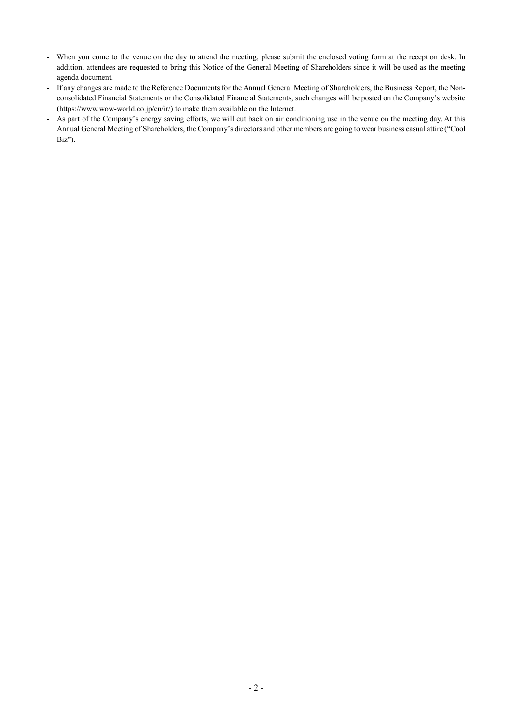- When you come to the venue on the day to attend the meeting, please submit the enclosed voting form at the reception desk. In addition, attendees are requested to bring this Notice of the General Meeting of Shareholders since it will be used as the meeting agenda document.
- If any changes are made to the Reference Documents for the Annual General Meeting of Shareholders, the Business Report, the Nonconsolidated Financial Statements or the Consolidated Financial Statements, such changes will be posted on the Company's website (https://www.wow-world.co.jp/en/ir/) to make them available on the Internet.
- As part of the Company's energy saving efforts, we will cut back on air conditioning use in the venue on the meeting day. At this Annual General Meeting of Shareholders, the Company's directors and other members are going to wear business casual attire ("Cool Biz").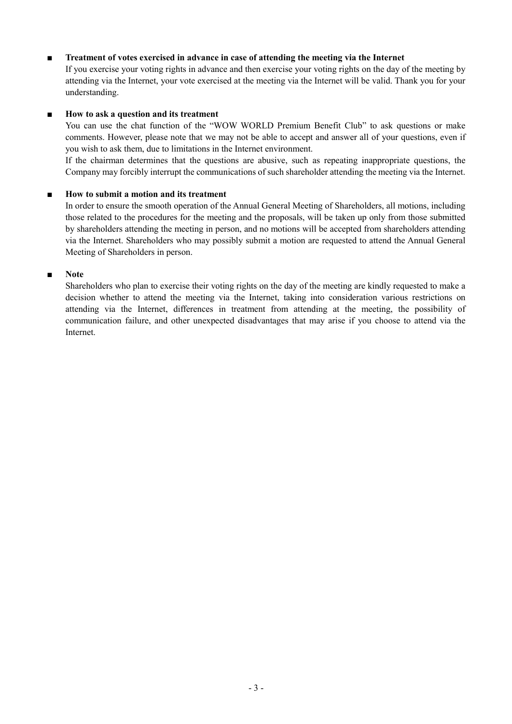# ■ **Treatment of votes exercised in advance in case of attending the meeting via the Internet**

If you exercise your voting rights in advance and then exercise your voting rights on the day of the meeting by attending via the Internet, your vote exercised at the meeting via the Internet will be valid. Thank you for your understanding.

#### ■ **How to ask a question and its treatment**

You can use the chat function of the "WOW WORLD Premium Benefit Club" to ask questions or make comments. However, please note that we may not be able to accept and answer all of your questions, even if you wish to ask them, due to limitations in the Internet environment.

If the chairman determines that the questions are abusive, such as repeating inappropriate questions, the Company may forcibly interrupt the communications of such shareholder attending the meeting via the Internet.

#### **■ How to submit a motion and its treatment**

In order to ensure the smooth operation of the Annual General Meeting of Shareholders, all motions, including those related to the procedures for the meeting and the proposals, will be taken up only from those submitted by shareholders attending the meeting in person, and no motions will be accepted from shareholders attending via the Internet. Shareholders who may possibly submit a motion are requested to attend the Annual General Meeting of Shareholders in person.

#### **■ Note**

Shareholders who plan to exercise their voting rights on the day of the meeting are kindly requested to make a decision whether to attend the meeting via the Internet, taking into consideration various restrictions on attending via the Internet, differences in treatment from attending at the meeting, the possibility of communication failure, and other unexpected disadvantages that may arise if you choose to attend via the Internet.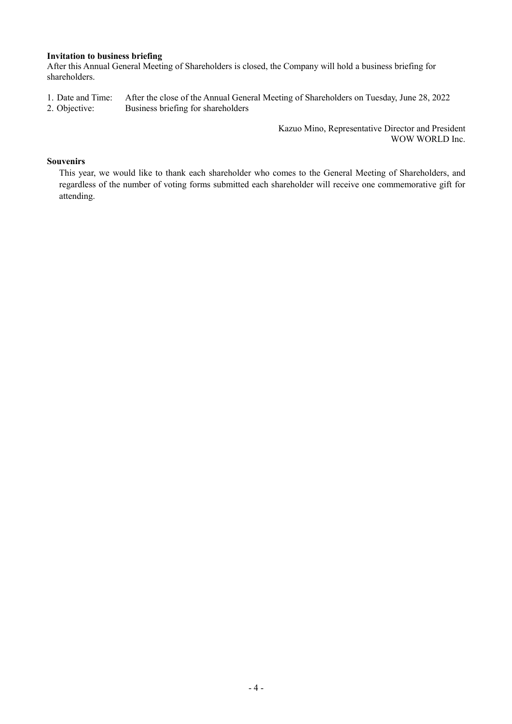#### **Invitation to business briefing**

After this Annual General Meeting of Shareholders is closed, the Company will hold a business briefing for shareholders.

- 1. Date and Time: After the close of the Annual General Meeting of Shareholders on Tuesday, June 28, 2022
- 2. Objective: Business briefing for shareholders

Kazuo Mino, Representative Director and President WOW WORLD Inc.

#### **Souvenirs**

This year, we would like to thank each shareholder who comes to the General Meeting of Shareholders, and regardless of the number of voting forms submitted each shareholder will receive one commemorative gift for attending.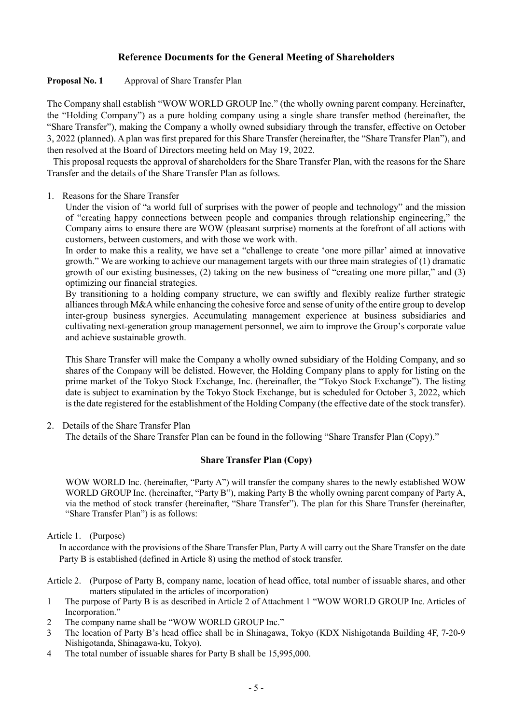# **Reference Documents for the General Meeting of Shareholders**

# **Proposal No. 1** Approval of Share Transfer Plan

The Company shall establish "WOW WORLD GROUP Inc." (the wholly owning parent company. Hereinafter, the "Holding Company") as a pure holding company using a single share transfer method (hereinafter, the "Share Transfer"), making the Company a wholly owned subsidiary through the transfer, effective on October 3, 2022 (planned). A plan was first prepared for this Share Transfer (hereinafter, the "Share Transfer Plan"), and then resolved at the Board of Directors meeting held on May 19, 2022.

This proposal requests the approval of shareholders for the Share Transfer Plan, with the reasons for the Share Transfer and the details of the Share Transfer Plan as follows.

#### 1. Reasons for the Share Transfer

Under the vision of "a world full of surprises with the power of people and technology" and the mission of "creating happy connections between people and companies through relationship engineering," the Company aims to ensure there are WOW (pleasant surprise) moments at the forefront of all actions with customers, between customers, and with those we work with.

In order to make this a reality, we have set a "challenge to create 'one more pillar' aimed at innovative growth." We are working to achieve our management targets with our three main strategies of (1) dramatic growth of our existing businesses, (2) taking on the new business of "creating one more pillar," and (3) optimizing our financial strategies.

By transitioning to a holding company structure, we can swiftly and flexibly realize further strategic alliances through M&A while enhancing the cohesive force and sense of unity of the entire group to develop inter-group business synergies. Accumulating management experience at business subsidiaries and cultivating next-generation group management personnel, we aim to improve the Group's corporate value and achieve sustainable growth.

This Share Transfer will make the Company a wholly owned subsidiary of the Holding Company, and so shares of the Company will be delisted. However, the Holding Company plans to apply for listing on the prime market of the Tokyo Stock Exchange, Inc. (hereinafter, the "Tokyo Stock Exchange"). The listing date is subject to examination by the Tokyo Stock Exchange, but is scheduled for October 3, 2022, which is the date registered for the establishment of the Holding Company (the effective date of the stock transfer).

2. Details of the Share Transfer Plan

The details of the Share Transfer Plan can be found in the following "Share Transfer Plan (Copy)."

#### **Share Transfer Plan (Copy)**

WOW WORLD Inc. (hereinafter, "Party A") will transfer the company shares to the newly established WOW WORLD GROUP Inc. (hereinafter, "Party B"), making Party B the wholly owning parent company of Party A, via the method of stock transfer (hereinafter, "Share Transfer"). The plan for this Share Transfer (hereinafter, "Share Transfer Plan") is as follows:

Article 1. (Purpose)

In accordance with the provisions of the Share Transfer Plan, Party A will carry out the Share Transfer on the date Party B is established (defined in Article 8) using the method of stock transfer.

Article 2. (Purpose of Party B, company name, location of head office, total number of issuable shares, and other matters stipulated in the articles of incorporation)

- 1 The purpose of Party B is as described in Article 2 of Attachment 1 "WOW WORLD GROUP Inc. Articles of Incorporation."
- 2 The company name shall be "WOW WORLD GROUP Inc."
- 3 The location of Party B's head office shall be in Shinagawa, Tokyo (KDX Nishigotanda Building 4F, 7-20-9 Nishigotanda, Shinagawa-ku, Tokyo).
- 4 The total number of issuable shares for Party B shall be 15,995,000.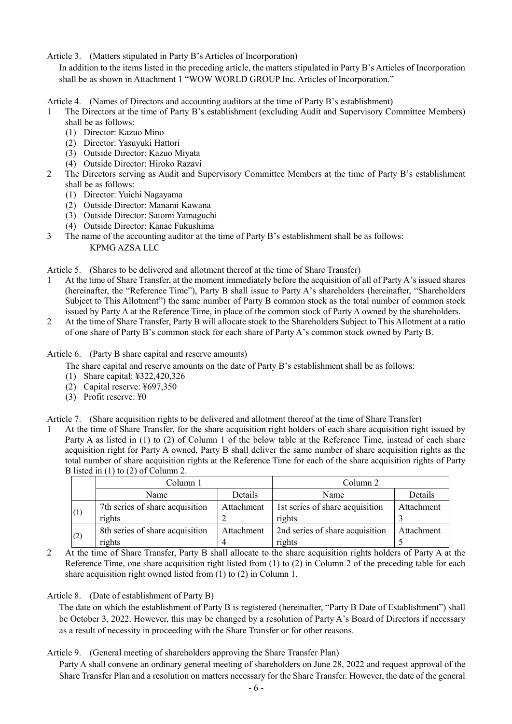Article 3. (Matters stipulated in Party B's Articles of Incorporation)

In addition to the items listed in the preceding article, the matters stipulated in Party B's Articles of Incorporation shall be as shown in Attachment 1 "WOW WORLD GROUP Inc. Articles of Incorporation."

Article 4. (Names of Directors and accounting auditors at the time of Party B's establishment)

- 1 The Directors at the time of Party B's establishment (excluding Audit and Supervisory Committee Members) shall be as follows:
	- (1) Director: Kazuo Mino
	- (2) Director: Yasuyuki Hattori
	- (3) Outside Director: Kazuo Miyata
	- (4) Outside Director: Hiroko Razavi
- 2 The Directors serving as Audit and Supervisory Committee Members at the time of Party B's establishment shall be as follows:
	- (1) Director: Yuichi Nagayama
	- (2) Outside Director: Manami Kawana
	- (3) Outside Director: Satomi Yamaguchi
	- (4) Outside Director: Kanae Fukushima
- 3 The name of the accounting auditor at the time of Party B's establishment shall be as follows: KPMG AZSA LLC

Article 5. (Shares to be delivered and allotment thereof at the time of Share Transfer)

- 1 At the time of Share Transfer, at the moment immediately before the acquisition of all of Party A's issued shares (hereinafter, the "Reference Time"), Party B shall issue to Party A's shareholders (hereinafter, "Shareholders Subject to This Allotment") the same number of Party B common stock as the total number of common stock issued by Party A at the Reference Time, in place of the common stock of Party A owned by the shareholders.
- 2 At the time of Share Transfer, Party B will allocate stock to the Shareholders Subject to This Allotment at a ratio of one share of Party B's common stock for each share of Party A's common stock owned by Party B.

#### Article 6. (Party B share capital and reserve amounts)

The share capital and reserve amounts on the date of Party B's establishment shall be as follows:

- (1) Share capital: ¥322,420,326
- (2) Capital reserve: ¥697,350
- (3) Profit reserve: ¥0

Article 7. (Share acquisition rights to be delivered and allotment thereof at the time of Share Transfer)

1 At the time of Share Transfer, for the share acquisition right holders of each share acquisition right issued by Party A as listed in (1) to (2) of Column 1 of the below table at the Reference Time, instead of each share acquisition right for Party A owned, Party B shall deliver the same number of share acquisition rights as the total number of share acquisition rights at the Reference Time for each of the share acquisition rights of Party B listed in (1) to (2) of Column 2.

|     | Column 1                                  |            | Column 2                                  |            |  |  |
|-----|-------------------------------------------|------------|-------------------------------------------|------------|--|--|
|     | Details<br>Name                           |            | Name                                      | Details    |  |  |
| (1) | 7th series of share acquisition<br>rights | Attachment | 1st series of share acquisition<br>rights | Attachment |  |  |
| (2) | 8th series of share acquisition<br>rights | Attachment | 2nd series of share acquisition<br>rights | Attachment |  |  |

<sup>2</sup> At the time of Share Transfer, Party B shall allocate to the share acquisition rights holders of Party A at the Reference Time, one share acquisition right listed from (1) to (2) in Column 2 of the preceding table for each share acquisition right owned listed from (1) to (2) in Column 1.

Article 8. (Date of establishment of Party B)

The date on which the establishment of Party B is registered (hereinafter, "Party B Date of Establishment") shall be October 3, 2022. However, this may be changed by a resolution of Party A's Board of Directors if necessary as a result of necessity in proceeding with the Share Transfer or for other reasons.

Article 9. (General meeting of shareholders approving the Share Transfer Plan)

Party A shall convene an ordinary general meeting of shareholders on June 28, 2022 and request approval of the Share Transfer Plan and a resolution on matters necessary for the Share Transfer. However, the date of the general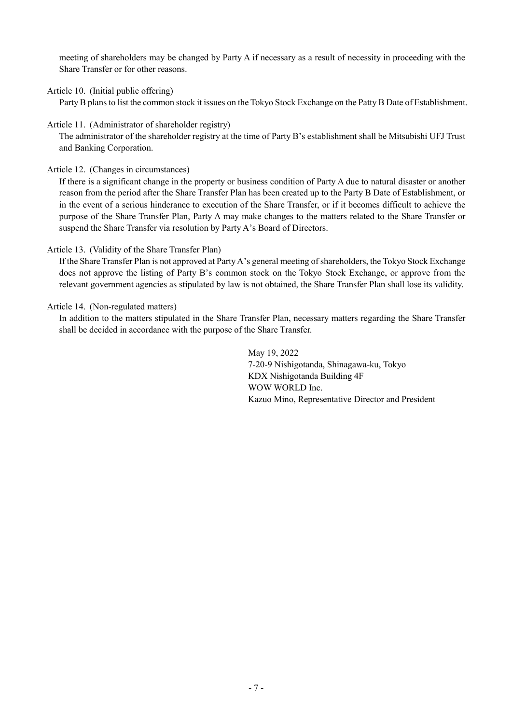meeting of shareholders may be changed by Party A if necessary as a result of necessity in proceeding with the Share Transfer or for other reasons.

Article 10. (Initial public offering)

Party B plans to list the common stock it issues on the Tokyo Stock Exchange on the Patty B Date of Establishment.

Article 11. (Administrator of shareholder registry)

The administrator of the shareholder registry at the time of Party B's establishment shall be Mitsubishi UFJ Trust and Banking Corporation.

Article 12. (Changes in circumstances)

If there is a significant change in the property or business condition of Party A due to natural disaster or another reason from the period after the Share Transfer Plan has been created up to the Party B Date of Establishment, or in the event of a serious hinderance to execution of the Share Transfer, or if it becomes difficult to achieve the purpose of the Share Transfer Plan, Party A may make changes to the matters related to the Share Transfer or suspend the Share Transfer via resolution by Party A's Board of Directors.

Article 13. (Validity of the Share Transfer Plan)

If the Share Transfer Plan is not approved at Party A's general meeting of shareholders, the Tokyo Stock Exchange does not approve the listing of Party B's common stock on the Tokyo Stock Exchange, or approve from the relevant government agencies as stipulated by law is not obtained, the Share Transfer Plan shall lose its validity.

Article 14. (Non-regulated matters)

In addition to the matters stipulated in the Share Transfer Plan, necessary matters regarding the Share Transfer shall be decided in accordance with the purpose of the Share Transfer.

> May 19, 2022 7-20-9 Nishigotanda, Shinagawa-ku, Tokyo KDX Nishigotanda Building 4F WOW WORLD Inc. Kazuo Mino, Representative Director and President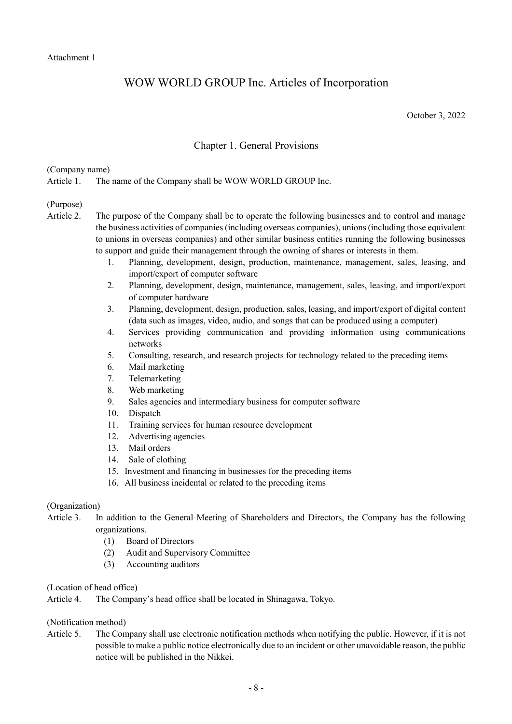# WOW WORLD GROUP Inc. Articles of Incorporation

October 3, 2022

# Chapter 1. General Provisions

(Company name)

Article 1. The name of the Company shall be WOW WORLD GROUP Inc.

#### (Purpose)

- Article 2. The purpose of the Company shall be to operate the following businesses and to control and manage the business activities of companies (including overseas companies), unions (including those equivalent to unions in overseas companies) and other similar business entities running the following businesses to support and guide their management through the owning of shares or interests in them.
	- 1. Planning, development, design, production, maintenance, management, sales, leasing, and import/export of computer software
	- 2. Planning, development, design, maintenance, management, sales, leasing, and import/export of computer hardware
	- 3. Planning, development, design, production, sales, leasing, and import/export of digital content (data such as images, video, audio, and songs that can be produced using a computer)
	- 4. Services providing communication and providing information using communications networks
	- 5. Consulting, research, and research projects for technology related to the preceding items
	- 6. Mail marketing
	- 7. Telemarketing
	- 8. Web marketing
	- 9. Sales agencies and intermediary business for computer software
	- 10. Dispatch
	- 11. Training services for human resource development
	- 12. Advertising agencies
	- 13. Mail orders
	- 14. Sale of clothing
	- 15. Investment and financing in businesses for the preceding items
	- 16. All business incidental or related to the preceding items

#### (Organization)

- Article 3. In addition to the General Meeting of Shareholders and Directors, the Company has the following organizations.
	- (1) Board of Directors
	- (2) Audit and Supervisory Committee
	- (3) Accounting auditors

#### (Location of head office)

Article 4. The Company's head office shall be located in Shinagawa, Tokyo.

#### (Notification method)

Article 5. The Company shall use electronic notification methods when notifying the public. However, if it is not possible to make a public notice electronically due to an incident or other unavoidable reason, the public notice will be published in the Nikkei.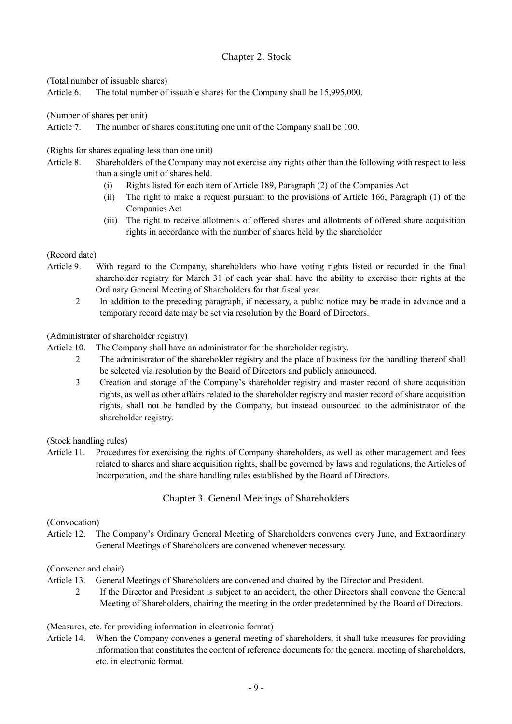# Chapter 2. Stock

(Total number of issuable shares)

Article 6. The total number of issuable shares for the Company shall be 15,995,000.

(Number of shares per unit)

Article 7. The number of shares constituting one unit of the Company shall be 100.

(Rights for shares equaling less than one unit)

- Article 8. Shareholders of the Company may not exercise any rights other than the following with respect to less than a single unit of shares held.
	- (i) Rights listed for each item of Article 189, Paragraph (2) of the Companies Act
	- (ii) The right to make a request pursuant to the provisions of Article 166, Paragraph (1) of the Companies Act
	- (iii) The right to receive allotments of offered shares and allotments of offered share acquisition rights in accordance with the number of shares held by the shareholder

# (Record date)

- Article 9. With regard to the Company, shareholders who have voting rights listed or recorded in the final shareholder registry for March 31 of each year shall have the ability to exercise their rights at the Ordinary General Meeting of Shareholders for that fiscal year.
	- 2 In addition to the preceding paragraph, if necessary, a public notice may be made in advance and a temporary record date may be set via resolution by the Board of Directors.

# (Administrator of shareholder registry)

Article 10. The Company shall have an administrator for the shareholder registry.

- 2 The administrator of the shareholder registry and the place of business for the handling thereof shall be selected via resolution by the Board of Directors and publicly announced.
- 3 Creation and storage of the Company's shareholder registry and master record of share acquisition rights, as well as other affairs related to the shareholder registry and master record of share acquisition rights, shall not be handled by the Company, but instead outsourced to the administrator of the shareholder registry.

(Stock handling rules)

Article 11. Procedures for exercising the rights of Company shareholders, as well as other management and fees related to shares and share acquisition rights, shall be governed by laws and regulations, the Articles of Incorporation, and the share handling rules established by the Board of Directors.

# Chapter 3. General Meetings of Shareholders

#### (Convocation)

Article 12. The Company's Ordinary General Meeting of Shareholders convenes every June, and Extraordinary General Meetings of Shareholders are convened whenever necessary.

#### (Convener and chair)

- Article 13. General Meetings of Shareholders are convened and chaired by the Director and President.
	- 2 If the Director and President is subject to an accident, the other Directors shall convene the General Meeting of Shareholders, chairing the meeting in the order predetermined by the Board of Directors.

#### (Measures, etc. for providing information in electronic format)

Article 14. When the Company convenes a general meeting of shareholders, it shall take measures for providing information that constitutes the content of reference documents for the general meeting of shareholders, etc. in electronic format.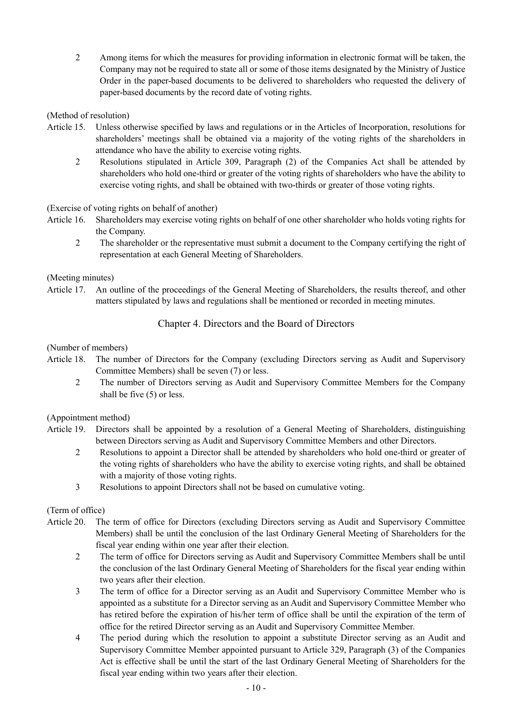2 Among items for which the measures for providing information in electronic format will be taken, the Company may not be required to state all or some of those items designated by the Ministry of Justice Order in the paper-based documents to be delivered to shareholders who requested the delivery of paper-based documents by the record date of voting rights.

# (Method of resolution)

- Article 15. Unless otherwise specified by laws and regulations or in the Articles of Incorporation, resolutions for shareholders' meetings shall be obtained via a majority of the voting rights of the shareholders in attendance who have the ability to exercise voting rights.
	- 2 Resolutions stipulated in Article 309, Paragraph (2) of the Companies Act shall be attended by shareholders who hold one-third or greater of the voting rights of shareholders who have the ability to exercise voting rights, and shall be obtained with two-thirds or greater of those voting rights.

#### (Exercise of voting rights on behalf of another)

- Article 16. Shareholders may exercise voting rights on behalf of one other shareholder who holds voting rights for the Company.
	- 2 The shareholder or the representative must submit a document to the Company certifying the right of representation at each General Meeting of Shareholders.

#### (Meeting minutes)

Article 17. An outline of the proceedings of the General Meeting of Shareholders, the results thereof, and other matters stipulated by laws and regulations shall be mentioned or recorded in meeting minutes.

# Chapter 4. Directors and the Board of Directors

#### (Number of members)

- Article 18. The number of Directors for the Company (excluding Directors serving as Audit and Supervisory Committee Members) shall be seven (7) or less.
	- 2 The number of Directors serving as Audit and Supervisory Committee Members for the Company shall be five (5) or less.

#### (Appointment method)

- Article 19. Directors shall be appointed by a resolution of a General Meeting of Shareholders, distinguishing between Directors serving as Audit and Supervisory Committee Members and other Directors.
	- 2 Resolutions to appoint a Director shall be attended by shareholders who hold one-third or greater of the voting rights of shareholders who have the ability to exercise voting rights, and shall be obtained with a majority of those voting rights.
	- 3 Resolutions to appoint Directors shall not be based on cumulative voting.

#### (Term of office)

- Article 20. The term of office for Directors (excluding Directors serving as Audit and Supervisory Committee Members) shall be until the conclusion of the last Ordinary General Meeting of Shareholders for the fiscal year ending within one year after their election.
	- 2 The term of office for Directors serving as Audit and Supervisory Committee Members shall be until the conclusion of the last Ordinary General Meeting of Shareholders for the fiscal year ending within two years after their election.
	- 3 The term of office for a Director serving as an Audit and Supervisory Committee Member who is appointed as a substitute for a Director serving as an Audit and Supervisory Committee Member who has retired before the expiration of his/her term of office shall be until the expiration of the term of office for the retired Director serving as an Audit and Supervisory Committee Member.
	- 4 The period during which the resolution to appoint a substitute Director serving as an Audit and Supervisory Committee Member appointed pursuant to Article 329, Paragraph (3) of the Companies Act is effective shall be until the start of the last Ordinary General Meeting of Shareholders for the fiscal year ending within two years after their election.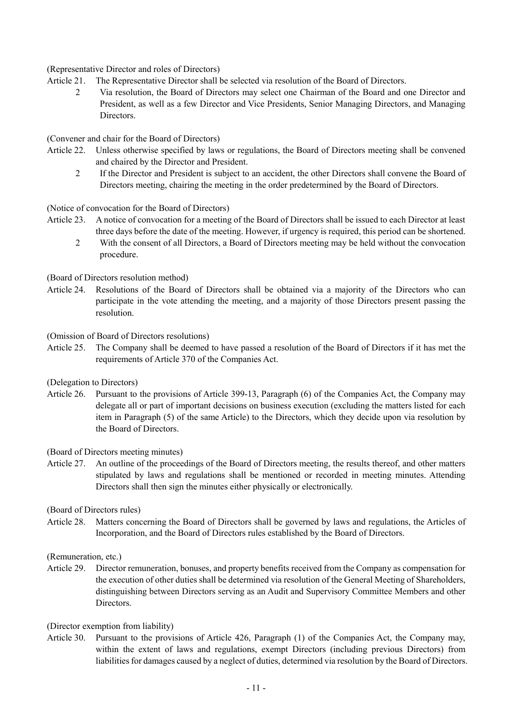(Representative Director and roles of Directors)

- Article 21. The Representative Director shall be selected via resolution of the Board of Directors.
	- 2 Via resolution, the Board of Directors may select one Chairman of the Board and one Director and President, as well as a few Director and Vice Presidents, Senior Managing Directors, and Managing Directors.

(Convener and chair for the Board of Directors)

- Article 22. Unless otherwise specified by laws or regulations, the Board of Directors meeting shall be convened and chaired by the Director and President.
	- 2 If the Director and President is subject to an accident, the other Directors shall convene the Board of Directors meeting, chairing the meeting in the order predetermined by the Board of Directors.

(Notice of convocation for the Board of Directors)

- Article 23. A notice of convocation for a meeting of the Board of Directors shall be issued to each Director at least three days before the date of the meeting. However, if urgency is required, this period can be shortened.
	- 2 With the consent of all Directors, a Board of Directors meeting may be held without the convocation procedure.

(Board of Directors resolution method)

Article 24. Resolutions of the Board of Directors shall be obtained via a majority of the Directors who can participate in the vote attending the meeting, and a majority of those Directors present passing the resolution.

(Omission of Board of Directors resolutions)

Article 25. The Company shall be deemed to have passed a resolution of the Board of Directors if it has met the requirements of Article 370 of the Companies Act.

(Delegation to Directors)

Article 26. Pursuant to the provisions of Article 399-13, Paragraph (6) of the Companies Act, the Company may delegate all or part of important decisions on business execution (excluding the matters listed for each item in Paragraph (5) of the same Article) to the Directors, which they decide upon via resolution by the Board of Directors.

(Board of Directors meeting minutes)

Article 27. An outline of the proceedings of the Board of Directors meeting, the results thereof, and other matters stipulated by laws and regulations shall be mentioned or recorded in meeting minutes. Attending Directors shall then sign the minutes either physically or electronically.

(Board of Directors rules)

Article 28. Matters concerning the Board of Directors shall be governed by laws and regulations, the Articles of Incorporation, and the Board of Directors rules established by the Board of Directors.

(Remuneration, etc.)

Article 29. Director remuneration, bonuses, and property benefits received from the Company as compensation for the execution of other duties shall be determined via resolution of the General Meeting of Shareholders, distinguishing between Directors serving as an Audit and Supervisory Committee Members and other Directors.

#### (Director exemption from liability)

Article 30. Pursuant to the provisions of Article 426, Paragraph (1) of the Companies Act, the Company may, within the extent of laws and regulations, exempt Directors (including previous Directors) from liabilities for damages caused by a neglect of duties, determined via resolution by the Board of Directors.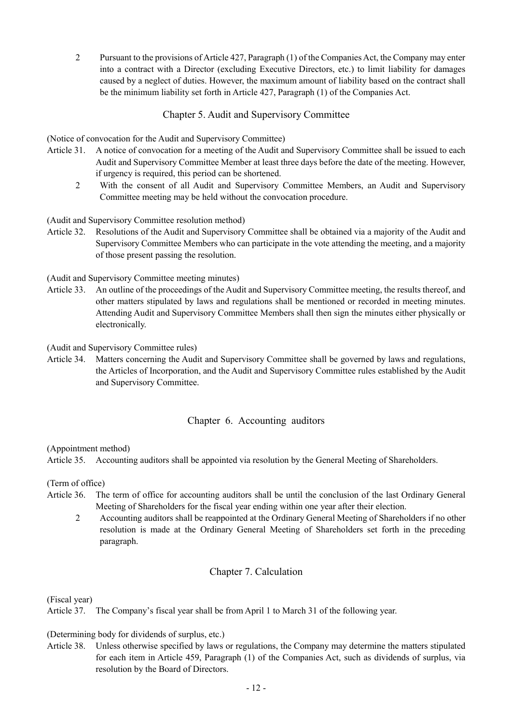2 Pursuant to the provisions of Article 427, Paragraph (1) of the Companies Act, the Company may enter into a contract with a Director (excluding Executive Directors, etc.) to limit liability for damages caused by a neglect of duties. However, the maximum amount of liability based on the contract shall be the minimum liability set forth in Article 427, Paragraph (1) of the Companies Act.

# Chapter 5. Audit and Supervisory Committee

(Notice of convocation for the Audit and Supervisory Committee)

- Article 31. A notice of convocation for a meeting of the Audit and Supervisory Committee shall be issued to each Audit and Supervisory Committee Member at least three days before the date of the meeting. However, if urgency is required, this period can be shortened.
	- 2 With the consent of all Audit and Supervisory Committee Members, an Audit and Supervisory Committee meeting may be held without the convocation procedure.

(Audit and Supervisory Committee resolution method)

Article 32. Resolutions of the Audit and Supervisory Committee shall be obtained via a majority of the Audit and Supervisory Committee Members who can participate in the vote attending the meeting, and a majority of those present passing the resolution.

(Audit and Supervisory Committee meeting minutes)

Article 33. An outline of the proceedings of the Audit and Supervisory Committee meeting, the results thereof, and other matters stipulated by laws and regulations shall be mentioned or recorded in meeting minutes. Attending Audit and Supervisory Committee Members shall then sign the minutes either physically or electronically.

(Audit and Supervisory Committee rules)

Article 34. Matters concerning the Audit and Supervisory Committee shall be governed by laws and regulations, the Articles of Incorporation, and the Audit and Supervisory Committee rules established by the Audit and Supervisory Committee.

#### Chapter 6. Accounting auditors

(Appointment method)

Article 35. Accounting auditors shall be appointed via resolution by the General Meeting of Shareholders.

(Term of office)

- Article 36. The term of office for accounting auditors shall be until the conclusion of the last Ordinary General Meeting of Shareholders for the fiscal year ending within one year after their election.
	- 2 Accounting auditors shall be reappointed at the Ordinary General Meeting of Shareholders if no other resolution is made at the Ordinary General Meeting of Shareholders set forth in the preceding paragraph.

#### Chapter 7. Calculation

(Fiscal year)

Article 37. The Company's fiscal year shall be from April 1 to March 31 of the following year.

(Determining body for dividends of surplus, etc.)

Article 38. Unless otherwise specified by laws or regulations, the Company may determine the matters stipulated for each item in Article 459, Paragraph (1) of the Companies Act, such as dividends of surplus, via resolution by the Board of Directors.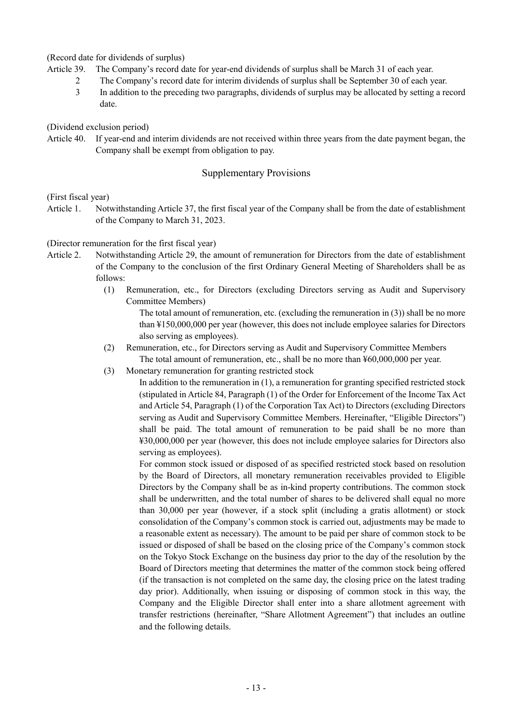# (Record date for dividends of surplus)

- Article 39. The Company's record date for year-end dividends of surplus shall be March 31 of each year.
	- 2 The Company's record date for interim dividends of surplus shall be September 30 of each year.
	- 3 In addition to the preceding two paragraphs, dividends of surplus may be allocated by setting a record date.

(Dividend exclusion period)

Article 40. If year-end and interim dividends are not received within three years from the date payment began, the Company shall be exempt from obligation to pay.

# Supplementary Provisions

# (First fiscal year)

Article 1. Notwithstanding Article 37, the first fiscal year of the Company shall be from the date of establishment of the Company to March 31, 2023.

#### (Director remuneration for the first fiscal year)

- Article 2. Notwithstanding Article 29, the amount of remuneration for Directors from the date of establishment of the Company to the conclusion of the first Ordinary General Meeting of Shareholders shall be as follows:
	- (1) Remuneration, etc., for Directors (excluding Directors serving as Audit and Supervisory Committee Members)

The total amount of remuneration, etc. (excluding the remuneration in (3)) shall be no more than ¥150,000,000 per year (however, this does not include employee salaries for Directors also serving as employees).

- (2) Remuneration, etc., for Directors serving as Audit and Supervisory Committee Members The total amount of remuneration, etc., shall be no more than ¥60,000,000 per year.
- (3) Monetary remuneration for granting restricted stock

In addition to the remuneration in (1), a remuneration for granting specified restricted stock (stipulated in Article 84, Paragraph (1) of the Order for Enforcement of the Income Tax Act and Article 54, Paragraph (1) of the Corporation Tax Act) to Directors (excluding Directors serving as Audit and Supervisory Committee Members. Hereinafter, "Eligible Directors") shall be paid. The total amount of remuneration to be paid shall be no more than ¥30,000,000 per year (however, this does not include employee salaries for Directors also serving as employees).

For common stock issued or disposed of as specified restricted stock based on resolution by the Board of Directors, all monetary remuneration receivables provided to Eligible Directors by the Company shall be as in-kind property contributions. The common stock shall be underwritten, and the total number of shares to be delivered shall equal no more than 30,000 per year (however, if a stock split (including a gratis allotment) or stock consolidation of the Company's common stock is carried out, adjustments may be made to a reasonable extent as necessary). The amount to be paid per share of common stock to be issued or disposed of shall be based on the closing price of the Company's common stock on the Tokyo Stock Exchange on the business day prior to the day of the resolution by the Board of Directors meeting that determines the matter of the common stock being offered (if the transaction is not completed on the same day, the closing price on the latest trading day prior). Additionally, when issuing or disposing of common stock in this way, the Company and the Eligible Director shall enter into a share allotment agreement with transfer restrictions (hereinafter, "Share Allotment Agreement") that includes an outline and the following details.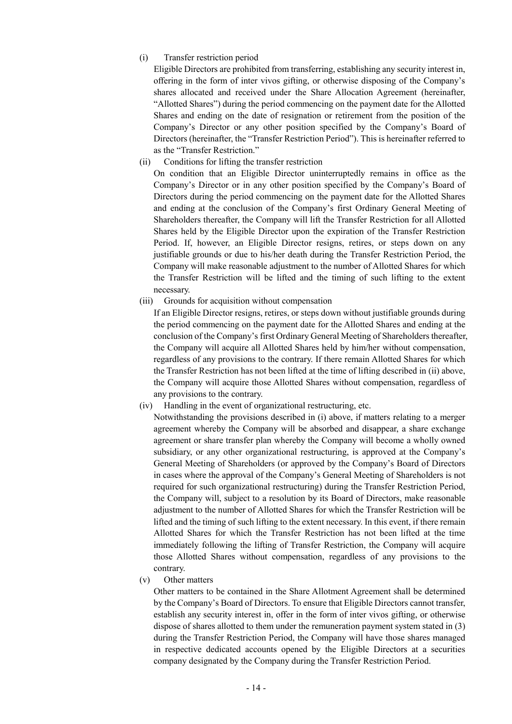#### (i) Transfer restriction period

Eligible Directors are prohibited from transferring, establishing any security interest in, offering in the form of inter vivos gifting, or otherwise disposing of the Company's shares allocated and received under the Share Allocation Agreement (hereinafter, "Allotted Shares") during the period commencing on the payment date for the Allotted Shares and ending on the date of resignation or retirement from the position of the Company's Director or any other position specified by the Company's Board of Directors (hereinafter, the "Transfer Restriction Period"). This is hereinafter referred to as the "Transfer Restriction."

#### (ii) Conditions for lifting the transfer restriction

On condition that an Eligible Director uninterruptedly remains in office as the Company's Director or in any other position specified by the Company's Board of Directors during the period commencing on the payment date for the Allotted Shares and ending at the conclusion of the Company's first Ordinary General Meeting of Shareholders thereafter, the Company will lift the Transfer Restriction for all Allotted Shares held by the Eligible Director upon the expiration of the Transfer Restriction Period. If, however, an Eligible Director resigns, retires, or steps down on any justifiable grounds or due to his/her death during the Transfer Restriction Period, the Company will make reasonable adjustment to the number of Allotted Shares for which the Transfer Restriction will be lifted and the timing of such lifting to the extent necessary.

(iii) Grounds for acquisition without compensation

If an Eligible Director resigns, retires, or steps down without justifiable grounds during the period commencing on the payment date for the Allotted Shares and ending at the conclusion of the Company's first Ordinary General Meeting of Shareholders thereafter, the Company will acquire all Allotted Shares held by him/her without compensation, regardless of any provisions to the contrary. If there remain Allotted Shares for which the Transfer Restriction has not been lifted at the time of lifting described in (ii) above, the Company will acquire those Allotted Shares without compensation, regardless of any provisions to the contrary.

(iv) Handling in the event of organizational restructuring, etc.

Notwithstanding the provisions described in (i) above, if matters relating to a merger agreement whereby the Company will be absorbed and disappear, a share exchange agreement or share transfer plan whereby the Company will become a wholly owned subsidiary, or any other organizational restructuring, is approved at the Company's General Meeting of Shareholders (or approved by the Company's Board of Directors in cases where the approval of the Company's General Meeting of Shareholders is not required for such organizational restructuring) during the Transfer Restriction Period, the Company will, subject to a resolution by its Board of Directors, make reasonable adjustment to the number of Allotted Shares for which the Transfer Restriction will be lifted and the timing of such lifting to the extent necessary. In this event, if there remain Allotted Shares for which the Transfer Restriction has not been lifted at the time immediately following the lifting of Transfer Restriction, the Company will acquire those Allotted Shares without compensation, regardless of any provisions to the contrary.

(v) Other matters

Other matters to be contained in the Share Allotment Agreement shall be determined by the Company's Board of Directors. To ensure that Eligible Directors cannot transfer, establish any security interest in, offer in the form of inter vivos gifting, or otherwise dispose of shares allotted to them under the remuneration payment system stated in (3) during the Transfer Restriction Period, the Company will have those shares managed in respective dedicated accounts opened by the Eligible Directors at a securities company designated by the Company during the Transfer Restriction Period.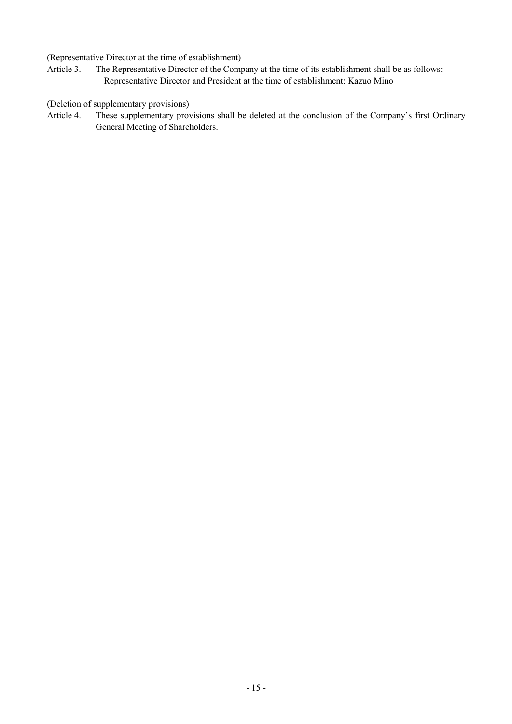(Representative Director at the time of establishment)

Article 3. The Representative Director of the Company at the time of its establishment shall be as follows: Representative Director and President at the time of establishment: Kazuo Mino

(Deletion of supplementary provisions)

Article 4. These supplementary provisions shall be deleted at the conclusion of the Company's first Ordinary General Meeting of Shareholders.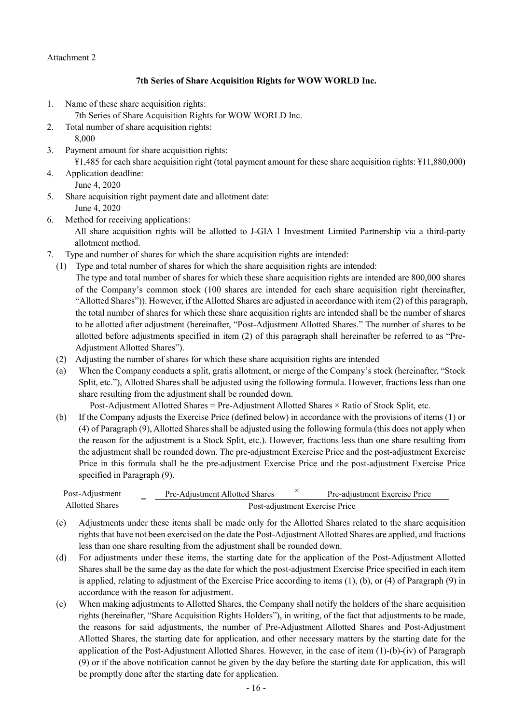#### Attachment 2

# **7th Series of Share Acquisition Rights for WOW WORLD Inc.**

- 1. Name of these share acquisition rights:
	- 7th Series of Share Acquisition Rights for WOW WORLD Inc.
- 2. Total number of share acquisition rights: 8,000
- 3. Payment amount for share acquisition rights:
- ¥1,485 for each share acquisition right (total payment amount for these share acquisition rights: ¥11,880,000)
- 4. Application deadline: June 4, 2020
- 5. Share acquisition right payment date and allotment date:
	- June 4, 2020
- 6. Method for receiving applications:

All share acquisition rights will be allotted to J-GIA 1 Investment Limited Partnership via a third-party allotment method.

- 7. Type and number of shares for which the share acquisition rights are intended:
	- (1) Type and total number of shares for which the share acquisition rights are intended: The type and total number of shares for which these share acquisition rights are intended are 800,000 shares of the Company's common stock (100 shares are intended for each share acquisition right (hereinafter, "Allotted Shares")). However, if the Allotted Shares are adjusted in accordance with item (2) of this paragraph, the total number of shares for which these share acquisition rights are intended shall be the number of shares to be allotted after adjustment (hereinafter, "Post-Adjustment Allotted Shares." The number of shares to be allotted before adjustments specified in item (2) of this paragraph shall hereinafter be referred to as "Pre-Adjustment Allotted Shares").
	- (2) Adjusting the number of shares for which these share acquisition rights are intended
	- (a) When the Company conducts a split, gratis allotment, or merge of the Company's stock (hereinafter, "Stock Split, etc."), Allotted Shares shall be adjusted using the following formula. However, fractions less than one share resulting from the adjustment shall be rounded down.

Post-Adjustment Allotted Shares = Pre-Adjustment Allotted Shares × Ratio of Stock Split, etc.

(b) If the Company adjusts the Exercise Price (defined below) in accordance with the provisions of items (1) or (4) of Paragraph (9), Allotted Shares shall be adjusted using the following formula (this does not apply when the reason for the adjustment is a Stock Split, etc.). However, fractions less than one share resulting from the adjustment shall be rounded down. The pre-adjustment Exercise Price and the post-adjustment Exercise Price in this formula shall be the pre-adjustment Exercise Price and the post-adjustment Exercise Price specified in Paragraph (9).

| Post-Adjustment | Pre-Adjustment Allotted Shares | Pre-adiustment Exercise Price  |
|-----------------|--------------------------------|--------------------------------|
| Allotted Shares |                                | Post-adjustment Exercise Price |

- (c) Adjustments under these items shall be made only for the Allotted Shares related to the share acquisition rights that have not been exercised on the date the Post-Adjustment Allotted Shares are applied, and fractions less than one share resulting from the adjustment shall be rounded down.
- (d) For adjustments under these items, the starting date for the application of the Post-Adjustment Allotted Shares shall be the same day as the date for which the post-adjustment Exercise Price specified in each item is applied, relating to adjustment of the Exercise Price according to items (1), (b), or (4) of Paragraph (9) in accordance with the reason for adjustment.
- (e) When making adjustments to Allotted Shares, the Company shall notify the holders of the share acquisition rights (hereinafter, "Share Acquisition Rights Holders"), in writing, of the fact that adjustments to be made, the reasons for said adjustments, the number of Pre-Adjustment Allotted Shares and Post-Adjustment Allotted Shares, the starting date for application, and other necessary matters by the starting date for the application of the Post-Adjustment Allotted Shares. However, in the case of item (1)-(b)-(iv) of Paragraph (9) or if the above notification cannot be given by the day before the starting date for application, this will be promptly done after the starting date for application.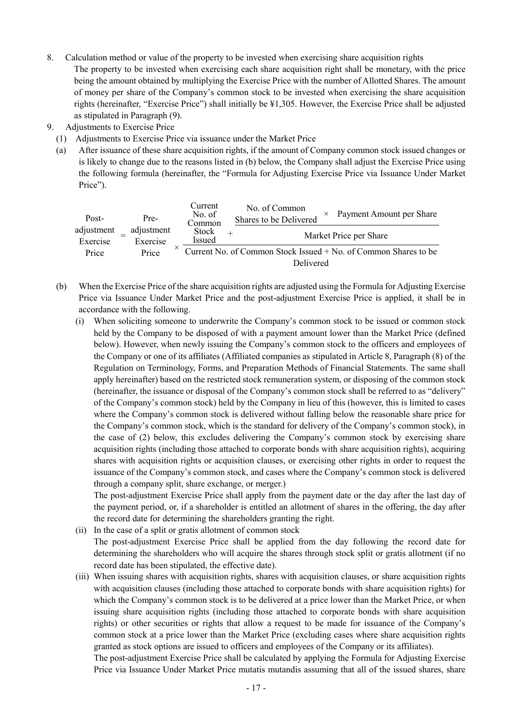- 8. Calculation method or value of the property to be invested when exercising share acquisition rights
	- The property to be invested when exercising each share acquisition right shall be monetary, with the price being the amount obtained by multiplying the Exercise Price with the number of Allotted Shares. The amount of money per share of the Company's common stock to be invested when exercising the share acquisition rights (hereinafter, "Exercise Price") shall initially be ¥1,305. However, the Exercise Price shall be adjusted as stipulated in Paragraph (9).
- 9. Adjustments to Exercise Price
	- (1) Adjustments to Exercise Price via issuance under the Market Price
	- (a) After issuance of these share acquisition rights, if the amount of Company common stock issued changes or is likely to change due to the reasons listed in (b) below, the Company shall adjust the Exercise Price using the following formula (hereinafter, the "Formula for Adjusting Exercise Price via Issuance Under Market Price").

| Post-                  | Pre-                   | Current<br>No. of<br>Common | No. of Common<br>Payment Amount per Share<br>Shares to be Delivered |
|------------------------|------------------------|-----------------------------|---------------------------------------------------------------------|
| adjustment<br>Exercise | adjustment<br>Exercise | Stock<br>Issued             | Market Price per Share                                              |
| Price                  | Price                  |                             | Current No. of Common Stock Issued + No. of Common Shares to be     |
|                        |                        |                             | Delivered                                                           |

- (b) When the Exercise Price of the share acquisition rights are adjusted using the Formula for Adjusting Exercise Price via Issuance Under Market Price and the post-adjustment Exercise Price is applied, it shall be in accordance with the following.
	- (i) When soliciting someone to underwrite the Company's common stock to be issued or common stock held by the Company to be disposed of with a payment amount lower than the Market Price (defined below). However, when newly issuing the Company's common stock to the officers and employees of the Company or one of its affiliates (Affiliated companies as stipulated in Article 8, Paragraph (8) of the Regulation on Terminology, Forms, and Preparation Methods of Financial Statements. The same shall apply hereinafter) based on the restricted stock remuneration system, or disposing of the common stock (hereinafter, the issuance or disposal of the Company's common stock shall be referred to as "delivery" of the Company's common stock) held by the Company in lieu of this (however, this is limited to cases where the Company's common stock is delivered without falling below the reasonable share price for the Company's common stock, which is the standard for delivery of the Company's common stock), in the case of (2) below, this excludes delivering the Company's common stock by exercising share acquisition rights (including those attached to corporate bonds with share acquisition rights), acquiring shares with acquisition rights or acquisition clauses, or exercising other rights in order to request the issuance of the Company's common stock, and cases where the Company's common stock is delivered through a company split, share exchange, or merger.)

The post-adjustment Exercise Price shall apply from the payment date or the day after the last day of the payment period, or, if a shareholder is entitled an allotment of shares in the offering, the day after the record date for determining the shareholders granting the right.

- (ii) In the case of a split or gratis allotment of common stock The post-adjustment Exercise Price shall be applied from the day following the record date for determining the shareholders who will acquire the shares through stock split or gratis allotment (if no record date has been stipulated, the effective date).
- (iii) When issuing shares with acquisition rights, shares with acquisition clauses, or share acquisition rights with acquisition clauses (including those attached to corporate bonds with share acquisition rights) for which the Company's common stock is to be delivered at a price lower than the Market Price, or when issuing share acquisition rights (including those attached to corporate bonds with share acquisition rights) or other securities or rights that allow a request to be made for issuance of the Company's common stock at a price lower than the Market Price (excluding cases where share acquisition rights granted as stock options are issued to officers and employees of the Company or its affiliates).

The post-adjustment Exercise Price shall be calculated by applying the Formula for Adjusting Exercise Price via Issuance Under Market Price mutatis mutandis assuming that all of the issued shares, share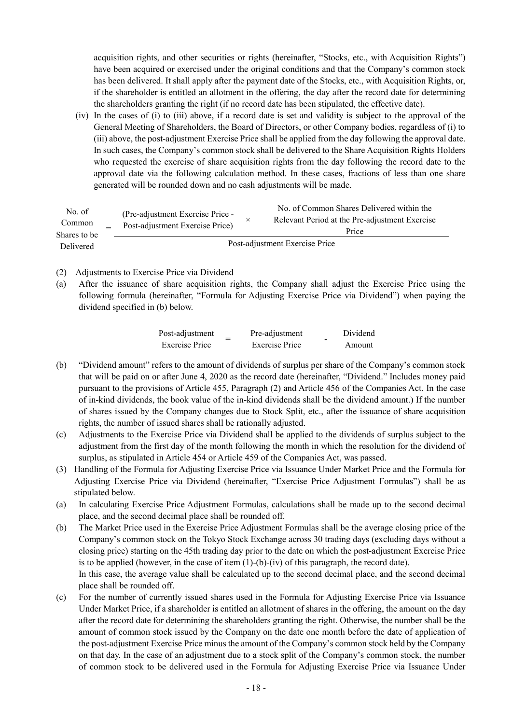acquisition rights, and other securities or rights (hereinafter, "Stocks, etc., with Acquisition Rights") have been acquired or exercised under the original conditions and that the Company's common stock has been delivered. It shall apply after the payment date of the Stocks, etc., with Acquisition Rights, or, if the shareholder is entitled an allotment in the offering, the day after the record date for determining the shareholders granting the right (if no record date has been stipulated, the effective date).

(iv) In the cases of (i) to (iii) above, if a record date is set and validity is subject to the approval of the General Meeting of Shareholders, the Board of Directors, or other Company bodies, regardless of (i) to (iii) above, the post-adjustment Exercise Price shall be applied from the day following the approval date. In such cases, the Company's common stock shall be delivered to the Share Acquisition Rights Holders who requested the exercise of share acquisition rights from the day following the record date to the approval date via the following calculation method. In these cases, fractions of less than one share generated will be rounded down and no cash adjustments will be made.

| No. of<br>Common<br>Shares to be | (Pre-adjustment Exercise Price -<br>Post-adjustment Exercise Price) |  | No. of Common Shares Delivered within the<br>Relevant Period at the Pre-adjustment Exercise<br>Price |  |  |  |
|----------------------------------|---------------------------------------------------------------------|--|------------------------------------------------------------------------------------------------------|--|--|--|
| Delivered                        | Post-adjustment Exercise Price                                      |  |                                                                                                      |  |  |  |

- (2) Adjustments to Exercise Price via Dividend
- (a) After the issuance of share acquisition rights, the Company shall adjust the Exercise Price using the following formula (hereinafter, "Formula for Adjusting Exercise Price via Dividend") when paying the dividend specified in (b) below.

| Post-adjustment | Pre-adjustment | Dividend |
|-----------------|----------------|----------|
| Exercise Price  | Exercise Price | Amount   |

- (b) "Dividend amount" refers to the amount of dividends of surplus per share of the Company's common stock that will be paid on or after June 4, 2020 as the record date (hereinafter, "Dividend." Includes money paid pursuant to the provisions of Article 455, Paragraph (2) and Article 456 of the Companies Act. In the case of in-kind dividends, the book value of the in-kind dividends shall be the dividend amount.) If the number of shares issued by the Company changes due to Stock Split, etc., after the issuance of share acquisition rights, the number of issued shares shall be rationally adjusted.
- (c) Adjustments to the Exercise Price via Dividend shall be applied to the dividends of surplus subject to the adjustment from the first day of the month following the month in which the resolution for the dividend of surplus, as stipulated in Article 454 or Article 459 of the Companies Act, was passed.
- (3) Handling of the Formula for Adjusting Exercise Price via Issuance Under Market Price and the Formula for Adjusting Exercise Price via Dividend (hereinafter, "Exercise Price Adjustment Formulas") shall be as stipulated below.
- (a) In calculating Exercise Price Adjustment Formulas, calculations shall be made up to the second decimal place, and the second decimal place shall be rounded off.
- (b) The Market Price used in the Exercise Price Adjustment Formulas shall be the average closing price of the Company's common stock on the Tokyo Stock Exchange across 30 trading days (excluding days without a closing price) starting on the 45th trading day prior to the date on which the post-adjustment Exercise Price is to be applied (however, in the case of item  $(1)-(b)-(iv)$ ) of this paragraph, the record date). In this case, the average value shall be calculated up to the second decimal place, and the second decimal place shall be rounded off.
- (c) For the number of currently issued shares used in the Formula for Adjusting Exercise Price via Issuance Under Market Price, if a shareholder is entitled an allotment of shares in the offering, the amount on the day after the record date for determining the shareholders granting the right. Otherwise, the number shall be the amount of common stock issued by the Company on the date one month before the date of application of the post-adjustment Exercise Price minus the amount of the Company's common stock held by the Company on that day. In the case of an adjustment due to a stock split of the Company's common stock, the number of common stock to be delivered used in the Formula for Adjusting Exercise Price via Issuance Under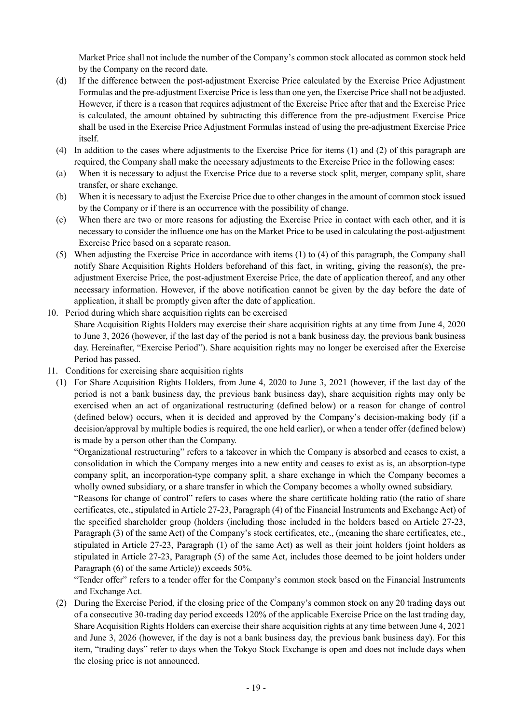Market Price shall not include the number of the Company's common stock allocated as common stock held by the Company on the record date.

- (d) If the difference between the post-adjustment Exercise Price calculated by the Exercise Price Adjustment Formulas and the pre-adjustment Exercise Price is less than one yen, the Exercise Price shall not be adjusted. However, if there is a reason that requires adjustment of the Exercise Price after that and the Exercise Price is calculated, the amount obtained by subtracting this difference from the pre-adjustment Exercise Price shall be used in the Exercise Price Adjustment Formulas instead of using the pre-adjustment Exercise Price itself.
- (4) In addition to the cases where adjustments to the Exercise Price for items (1) and (2) of this paragraph are required, the Company shall make the necessary adjustments to the Exercise Price in the following cases:
- (a) When it is necessary to adjust the Exercise Price due to a reverse stock split, merger, company split, share transfer, or share exchange.
- (b) When it is necessary to adjust the Exercise Price due to other changes in the amount of common stock issued by the Company or if there is an occurrence with the possibility of change.
- (c) When there are two or more reasons for adjusting the Exercise Price in contact with each other, and it is necessary to consider the influence one has on the Market Price to be used in calculating the post-adjustment Exercise Price based on a separate reason.
- (5) When adjusting the Exercise Price in accordance with items (1) to (4) of this paragraph, the Company shall notify Share Acquisition Rights Holders beforehand of this fact, in writing, giving the reason(s), the preadjustment Exercise Price, the post-adjustment Exercise Price, the date of application thereof, and any other necessary information. However, if the above notification cannot be given by the day before the date of application, it shall be promptly given after the date of application.
- 10. Period during which share acquisition rights can be exercised Share Acquisition Rights Holders may exercise their share acquisition rights at any time from June 4, 2020 to June 3, 2026 (however, if the last day of the period is not a bank business day, the previous bank business day. Hereinafter, "Exercise Period"). Share acquisition rights may no longer be exercised after the Exercise Period has passed.
- 11. Conditions for exercising share acquisition rights
	- (1) For Share Acquisition Rights Holders, from June 4, 2020 to June 3, 2021 (however, if the last day of the period is not a bank business day, the previous bank business day), share acquisition rights may only be exercised when an act of organizational restructuring (defined below) or a reason for change of control (defined below) occurs, when it is decided and approved by the Company's decision-making body (if a decision/approval by multiple bodies is required, the one held earlier), or when a tender offer (defined below) is made by a person other than the Company.

"Organizational restructuring" refers to a takeover in which the Company is absorbed and ceases to exist, a consolidation in which the Company merges into a new entity and ceases to exist as is, an absorption-type company split, an incorporation-type company split, a share exchange in which the Company becomes a wholly owned subsidiary, or a share transfer in which the Company becomes a wholly owned subsidiary.

"Reasons for change of control" refers to cases where the share certificate holding ratio (the ratio of share certificates, etc., stipulated in Article 27-23, Paragraph (4) of the Financial Instruments and Exchange Act) of the specified shareholder group (holders (including those included in the holders based on Article 27-23, Paragraph (3) of the same Act) of the Company's stock certificates, etc., (meaning the share certificates, etc., stipulated in Article 27-23, Paragraph (1) of the same Act) as well as their joint holders (joint holders as stipulated in Article 27-23, Paragraph (5) of the same Act, includes those deemed to be joint holders under Paragraph (6) of the same Article)) exceeds 50%.

"Tender offer" refers to a tender offer for the Company's common stock based on the Financial Instruments and Exchange Act.

(2) During the Exercise Period, if the closing price of the Company's common stock on any 20 trading days out of a consecutive 30-trading day period exceeds 120% of the applicable Exercise Price on the last trading day, Share Acquisition Rights Holders can exercise their share acquisition rights at any time between June 4, 2021 and June 3, 2026 (however, if the day is not a bank business day, the previous bank business day). For this item, "trading days" refer to days when the Tokyo Stock Exchange is open and does not include days when the closing price is not announced.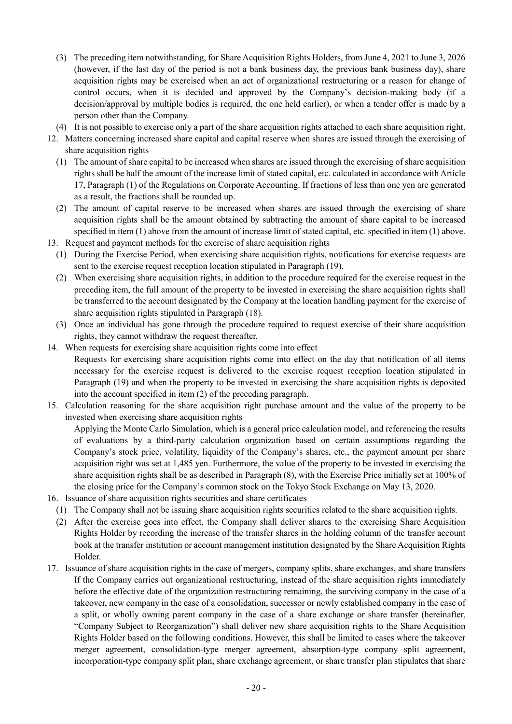- (3) The preceding item notwithstanding, for Share Acquisition Rights Holders, from June 4, 2021 to June 3, 2026 (however, if the last day of the period is not a bank business day, the previous bank business day), share acquisition rights may be exercised when an act of organizational restructuring or a reason for change of control occurs, when it is decided and approved by the Company's decision-making body (if a decision/approval by multiple bodies is required, the one held earlier), or when a tender offer is made by a person other than the Company.
- (4) It is not possible to exercise only a part of the share acquisition rights attached to each share acquisition right.
- 12. Matters concerning increased share capital and capital reserve when shares are issued through the exercising of share acquisition rights
	- (1) The amount of share capital to be increased when shares are issued through the exercising of share acquisition rights shall be half the amount of the increase limit of stated capital, etc. calculated in accordance with Article 17, Paragraph (1) of the Regulations on Corporate Accounting. If fractions of less than one yen are generated as a result, the fractions shall be rounded up.
	- (2) The amount of capital reserve to be increased when shares are issued through the exercising of share acquisition rights shall be the amount obtained by subtracting the amount of share capital to be increased specified in item (1) above from the amount of increase limit of stated capital, etc. specified in item (1) above.
- 13. Request and payment methods for the exercise of share acquisition rights
	- (1) During the Exercise Period, when exercising share acquisition rights, notifications for exercise requests are sent to the exercise request reception location stipulated in Paragraph (19).
	- (2) When exercising share acquisition rights, in addition to the procedure required for the exercise request in the preceding item, the full amount of the property to be invested in exercising the share acquisition rights shall be transferred to the account designated by the Company at the location handling payment for the exercise of share acquisition rights stipulated in Paragraph (18).
	- (3) Once an individual has gone through the procedure required to request exercise of their share acquisition rights, they cannot withdraw the request thereafter.
- 14. When requests for exercising share acquisition rights come into effect Requests for exercising share acquisition rights come into effect on the day that notification of all items necessary for the exercise request is delivered to the exercise request reception location stipulated in Paragraph (19) and when the property to be invested in exercising the share acquisition rights is deposited into the account specified in item (2) of the preceding paragraph.
- 15. Calculation reasoning for the share acquisition right purchase amount and the value of the property to be invested when exercising share acquisition rights

Applying the Monte Carlo Simulation, which is a general price calculation model, and referencing the results of evaluations by a third-party calculation organization based on certain assumptions regarding the Company's stock price, volatility, liquidity of the Company's shares, etc., the payment amount per share acquisition right was set at 1,485 yen. Furthermore, the value of the property to be invested in exercising the share acquisition rights shall be as described in Paragraph (8), with the Exercise Price initially set at 100% of the closing price for the Company's common stock on the Tokyo Stock Exchange on May 13, 2020.

- 16. Issuance of share acquisition rights securities and share certificates
	- (1) The Company shall not be issuing share acquisition rights securities related to the share acquisition rights.
	- (2) After the exercise goes into effect, the Company shall deliver shares to the exercising Share Acquisition Rights Holder by recording the increase of the transfer shares in the holding column of the transfer account book at the transfer institution or account management institution designated by the Share Acquisition Rights Holder.
- 17. Issuance of share acquisition rights in the case of mergers, company splits, share exchanges, and share transfers If the Company carries out organizational restructuring, instead of the share acquisition rights immediately before the effective date of the organization restructuring remaining, the surviving company in the case of a takeover, new company in the case of a consolidation, successor or newly established company in the case of a split, or wholly owning parent company in the case of a share exchange or share transfer (hereinafter, "Company Subject to Reorganization") shall deliver new share acquisition rights to the Share Acquisition Rights Holder based on the following conditions. However, this shall be limited to cases where the takeover merger agreement, consolidation-type merger agreement, absorption-type company split agreement, incorporation-type company split plan, share exchange agreement, or share transfer plan stipulates that share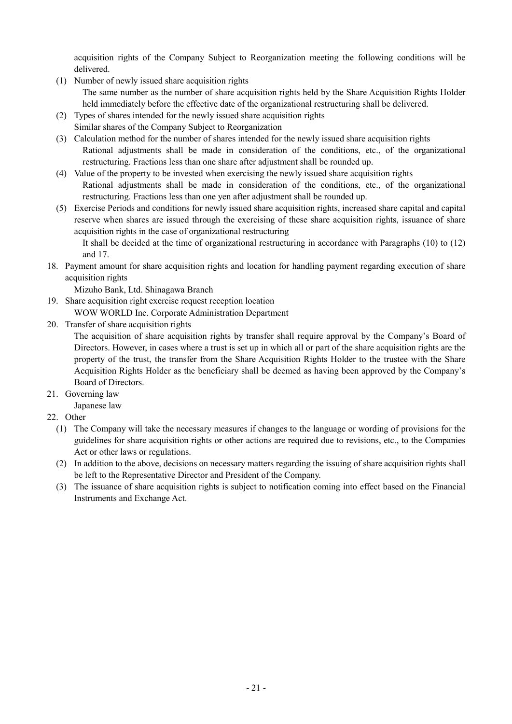acquisition rights of the Company Subject to Reorganization meeting the following conditions will be delivered.

- (1) Number of newly issued share acquisition rights The same number as the number of share acquisition rights held by the Share Acquisition Rights Holder held immediately before the effective date of the organizational restructuring shall be delivered.
- (2) Types of shares intended for the newly issued share acquisition rights Similar shares of the Company Subject to Reorganization
- (3) Calculation method for the number of shares intended for the newly issued share acquisition rights Rational adjustments shall be made in consideration of the conditions, etc., of the organizational restructuring. Fractions less than one share after adjustment shall be rounded up.
- (4) Value of the property to be invested when exercising the newly issued share acquisition rights Rational adjustments shall be made in consideration of the conditions, etc., of the organizational restructuring. Fractions less than one yen after adjustment shall be rounded up.
- (5) Exercise Periods and conditions for newly issued share acquisition rights, increased share capital and capital reserve when shares are issued through the exercising of these share acquisition rights, issuance of share acquisition rights in the case of organizational restructuring

It shall be decided at the time of organizational restructuring in accordance with Paragraphs (10) to (12) and 17.

18. Payment amount for share acquisition rights and location for handling payment regarding execution of share acquisition rights

Mizuho Bank, Ltd. Shinagawa Branch

- 19. Share acquisition right exercise request reception location
	- WOW WORLD Inc. Corporate Administration Department
- 20. Transfer of share acquisition rights

The acquisition of share acquisition rights by transfer shall require approval by the Company's Board of Directors. However, in cases where a trust is set up in which all or part of the share acquisition rights are the property of the trust, the transfer from the Share Acquisition Rights Holder to the trustee with the Share Acquisition Rights Holder as the beneficiary shall be deemed as having been approved by the Company's Board of Directors.

- 21. Governing law
- Japanese law
- 22. Other
	- (1) The Company will take the necessary measures if changes to the language or wording of provisions for the guidelines for share acquisition rights or other actions are required due to revisions, etc., to the Companies Act or other laws or regulations.
	- (2) In addition to the above, decisions on necessary matters regarding the issuing of share acquisition rights shall be left to the Representative Director and President of the Company.
	- (3) The issuance of share acquisition rights is subject to notification coming into effect based on the Financial Instruments and Exchange Act.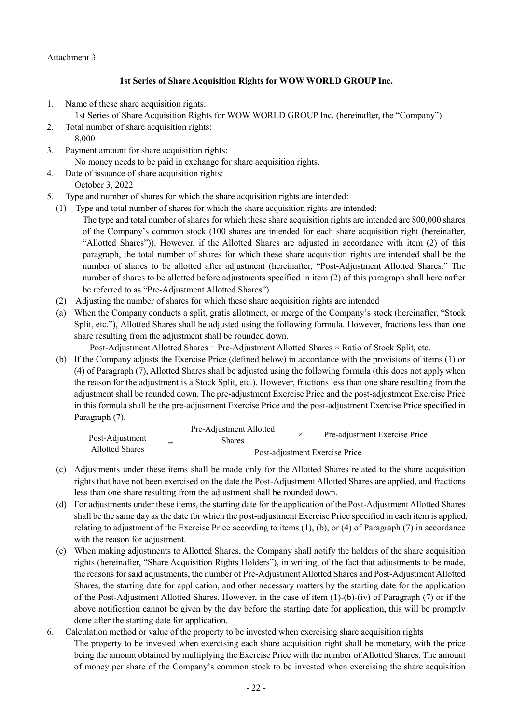#### Attachment 3

# **1st Series of Share Acquisition Rights for WOW WORLD GROUP Inc.**

- 1. Name of these share acquisition rights:
- 1st Series of Share Acquisition Rights for WOW WORLD GROUP Inc. (hereinafter, the "Company")
- 2. Total number of share acquisition rights: 8,000
- 3. Payment amount for share acquisition rights: No money needs to be paid in exchange for share acquisition rights.
- 4. Date of issuance of share acquisition rights:
	- October 3, 2022
- 5. Type and number of shares for which the share acquisition rights are intended:
- (1) Type and total number of shares for which the share acquisition rights are intended:
	- The type and total number of shares for which these share acquisition rights are intended are 800,000 shares of the Company's common stock (100 shares are intended for each share acquisition right (hereinafter, "Allotted Shares")). However, if the Allotted Shares are adjusted in accordance with item (2) of this paragraph, the total number of shares for which these share acquisition rights are intended shall be the number of shares to be allotted after adjustment (hereinafter, "Post-Adjustment Allotted Shares." The number of shares to be allotted before adjustments specified in item (2) of this paragraph shall hereinafter be referred to as "Pre-Adjustment Allotted Shares").
- (2) Adjusting the number of shares for which these share acquisition rights are intended
- (a) When the Company conducts a split, gratis allotment, or merge of the Company's stock (hereinafter, "Stock Split, etc."), Allotted Shares shall be adjusted using the following formula. However, fractions less than one share resulting from the adjustment shall be rounded down.

Post-Adjustment Allotted Shares = Pre-Adjustment Allotted Shares × Ratio of Stock Split, etc.

(b) If the Company adjusts the Exercise Price (defined below) in accordance with the provisions of items (1) or (4) of Paragraph (7), Allotted Shares shall be adjusted using the following formula (this does not apply when the reason for the adjustment is a Stock Split, etc.). However, fractions less than one share resulting from the adjustment shall be rounded down. The pre-adjustment Exercise Price and the post-adjustment Exercise Price in this formula shall be the pre-adjustment Exercise Price and the post-adjustment Exercise Price specified in Paragraph (7).

| Post-Adjustment | Pre-Adjustment Allotted<br><b>Shares</b> |  | Pre-adjustment Exercise Price |  |  |
|-----------------|------------------------------------------|--|-------------------------------|--|--|
| Allotted Shares | Post-adjustment Exercise Price           |  |                               |  |  |

- (c) Adjustments under these items shall be made only for the Allotted Shares related to the share acquisition rights that have not been exercised on the date the Post-Adjustment Allotted Shares are applied, and fractions less than one share resulting from the adjustment shall be rounded down.
- (d) For adjustments under these items, the starting date for the application of the Post-Adjustment Allotted Shares shall be the same day as the date for which the post-adjustment Exercise Price specified in each item is applied, relating to adjustment of the Exercise Price according to items (1), (b), or (4) of Paragraph (7) in accordance with the reason for adjustment.
- (e) When making adjustments to Allotted Shares, the Company shall notify the holders of the share acquisition rights (hereinafter, "Share Acquisition Rights Holders"), in writing, of the fact that adjustments to be made, the reasons for said adjustments, the number of Pre-Adjustment Allotted Shares and Post-Adjustment Allotted Shares, the starting date for application, and other necessary matters by the starting date for the application of the Post-Adjustment Allotted Shares. However, in the case of item (1)-(b)-(iv) of Paragraph (7) or if the above notification cannot be given by the day before the starting date for application, this will be promptly done after the starting date for application.
- 6. Calculation method or value of the property to be invested when exercising share acquisition rights The property to be invested when exercising each share acquisition right shall be monetary, with the price being the amount obtained by multiplying the Exercise Price with the number of Allotted Shares. The amount of money per share of the Company's common stock to be invested when exercising the share acquisition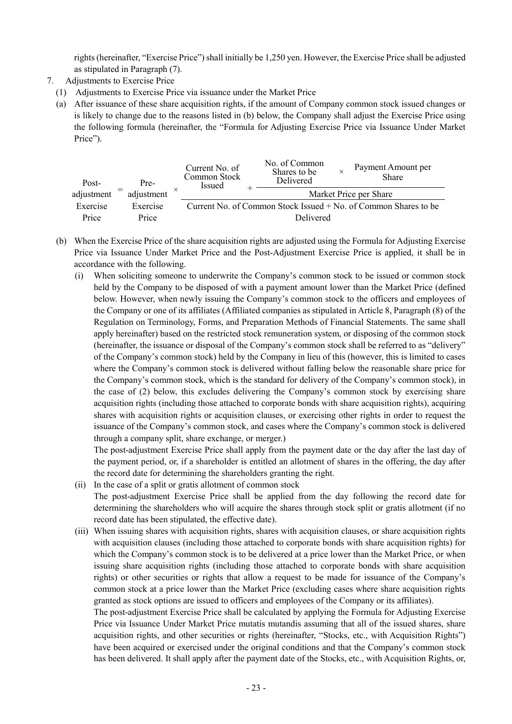rights (hereinafter, "Exercise Price") shall initially be 1,250 yen. However, the Exercise Price shall be adjusted as stipulated in Paragraph (7).

- 7. Adjustments to Exercise Price
	- (1) Adjustments to Exercise Price via issuance under the Market Price
	- (a) After issuance of these share acquisition rights, if the amount of Company common stock issued changes or is likely to change due to the reasons listed in (b) below, the Company shall adjust the Exercise Price using the following formula (hereinafter, the "Formula for Adjusting Exercise Price via Issuance Under Market Price").

| Post-      | Pre-       | Current No. of<br>Common Stock | No. of Common<br>Shares to be<br>Delivered | Payment Amount per<br><b>Share</b>                              |
|------------|------------|--------------------------------|--------------------------------------------|-----------------------------------------------------------------|
| adjustment | adjustment |                                |                                            | Market Price per Share                                          |
| Exercise   | Exercise   |                                |                                            | Current No. of Common Stock Issued + No. of Common Shares to be |
| Price      | Price      |                                | Delivered                                  |                                                                 |
|            |            | Issued                         |                                            |                                                                 |

- (b) When the Exercise Price of the share acquisition rights are adjusted using the Formula for Adjusting Exercise Price via Issuance Under Market Price and the Post-Adjustment Exercise Price is applied, it shall be in accordance with the following.
	- (i) When soliciting someone to underwrite the Company's common stock to be issued or common stock held by the Company to be disposed of with a payment amount lower than the Market Price (defined below. However, when newly issuing the Company's common stock to the officers and employees of the Company or one of its affiliates (Affiliated companies as stipulated in Article 8, Paragraph (8) of the Regulation on Terminology, Forms, and Preparation Methods of Financial Statements. The same shall apply hereinafter) based on the restricted stock remuneration system, or disposing of the common stock (hereinafter, the issuance or disposal of the Company's common stock shall be referred to as "delivery" of the Company's common stock) held by the Company in lieu of this (however, this is limited to cases where the Company's common stock is delivered without falling below the reasonable share price for the Company's common stock, which is the standard for delivery of the Company's common stock), in the case of (2) below, this excludes delivering the Company's common stock by exercising share acquisition rights (including those attached to corporate bonds with share acquisition rights), acquiring shares with acquisition rights or acquisition clauses, or exercising other rights in order to request the issuance of the Company's common stock, and cases where the Company's common stock is delivered through a company split, share exchange, or merger.)

The post-adjustment Exercise Price shall apply from the payment date or the day after the last day of the payment period, or, if a shareholder is entitled an allotment of shares in the offering, the day after the record date for determining the shareholders granting the right.

- (ii) In the case of a split or gratis allotment of common stock The post-adjustment Exercise Price shall be applied from the day following the record date for determining the shareholders who will acquire the shares through stock split or gratis allotment (if no record date has been stipulated, the effective date).
- (iii) When issuing shares with acquisition rights, shares with acquisition clauses, or share acquisition rights with acquisition clauses (including those attached to corporate bonds with share acquisition rights) for which the Company's common stock is to be delivered at a price lower than the Market Price, or when issuing share acquisition rights (including those attached to corporate bonds with share acquisition rights) or other securities or rights that allow a request to be made for issuance of the Company's common stock at a price lower than the Market Price (excluding cases where share acquisition rights granted as stock options are issued to officers and employees of the Company or its affiliates).

The post-adjustment Exercise Price shall be calculated by applying the Formula for Adjusting Exercise Price via Issuance Under Market Price mutatis mutandis assuming that all of the issued shares, share acquisition rights, and other securities or rights (hereinafter, "Stocks, etc., with Acquisition Rights") have been acquired or exercised under the original conditions and that the Company's common stock has been delivered. It shall apply after the payment date of the Stocks, etc., with Acquisition Rights, or,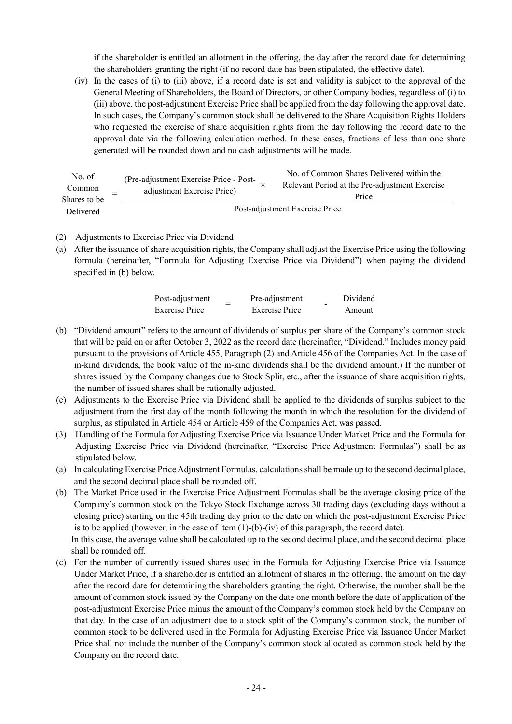if the shareholder is entitled an allotment in the offering, the day after the record date for determining the shareholders granting the right (if no record date has been stipulated, the effective date).

(iv) In the cases of (i) to (iii) above, if a record date is set and validity is subject to the approval of the General Meeting of Shareholders, the Board of Directors, or other Company bodies, regardless of (i) to (iii) above, the post-adjustment Exercise Price shall be applied from the day following the approval date. In such cases, the Company's common stock shall be delivered to the Share Acquisition Rights Holders who requested the exercise of share acquisition rights from the day following the record date to the approval date via the following calculation method. In these cases, fractions of less than one share generated will be rounded down and no cash adjustments will be made.

| No. of<br>Common<br>Shares to be | (Pre-adjustment Exercise Price - Post-<br>adjustment Exercise Price) |  | No. of Common Shares Delivered within the<br>Relevant Period at the Pre-adjustment Exercise<br>Price |  |  |
|----------------------------------|----------------------------------------------------------------------|--|------------------------------------------------------------------------------------------------------|--|--|
| Delivered                        | Post-adjustment Exercise Price                                       |  |                                                                                                      |  |  |

- (2) Adjustments to Exercise Price via Dividend
- (a) After the issuance of share acquisition rights, the Company shall adjust the Exercise Price using the following formula (hereinafter, "Formula for Adjusting Exercise Price via Dividend") when paying the dividend specified in (b) below.

| Post-adjustment | Pre-adjustment | Dividend |
|-----------------|----------------|----------|
| Exercise Price  | Exercise Price | Amount   |

- (b) "Dividend amount" refers to the amount of dividends of surplus per share of the Company's common stock that will be paid on or after October 3, 2022 as the record date (hereinafter, "Dividend." Includes money paid pursuant to the provisions of Article 455, Paragraph (2) and Article 456 of the Companies Act. In the case of in-kind dividends, the book value of the in-kind dividends shall be the dividend amount.) If the number of shares issued by the Company changes due to Stock Split, etc., after the issuance of share acquisition rights, the number of issued shares shall be rationally adjusted.
- (c) Adjustments to the Exercise Price via Dividend shall be applied to the dividends of surplus subject to the adjustment from the first day of the month following the month in which the resolution for the dividend of surplus, as stipulated in Article 454 or Article 459 of the Companies Act, was passed.
- (3) Handling of the Formula for Adjusting Exercise Price via Issuance Under Market Price and the Formula for Adjusting Exercise Price via Dividend (hereinafter, "Exercise Price Adjustment Formulas") shall be as stipulated below.
- (a) In calculating Exercise Price Adjustment Formulas, calculations shall be made up to the second decimal place, and the second decimal place shall be rounded off.
- (b) The Market Price used in the Exercise Price Adjustment Formulas shall be the average closing price of the Company's common stock on the Tokyo Stock Exchange across 30 trading days (excluding days without a closing price) starting on the 45th trading day prior to the date on which the post-adjustment Exercise Price is to be applied (however, in the case of item  $(1)-(b)-(iv)$  of this paragraph, the record date). In this case, the average value shall be calculated up to the second decimal place, and the second decimal place

shall be rounded off.

(c) For the number of currently issued shares used in the Formula for Adjusting Exercise Price via Issuance Under Market Price, if a shareholder is entitled an allotment of shares in the offering, the amount on the day after the record date for determining the shareholders granting the right. Otherwise, the number shall be the amount of common stock issued by the Company on the date one month before the date of application of the post-adjustment Exercise Price minus the amount of the Company's common stock held by the Company on that day. In the case of an adjustment due to a stock split of the Company's common stock, the number of common stock to be delivered used in the Formula for Adjusting Exercise Price via Issuance Under Market Price shall not include the number of the Company's common stock allocated as common stock held by the Company on the record date.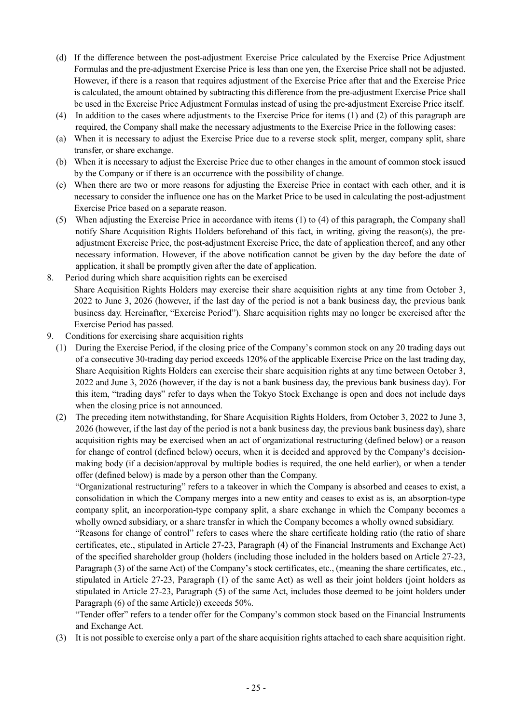- (d) If the difference between the post-adjustment Exercise Price calculated by the Exercise Price Adjustment Formulas and the pre-adjustment Exercise Price is less than one yen, the Exercise Price shall not be adjusted. However, if there is a reason that requires adjustment of the Exercise Price after that and the Exercise Price is calculated, the amount obtained by subtracting this difference from the pre-adjustment Exercise Price shall be used in the Exercise Price Adjustment Formulas instead of using the pre-adjustment Exercise Price itself.
- (4) In addition to the cases where adjustments to the Exercise Price for items (1) and (2) of this paragraph are required, the Company shall make the necessary adjustments to the Exercise Price in the following cases:
- (a) When it is necessary to adjust the Exercise Price due to a reverse stock split, merger, company split, share transfer, or share exchange.
- (b) When it is necessary to adjust the Exercise Price due to other changes in the amount of common stock issued by the Company or if there is an occurrence with the possibility of change.
- (c) When there are two or more reasons for adjusting the Exercise Price in contact with each other, and it is necessary to consider the influence one has on the Market Price to be used in calculating the post-adjustment Exercise Price based on a separate reason.
- (5) When adjusting the Exercise Price in accordance with items (1) to (4) of this paragraph, the Company shall notify Share Acquisition Rights Holders beforehand of this fact, in writing, giving the reason(s), the preadjustment Exercise Price, the post-adjustment Exercise Price, the date of application thereof, and any other necessary information. However, if the above notification cannot be given by the day before the date of application, it shall be promptly given after the date of application.
- 8. Period during which share acquisition rights can be exercised Share Acquisition Rights Holders may exercise their share acquisition rights at any time from October 3, 2022 to June 3, 2026 (however, if the last day of the period is not a bank business day, the previous bank business day. Hereinafter, "Exercise Period"). Share acquisition rights may no longer be exercised after the Exercise Period has passed.
- 9. Conditions for exercising share acquisition rights
	- (1) During the Exercise Period, if the closing price of the Company's common stock on any 20 trading days out of a consecutive 30-trading day period exceeds 120% of the applicable Exercise Price on the last trading day, Share Acquisition Rights Holders can exercise their share acquisition rights at any time between October 3, 2022 and June 3, 2026 (however, if the day is not a bank business day, the previous bank business day). For this item, "trading days" refer to days when the Tokyo Stock Exchange is open and does not include days when the closing price is not announced.
	- (2) The preceding item notwithstanding, for Share Acquisition Rights Holders, from October 3, 2022 to June 3, 2026 (however, if the last day of the period is not a bank business day, the previous bank business day), share acquisition rights may be exercised when an act of organizational restructuring (defined below) or a reason for change of control (defined below) occurs, when it is decided and approved by the Company's decisionmaking body (if a decision/approval by multiple bodies is required, the one held earlier), or when a tender offer (defined below) is made by a person other than the Company.

"Organizational restructuring" refers to a takeover in which the Company is absorbed and ceases to exist, a consolidation in which the Company merges into a new entity and ceases to exist as is, an absorption-type company split, an incorporation-type company split, a share exchange in which the Company becomes a wholly owned subsidiary, or a share transfer in which the Company becomes a wholly owned subsidiary.

"Reasons for change of control" refers to cases where the share certificate holding ratio (the ratio of share certificates, etc., stipulated in Article 27-23, Paragraph (4) of the Financial Instruments and Exchange Act) of the specified shareholder group (holders (including those included in the holders based on Article 27-23, Paragraph (3) of the same Act) of the Company's stock certificates, etc., (meaning the share certificates, etc., stipulated in Article 27-23, Paragraph (1) of the same Act) as well as their joint holders (joint holders as stipulated in Article 27-23, Paragraph (5) of the same Act, includes those deemed to be joint holders under Paragraph (6) of the same Article)) exceeds 50%.

"Tender offer" refers to a tender offer for the Company's common stock based on the Financial Instruments and Exchange Act.

(3) It is not possible to exercise only a part of the share acquisition rights attached to each share acquisition right.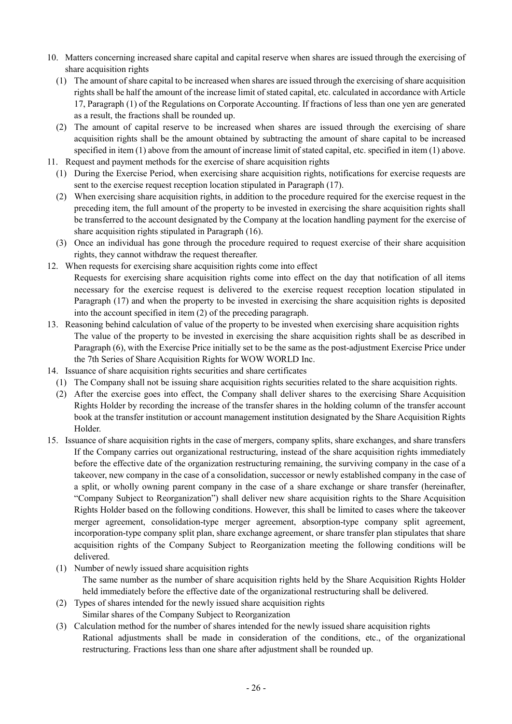- 10. Matters concerning increased share capital and capital reserve when shares are issued through the exercising of share acquisition rights
	- (1) The amount of share capital to be increased when shares are issued through the exercising of share acquisition rights shall be half the amount of the increase limit of stated capital, etc. calculated in accordance with Article 17, Paragraph (1) of the Regulations on Corporate Accounting. If fractions of less than one yen are generated as a result, the fractions shall be rounded up.
	- (2) The amount of capital reserve to be increased when shares are issued through the exercising of share acquisition rights shall be the amount obtained by subtracting the amount of share capital to be increased specified in item (1) above from the amount of increase limit of stated capital, etc. specified in item (1) above.
- 11. Request and payment methods for the exercise of share acquisition rights
	- (1) During the Exercise Period, when exercising share acquisition rights, notifications for exercise requests are sent to the exercise request reception location stipulated in Paragraph (17).
	- (2) When exercising share acquisition rights, in addition to the procedure required for the exercise request in the preceding item, the full amount of the property to be invested in exercising the share acquisition rights shall be transferred to the account designated by the Company at the location handling payment for the exercise of share acquisition rights stipulated in Paragraph (16).
	- (3) Once an individual has gone through the procedure required to request exercise of their share acquisition rights, they cannot withdraw the request thereafter.
- 12. When requests for exercising share acquisition rights come into effect Requests for exercising share acquisition rights come into effect on the day that notification of all items necessary for the exercise request is delivered to the exercise request reception location stipulated in Paragraph (17) and when the property to be invested in exercising the share acquisition rights is deposited into the account specified in item (2) of the preceding paragraph.
- 13. Reasoning behind calculation of value of the property to be invested when exercising share acquisition rights The value of the property to be invested in exercising the share acquisition rights shall be as described in Paragraph (6), with the Exercise Price initially set to be the same as the post-adjustment Exercise Price under the 7th Series of Share Acquisition Rights for WOW WORLD Inc.
- 14. Issuance of share acquisition rights securities and share certificates
	- (1) The Company shall not be issuing share acquisition rights securities related to the share acquisition rights.
	- (2) After the exercise goes into effect, the Company shall deliver shares to the exercising Share Acquisition Rights Holder by recording the increase of the transfer shares in the holding column of the transfer account book at the transfer institution or account management institution designated by the Share Acquisition Rights Holder.
- 15. Issuance of share acquisition rights in the case of mergers, company splits, share exchanges, and share transfers If the Company carries out organizational restructuring, instead of the share acquisition rights immediately before the effective date of the organization restructuring remaining, the surviving company in the case of a takeover, new company in the case of a consolidation, successor or newly established company in the case of a split, or wholly owning parent company in the case of a share exchange or share transfer (hereinafter, "Company Subject to Reorganization") shall deliver new share acquisition rights to the Share Acquisition Rights Holder based on the following conditions. However, this shall be limited to cases where the takeover merger agreement, consolidation-type merger agreement, absorption-type company split agreement, incorporation-type company split plan, share exchange agreement, or share transfer plan stipulates that share acquisition rights of the Company Subject to Reorganization meeting the following conditions will be delivered.
	- (1) Number of newly issued share acquisition rights The same number as the number of share acquisition rights held by the Share Acquisition Rights Holder held immediately before the effective date of the organizational restructuring shall be delivered.
	- (2) Types of shares intended for the newly issued share acquisition rights Similar shares of the Company Subject to Reorganization
	- (3) Calculation method for the number of shares intended for the newly issued share acquisition rights Rational adjustments shall be made in consideration of the conditions, etc., of the organizational restructuring. Fractions less than one share after adjustment shall be rounded up.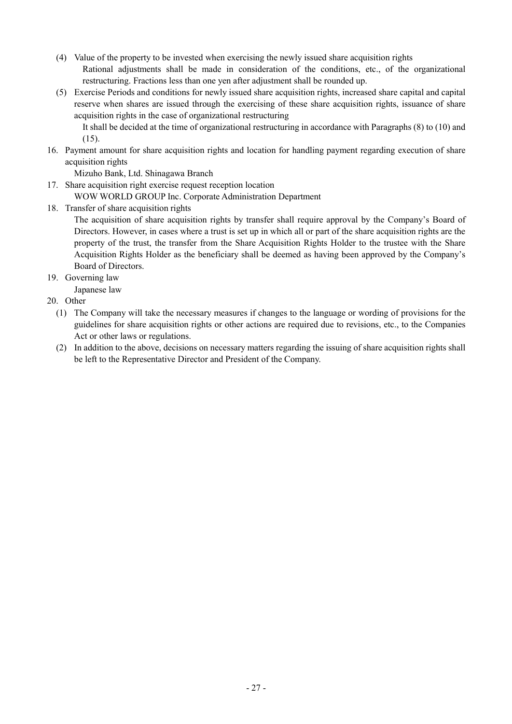- (4) Value of the property to be invested when exercising the newly issued share acquisition rights Rational adjustments shall be made in consideration of the conditions, etc., of the organizational restructuring. Fractions less than one yen after adjustment shall be rounded up.
- (5) Exercise Periods and conditions for newly issued share acquisition rights, increased share capital and capital reserve when shares are issued through the exercising of these share acquisition rights, issuance of share acquisition rights in the case of organizational restructuring

It shall be decided at the time of organizational restructuring in accordance with Paragraphs (8) to (10) and (15).

16. Payment amount for share acquisition rights and location for handling payment regarding execution of share acquisition rights

Mizuho Bank, Ltd. Shinagawa Branch

- 17. Share acquisition right exercise request reception location
	- WOW WORLD GROUP Inc. Corporate Administration Department
- 18. Transfer of share acquisition rights

The acquisition of share acquisition rights by transfer shall require approval by the Company's Board of Directors. However, in cases where a trust is set up in which all or part of the share acquisition rights are the property of the trust, the transfer from the Share Acquisition Rights Holder to the trustee with the Share Acquisition Rights Holder as the beneficiary shall be deemed as having been approved by the Company's Board of Directors.

19. Governing law

Japanese law

- 20. Other
	- (1) The Company will take the necessary measures if changes to the language or wording of provisions for the guidelines for share acquisition rights or other actions are required due to revisions, etc., to the Companies Act or other laws or regulations.
	- (2) In addition to the above, decisions on necessary matters regarding the issuing of share acquisition rights shall be left to the Representative Director and President of the Company.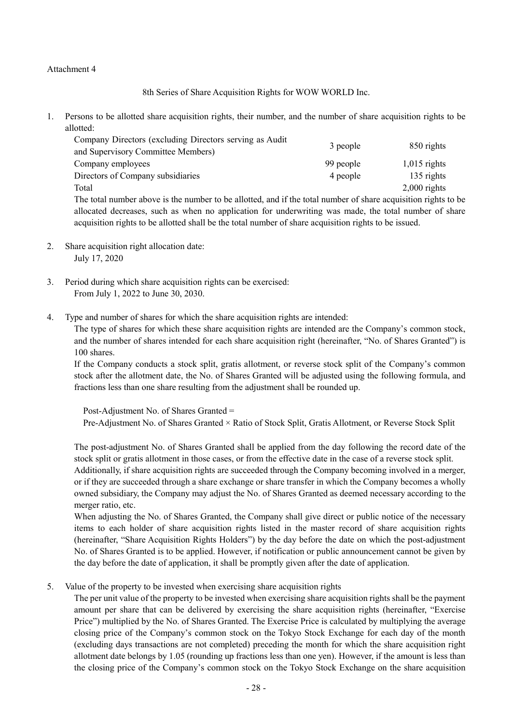#### Attachment 4

8th Series of Share Acquisition Rights for WOW WORLD Inc.

1. Persons to be allotted share acquisition rights, their number, and the number of share acquisition rights to be allotted:

| Company Directors (excluding Directors serving as Audit |           |                |
|---------------------------------------------------------|-----------|----------------|
| and Supervisory Committee Members)                      | 3 people  | 850 rights     |
| Company employees                                       | 99 people | $1,015$ rights |
| Directors of Company subsidiaries                       | 4 people  | 135 rights     |
| Total                                                   |           | $2,000$ rights |
|                                                         |           |                |

The total number above is the number to be allotted, and if the total number of share acquisition rights to be allocated decreases, such as when no application for underwriting was made, the total number of share acquisition rights to be allotted shall be the total number of share acquisition rights to be issued.

- 2. Share acquisition right allocation date: July 17, 2020
- 3. Period during which share acquisition rights can be exercised: From July 1, 2022 to June 30, 2030.
- 4. Type and number of shares for which the share acquisition rights are intended:

The type of shares for which these share acquisition rights are intended are the Company's common stock, and the number of shares intended for each share acquisition right (hereinafter, "No. of Shares Granted") is 100 shares.

If the Company conducts a stock split, gratis allotment, or reverse stock split of the Company's common stock after the allotment date, the No. of Shares Granted will be adjusted using the following formula, and fractions less than one share resulting from the adjustment shall be rounded up.

Post-Adjustment No. of Shares Granted =

Pre-Adjustment No. of Shares Granted × Ratio of Stock Split, Gratis Allotment, or Reverse Stock Split

The post-adjustment No. of Shares Granted shall be applied from the day following the record date of the stock split or gratis allotment in those cases, or from the effective date in the case of a reverse stock split. Additionally, if share acquisition rights are succeeded through the Company becoming involved in a merger, or if they are succeeded through a share exchange or share transfer in which the Company becomes a wholly owned subsidiary, the Company may adjust the No. of Shares Granted as deemed necessary according to the merger ratio, etc.

When adjusting the No. of Shares Granted, the Company shall give direct or public notice of the necessary items to each holder of share acquisition rights listed in the master record of share acquisition rights (hereinafter, "Share Acquisition Rights Holders") by the day before the date on which the post-adjustment No. of Shares Granted is to be applied. However, if notification or public announcement cannot be given by the day before the date of application, it shall be promptly given after the date of application.

5. Value of the property to be invested when exercising share acquisition rights

The per unit value of the property to be invested when exercising share acquisition rights shall be the payment amount per share that can be delivered by exercising the share acquisition rights (hereinafter, "Exercise Price") multiplied by the No. of Shares Granted. The Exercise Price is calculated by multiplying the average closing price of the Company's common stock on the Tokyo Stock Exchange for each day of the month (excluding days transactions are not completed) preceding the month for which the share acquisition right allotment date belongs by 1.05 (rounding up fractions less than one yen). However, if the amount is less than the closing price of the Company's common stock on the Tokyo Stock Exchange on the share acquisition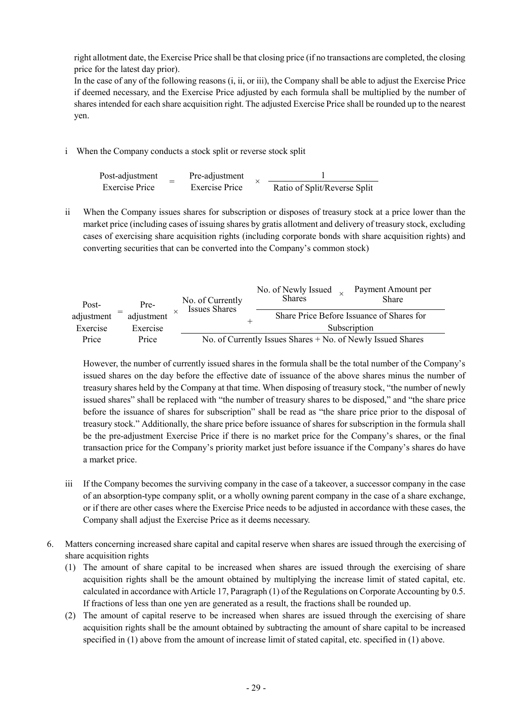right allotment date, the Exercise Price shall be that closing price (if no transactions are completed, the closing price for the latest day prior).

In the case of any of the following reasons (i, ii, or iii), the Company shall be able to adjust the Exercise Price if deemed necessary, and the Exercise Price adjusted by each formula shall be multiplied by the number of shares intended for each share acquisition right. The adjusted Exercise Price shall be rounded up to the nearest yen.

i When the Company conducts a stock split or reverse stock split

| Post-adjustment |  |                |                              |  |  |
|-----------------|--|----------------|------------------------------|--|--|
| Exercise Price  |  | Exercise Price | Ratio of Split/Reverse Split |  |  |

ii When the Company issues shares for subscription or disposes of treasury stock at a price lower than the market price (including cases of issuing shares by gratis allotment and delivery of treasury stock, excluding cases of exercising share acquisition rights (including corporate bonds with share acquisition rights) and converting securities that can be converted into the Company's common stock)

| Post-      | Pre-       | No. of Currently<br>Issues Shares | No. of Newly Issued<br><b>Shares</b>                        | Payment Amount per<br>Share               |
|------------|------------|-----------------------------------|-------------------------------------------------------------|-------------------------------------------|
| adjustment | adjustment |                                   |                                                             | Share Price Before Issuance of Shares for |
| Exercise   | Exercise   |                                   |                                                             | Subscription                              |
| Price      | Price      |                                   | No. of Currently Issues Shares + No. of Newly Issued Shares |                                           |

However, the number of currently issued shares in the formula shall be the total number of the Company's issued shares on the day before the effective date of issuance of the above shares minus the number of treasury shares held by the Company at that time. When disposing of treasury stock, "the number of newly issued shares" shall be replaced with "the number of treasury shares to be disposed," and "the share price before the issuance of shares for subscription" shall be read as "the share price prior to the disposal of treasury stock." Additionally, the share price before issuance of shares for subscription in the formula shall be the pre-adjustment Exercise Price if there is no market price for the Company's shares, or the final transaction price for the Company's priority market just before issuance if the Company's shares do have a market price.

- iii If the Company becomes the surviving company in the case of a takeover, a successor company in the case of an absorption-type company split, or a wholly owning parent company in the case of a share exchange, or if there are other cases where the Exercise Price needs to be adjusted in accordance with these cases, the Company shall adjust the Exercise Price as it deems necessary.
- 6. Matters concerning increased share capital and capital reserve when shares are issued through the exercising of share acquisition rights
	- (1) The amount of share capital to be increased when shares are issued through the exercising of share acquisition rights shall be the amount obtained by multiplying the increase limit of stated capital, etc. calculated in accordance with Article 17, Paragraph (1) of the Regulations on Corporate Accounting by 0.5. If fractions of less than one yen are generated as a result, the fractions shall be rounded up.
	- (2) The amount of capital reserve to be increased when shares are issued through the exercising of share acquisition rights shall be the amount obtained by subtracting the amount of share capital to be increased specified in (1) above from the amount of increase limit of stated capital, etc. specified in (1) above.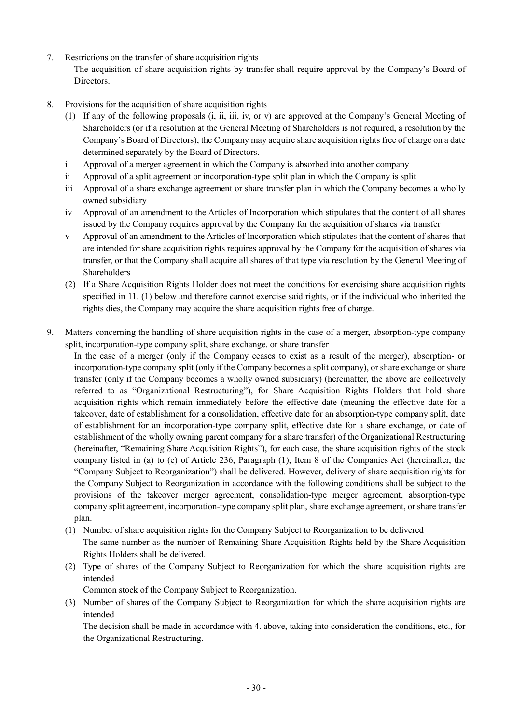7. Restrictions on the transfer of share acquisition rights

The acquisition of share acquisition rights by transfer shall require approval by the Company's Board of Directors.

- 8. Provisions for the acquisition of share acquisition rights
	- (1) If any of the following proposals (i, ii, iii, iv, or v) are approved at the Company's General Meeting of Shareholders (or if a resolution at the General Meeting of Shareholders is not required, a resolution by the Company's Board of Directors), the Company may acquire share acquisition rights free of charge on a date determined separately by the Board of Directors.
	- i Approval of a merger agreement in which the Company is absorbed into another company
	- ii Approval of a split agreement or incorporation-type split plan in which the Company is split
	- iii Approval of a share exchange agreement or share transfer plan in which the Company becomes a wholly owned subsidiary
	- iv Approval of an amendment to the Articles of Incorporation which stipulates that the content of all shares issued by the Company requires approval by the Company for the acquisition of shares via transfer
	- v Approval of an amendment to the Articles of Incorporation which stipulates that the content of shares that are intended for share acquisition rights requires approval by the Company for the acquisition of shares via transfer, or that the Company shall acquire all shares of that type via resolution by the General Meeting of **Shareholders**
	- (2) If a Share Acquisition Rights Holder does not meet the conditions for exercising share acquisition rights specified in 11. (1) below and therefore cannot exercise said rights, or if the individual who inherited the rights dies, the Company may acquire the share acquisition rights free of charge.
- 9. Matters concerning the handling of share acquisition rights in the case of a merger, absorption-type company split, incorporation-type company split, share exchange, or share transfer

In the case of a merger (only if the Company ceases to exist as a result of the merger), absorption- or incorporation-type company split (only if the Company becomes a split company), or share exchange or share transfer (only if the Company becomes a wholly owned subsidiary) (hereinafter, the above are collectively referred to as "Organizational Restructuring"), for Share Acquisition Rights Holders that hold share acquisition rights which remain immediately before the effective date (meaning the effective date for a takeover, date of establishment for a consolidation, effective date for an absorption-type company split, date of establishment for an incorporation-type company split, effective date for a share exchange, or date of establishment of the wholly owning parent company for a share transfer) of the Organizational Restructuring (hereinafter, "Remaining Share Acquisition Rights"), for each case, the share acquisition rights of the stock company listed in (a) to (e) of Article 236, Paragraph (1), Item 8 of the Companies Act (hereinafter, the "Company Subject to Reorganization") shall be delivered. However, delivery of share acquisition rights for the Company Subject to Reorganization in accordance with the following conditions shall be subject to the provisions of the takeover merger agreement, consolidation-type merger agreement, absorption-type company split agreement, incorporation-type company split plan, share exchange agreement, or share transfer plan.

- (1) Number of share acquisition rights for the Company Subject to Reorganization to be delivered The same number as the number of Remaining Share Acquisition Rights held by the Share Acquisition Rights Holders shall be delivered.
- (2) Type of shares of the Company Subject to Reorganization for which the share acquisition rights are intended
	- Common stock of the Company Subject to Reorganization.
- (3) Number of shares of the Company Subject to Reorganization for which the share acquisition rights are intended

The decision shall be made in accordance with 4. above, taking into consideration the conditions, etc., for the Organizational Restructuring.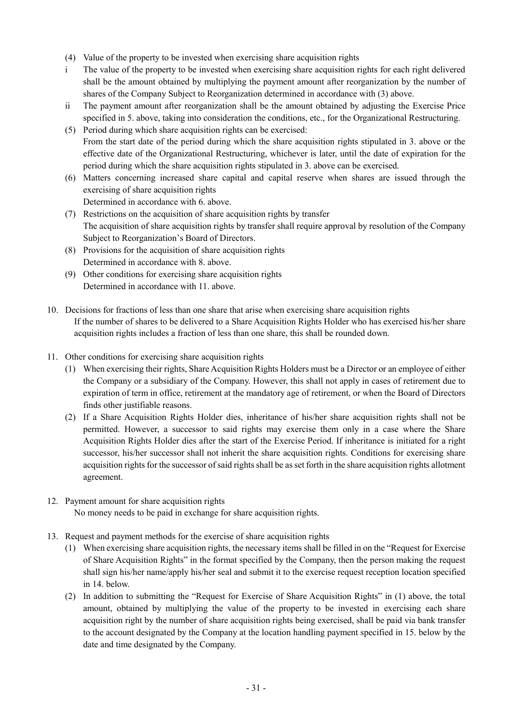- (4) Value of the property to be invested when exercising share acquisition rights
- i The value of the property to be invested when exercising share acquisition rights for each right delivered shall be the amount obtained by multiplying the payment amount after reorganization by the number of shares of the Company Subject to Reorganization determined in accordance with (3) above.
- ii The payment amount after reorganization shall be the amount obtained by adjusting the Exercise Price specified in 5. above, taking into consideration the conditions, etc., for the Organizational Restructuring.
- (5) Period during which share acquisition rights can be exercised: From the start date of the period during which the share acquisition rights stipulated in 3. above or the effective date of the Organizational Restructuring, whichever is later, until the date of expiration for the period during which the share acquisition rights stipulated in 3. above can be exercised.
- (6) Matters concerning increased share capital and capital reserve when shares are issued through the exercising of share acquisition rights Determined in accordance with 6. above.
- (7) Restrictions on the acquisition of share acquisition rights by transfer The acquisition of share acquisition rights by transfer shall require approval by resolution of the Company Subject to Reorganization's Board of Directors.
- (8) Provisions for the acquisition of share acquisition rights Determined in accordance with 8. above.
- (9) Other conditions for exercising share acquisition rights Determined in accordance with 11. above.
- 10. Decisions for fractions of less than one share that arise when exercising share acquisition rights If the number of shares to be delivered to a Share Acquisition Rights Holder who has exercised his/her share acquisition rights includes a fraction of less than one share, this shall be rounded down.
- 11. Other conditions for exercising share acquisition rights
	- (1) When exercising their rights, Share Acquisition Rights Holders must be a Director or an employee of either the Company or a subsidiary of the Company. However, this shall not apply in cases of retirement due to expiration of term in office, retirement at the mandatory age of retirement, or when the Board of Directors finds other justifiable reasons.
	- (2) If a Share Acquisition Rights Holder dies, inheritance of his/her share acquisition rights shall not be permitted. However, a successor to said rights may exercise them only in a case where the Share Acquisition Rights Holder dies after the start of the Exercise Period. If inheritance is initiated for a right successor, his/her successor shall not inherit the share acquisition rights. Conditions for exercising share acquisition rights for the successor of said rights shall be as set forth in the share acquisition rights allotment agreement.
- 12. Payment amount for share acquisition rights No money needs to be paid in exchange for share acquisition rights.
- 13. Request and payment methods for the exercise of share acquisition rights
	- (1) When exercising share acquisition rights, the necessary items shall be filled in on the "Request for Exercise of Share Acquisition Rights" in the format specified by the Company, then the person making the request shall sign his/her name/apply his/her seal and submit it to the exercise request reception location specified in 14. below.
	- (2) In addition to submitting the "Request for Exercise of Share Acquisition Rights" in (1) above, the total amount, obtained by multiplying the value of the property to be invested in exercising each share acquisition right by the number of share acquisition rights being exercised, shall be paid via bank transfer to the account designated by the Company at the location handling payment specified in 15. below by the date and time designated by the Company.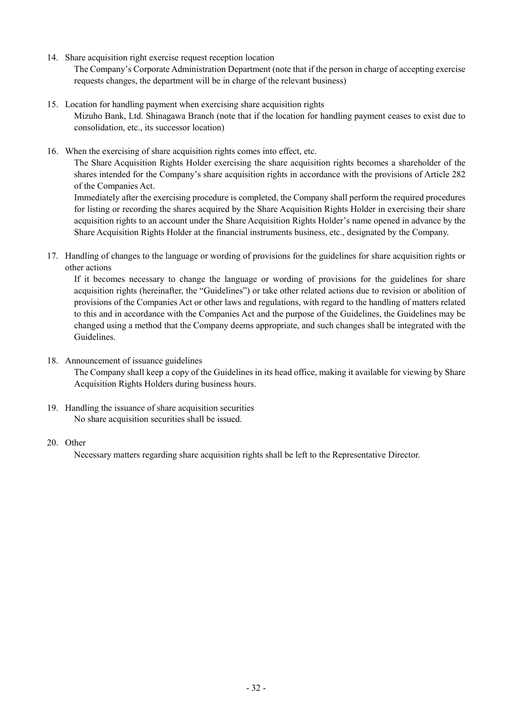14. Share acquisition right exercise request reception location

The Company's Corporate Administration Department (note that if the person in charge of accepting exercise requests changes, the department will be in charge of the relevant business)

- 15. Location for handling payment when exercising share acquisition rights Mizuho Bank, Ltd. Shinagawa Branch (note that if the location for handling payment ceases to exist due to consolidation, etc., its successor location)
- 16. When the exercising of share acquisition rights comes into effect, etc.

The Share Acquisition Rights Holder exercising the share acquisition rights becomes a shareholder of the shares intended for the Company's share acquisition rights in accordance with the provisions of Article 282 of the Companies Act.

Immediately after the exercising procedure is completed, the Company shall perform the required procedures for listing or recording the shares acquired by the Share Acquisition Rights Holder in exercising their share acquisition rights to an account under the Share Acquisition Rights Holder's name opened in advance by the Share Acquisition Rights Holder at the financial instruments business, etc., designated by the Company.

17. Handling of changes to the language or wording of provisions for the guidelines for share acquisition rights or other actions

If it becomes necessary to change the language or wording of provisions for the guidelines for share acquisition rights (hereinafter, the "Guidelines") or take other related actions due to revision or abolition of provisions of the Companies Act or other laws and regulations, with regard to the handling of matters related to this and in accordance with the Companies Act and the purpose of the Guidelines, the Guidelines may be changed using a method that the Company deems appropriate, and such changes shall be integrated with the Guidelines.

18. Announcement of issuance guidelines

The Company shall keep a copy of the Guidelines in its head office, making it available for viewing by Share Acquisition Rights Holders during business hours.

- 19. Handling the issuance of share acquisition securities No share acquisition securities shall be issued.
- 20. Other

Necessary matters regarding share acquisition rights shall be left to the Representative Director.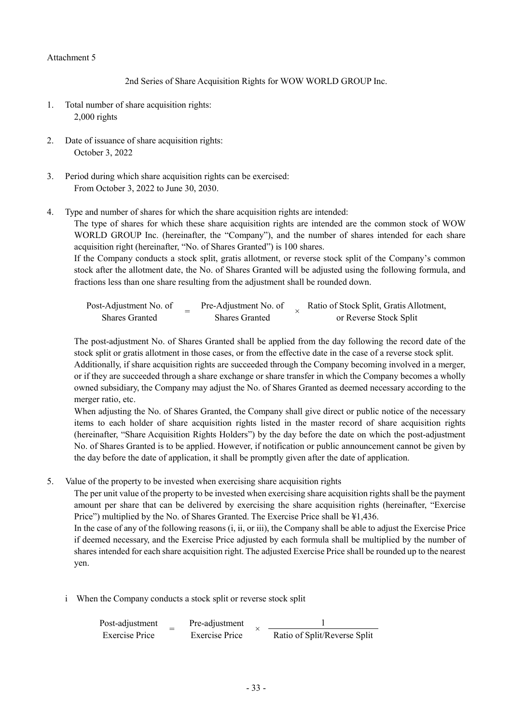#### Attachment 5

2nd Series of Share Acquisition Rights for WOW WORLD GROUP Inc.

- 1. Total number of share acquisition rights: 2,000 rights
- 2. Date of issuance of share acquisition rights: October 3, 2022
- 3. Period during which share acquisition rights can be exercised: From October 3, 2022 to June 30, 2030.
- 4. Type and number of shares for which the share acquisition rights are intended:

The type of shares for which these share acquisition rights are intended are the common stock of WOW WORLD GROUP Inc. (hereinafter, the "Company"), and the number of shares intended for each share acquisition right (hereinafter, "No. of Shares Granted") is 100 shares.

If the Company conducts a stock split, gratis allotment, or reverse stock split of the Company's common stock after the allotment date, the No. of Shares Granted will be adjusted using the following formula, and fractions less than one share resulting from the adjustment shall be rounded down.

Post-Adjustment No. of Shares Granted Pre-Adjustment No. of Adjustment No. of  $\begin{array}{c} \times \end{array}$  Ratio of Stock Split, Gratis Allotment,<br>Shares Granted or Reverse Stock Split or Reverse Stock Split

The post-adjustment No. of Shares Granted shall be applied from the day following the record date of the stock split or gratis allotment in those cases, or from the effective date in the case of a reverse stock split. Additionally, if share acquisition rights are succeeded through the Company becoming involved in a merger, or if they are succeeded through a share exchange or share transfer in which the Company becomes a wholly owned subsidiary, the Company may adjust the No. of Shares Granted as deemed necessary according to the merger ratio, etc.

When adjusting the No. of Shares Granted, the Company shall give direct or public notice of the necessary items to each holder of share acquisition rights listed in the master record of share acquisition rights (hereinafter, "Share Acquisition Rights Holders") by the day before the date on which the post-adjustment No. of Shares Granted is to be applied. However, if notification or public announcement cannot be given by the day before the date of application, it shall be promptly given after the date of application.

5. Value of the property to be invested when exercising share acquisition rights

The per unit value of the property to be invested when exercising share acquisition rights shall be the payment amount per share that can be delivered by exercising the share acquisition rights (hereinafter, "Exercise Price") multiplied by the No. of Shares Granted. The Exercise Price shall be ¥1,436.

In the case of any of the following reasons (i, ii, or iii), the Company shall be able to adjust the Exercise Price if deemed necessary, and the Exercise Price adjusted by each formula shall be multiplied by the number of shares intended for each share acquisition right. The adjusted Exercise Price shall be rounded up to the nearest yen.

i When the Company conducts a stock split or reverse stock split

| Post-adjustment | Pre-adjustment        |                              |  |
|-----------------|-----------------------|------------------------------|--|
| Exercise Price  | <b>Exercise Price</b> | Ratio of Split/Reverse Split |  |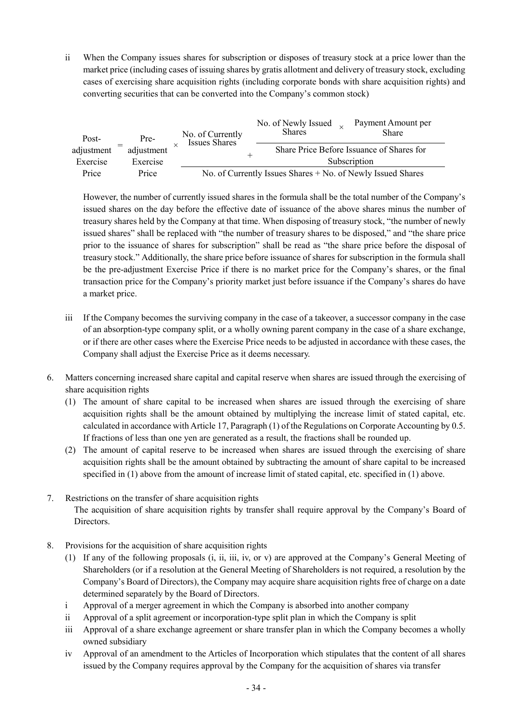ii When the Company issues shares for subscription or disposes of treasury stock at a price lower than the market price (including cases of issuing shares by gratis allotment and delivery of treasury stock, excluding cases of exercising share acquisition rights (including corporate bonds with share acquisition rights) and converting securities that can be converted into the Company's common stock)

| Post-      | Pre-       | No. of Currently<br><b>Issues Shares</b> | No. of Newly Issued<br><b>Shares</b>                        | Payment Amount per<br><b>Share</b>        |
|------------|------------|------------------------------------------|-------------------------------------------------------------|-------------------------------------------|
| adjustment | adjustment |                                          |                                                             | Share Price Before Issuance of Shares for |
| Exercise   | Exercise   |                                          |                                                             | Subscription                              |
| Price      | Price      |                                          | No. of Currently Issues Shares + No. of Newly Issued Shares |                                           |

However, the number of currently issued shares in the formula shall be the total number of the Company's issued shares on the day before the effective date of issuance of the above shares minus the number of treasury shares held by the Company at that time. When disposing of treasury stock, "the number of newly issued shares" shall be replaced with "the number of treasury shares to be disposed," and "the share price prior to the issuance of shares for subscription" shall be read as "the share price before the disposal of treasury stock." Additionally, the share price before issuance of shares for subscription in the formula shall be the pre-adjustment Exercise Price if there is no market price for the Company's shares, or the final transaction price for the Company's priority market just before issuance if the Company's shares do have a market price.

- iii If the Company becomes the surviving company in the case of a takeover, a successor company in the case of an absorption-type company split, or a wholly owning parent company in the case of a share exchange, or if there are other cases where the Exercise Price needs to be adjusted in accordance with these cases, the Company shall adjust the Exercise Price as it deems necessary.
- 6. Matters concerning increased share capital and capital reserve when shares are issued through the exercising of share acquisition rights
	- (1) The amount of share capital to be increased when shares are issued through the exercising of share acquisition rights shall be the amount obtained by multiplying the increase limit of stated capital, etc. calculated in accordance with Article 17, Paragraph (1) of the Regulations on Corporate Accounting by 0.5. If fractions of less than one yen are generated as a result, the fractions shall be rounded up.
	- (2) The amount of capital reserve to be increased when shares are issued through the exercising of share acquisition rights shall be the amount obtained by subtracting the amount of share capital to be increased specified in (1) above from the amount of increase limit of stated capital, etc. specified in (1) above.
- 7. Restrictions on the transfer of share acquisition rights The acquisition of share acquisition rights by transfer shall require approval by the Company's Board of Directors.
- 8. Provisions for the acquisition of share acquisition rights
	- (1) If any of the following proposals (i, ii, iii, iv, or v) are approved at the Company's General Meeting of Shareholders (or if a resolution at the General Meeting of Shareholders is not required, a resolution by the Company's Board of Directors), the Company may acquire share acquisition rights free of charge on a date determined separately by the Board of Directors.
	- i Approval of a merger agreement in which the Company is absorbed into another company
	- ii Approval of a split agreement or incorporation-type split plan in which the Company is split
	- iii Approval of a share exchange agreement or share transfer plan in which the Company becomes a wholly owned subsidiary
	- iv Approval of an amendment to the Articles of Incorporation which stipulates that the content of all shares issued by the Company requires approval by the Company for the acquisition of shares via transfer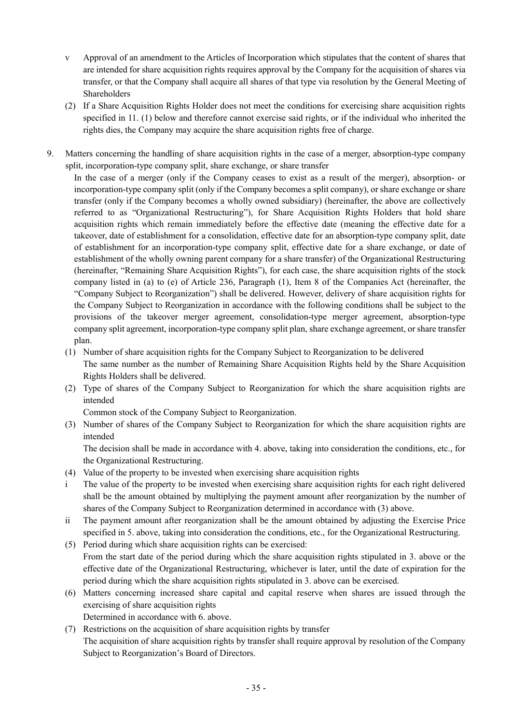- v Approval of an amendment to the Articles of Incorporation which stipulates that the content of shares that are intended for share acquisition rights requires approval by the Company for the acquisition of shares via transfer, or that the Company shall acquire all shares of that type via resolution by the General Meeting of Shareholders
- (2) If a Share Acquisition Rights Holder does not meet the conditions for exercising share acquisition rights specified in 11. (1) below and therefore cannot exercise said rights, or if the individual who inherited the rights dies, the Company may acquire the share acquisition rights free of charge.
- 9. Matters concerning the handling of share acquisition rights in the case of a merger, absorption-type company split, incorporation-type company split, share exchange, or share transfer

In the case of a merger (only if the Company ceases to exist as a result of the merger), absorption- or incorporation-type company split (only if the Company becomes a split company), or share exchange or share transfer (only if the Company becomes a wholly owned subsidiary) (hereinafter, the above are collectively referred to as "Organizational Restructuring"), for Share Acquisition Rights Holders that hold share acquisition rights which remain immediately before the effective date (meaning the effective date for a takeover, date of establishment for a consolidation, effective date for an absorption-type company split, date of establishment for an incorporation-type company split, effective date for a share exchange, or date of establishment of the wholly owning parent company for a share transfer) of the Organizational Restructuring (hereinafter, "Remaining Share Acquisition Rights"), for each case, the share acquisition rights of the stock company listed in (a) to (e) of Article 236, Paragraph (1), Item 8 of the Companies Act (hereinafter, the "Company Subject to Reorganization") shall be delivered. However, delivery of share acquisition rights for the Company Subject to Reorganization in accordance with the following conditions shall be subject to the provisions of the takeover merger agreement, consolidation-type merger agreement, absorption-type company split agreement, incorporation-type company split plan, share exchange agreement, or share transfer plan.

- (1) Number of share acquisition rights for the Company Subject to Reorganization to be delivered The same number as the number of Remaining Share Acquisition Rights held by the Share Acquisition Rights Holders shall be delivered.
- (2) Type of shares of the Company Subject to Reorganization for which the share acquisition rights are intended

Common stock of the Company Subject to Reorganization.

(3) Number of shares of the Company Subject to Reorganization for which the share acquisition rights are intended

The decision shall be made in accordance with 4. above, taking into consideration the conditions, etc., for the Organizational Restructuring.

- (4) Value of the property to be invested when exercising share acquisition rights
- i The value of the property to be invested when exercising share acquisition rights for each right delivered shall be the amount obtained by multiplying the payment amount after reorganization by the number of shares of the Company Subject to Reorganization determined in accordance with (3) above.
- ii The payment amount after reorganization shall be the amount obtained by adjusting the Exercise Price specified in 5. above, taking into consideration the conditions, etc., for the Organizational Restructuring.
- (5) Period during which share acquisition rights can be exercised: From the start date of the period during which the share acquisition rights stipulated in 3. above or the effective date of the Organizational Restructuring, whichever is later, until the date of expiration for the period during which the share acquisition rights stipulated in 3. above can be exercised.
- (6) Matters concerning increased share capital and capital reserve when shares are issued through the exercising of share acquisition rights

Determined in accordance with 6. above.

(7) Restrictions on the acquisition of share acquisition rights by transfer The acquisition of share acquisition rights by transfer shall require approval by resolution of the Company Subject to Reorganization's Board of Directors.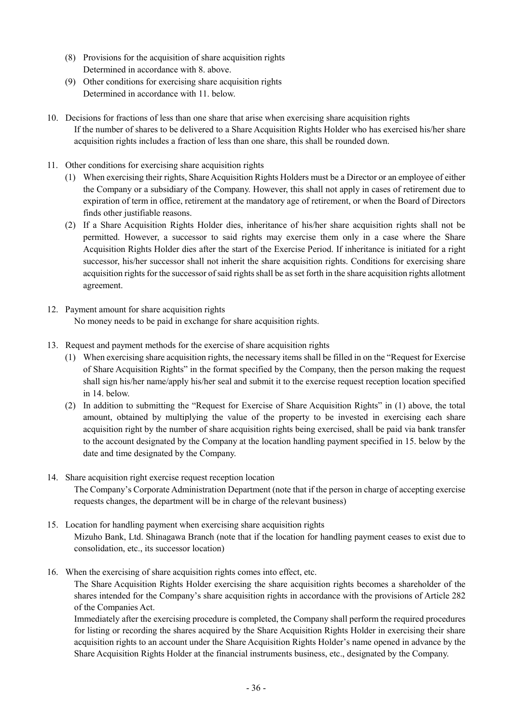- (8) Provisions for the acquisition of share acquisition rights Determined in accordance with 8. above.
- (9) Other conditions for exercising share acquisition rights Determined in accordance with 11. below.
- 10. Decisions for fractions of less than one share that arise when exercising share acquisition rights If the number of shares to be delivered to a Share Acquisition Rights Holder who has exercised his/her share acquisition rights includes a fraction of less than one share, this shall be rounded down.
- 11. Other conditions for exercising share acquisition rights
	- (1) When exercising their rights, Share Acquisition Rights Holders must be a Director or an employee of either the Company or a subsidiary of the Company. However, this shall not apply in cases of retirement due to expiration of term in office, retirement at the mandatory age of retirement, or when the Board of Directors finds other justifiable reasons.
	- (2) If a Share Acquisition Rights Holder dies, inheritance of his/her share acquisition rights shall not be permitted. However, a successor to said rights may exercise them only in a case where the Share Acquisition Rights Holder dies after the start of the Exercise Period. If inheritance is initiated for a right successor, his/her successor shall not inherit the share acquisition rights. Conditions for exercising share acquisition rights for the successor of said rights shall be as set forth in the share acquisition rights allotment agreement.
- 12. Payment amount for share acquisition rights No money needs to be paid in exchange for share acquisition rights.
- 13. Request and payment methods for the exercise of share acquisition rights
	- (1) When exercising share acquisition rights, the necessary items shall be filled in on the "Request for Exercise of Share Acquisition Rights" in the format specified by the Company, then the person making the request shall sign his/her name/apply his/her seal and submit it to the exercise request reception location specified in 14. below.
	- (2) In addition to submitting the "Request for Exercise of Share Acquisition Rights" in (1) above, the total amount, obtained by multiplying the value of the property to be invested in exercising each share acquisition right by the number of share acquisition rights being exercised, shall be paid via bank transfer to the account designated by the Company at the location handling payment specified in 15. below by the date and time designated by the Company.
- 14. Share acquisition right exercise request reception location The Company's Corporate Administration Department (note that if the person in charge of accepting exercise requests changes, the department will be in charge of the relevant business)
- 15. Location for handling payment when exercising share acquisition rights Mizuho Bank, Ltd. Shinagawa Branch (note that if the location for handling payment ceases to exist due to consolidation, etc., its successor location)
- 16. When the exercising of share acquisition rights comes into effect, etc.

The Share Acquisition Rights Holder exercising the share acquisition rights becomes a shareholder of the shares intended for the Company's share acquisition rights in accordance with the provisions of Article 282 of the Companies Act.

Immediately after the exercising procedure is completed, the Company shall perform the required procedures for listing or recording the shares acquired by the Share Acquisition Rights Holder in exercising their share acquisition rights to an account under the Share Acquisition Rights Holder's name opened in advance by the Share Acquisition Rights Holder at the financial instruments business, etc., designated by the Company.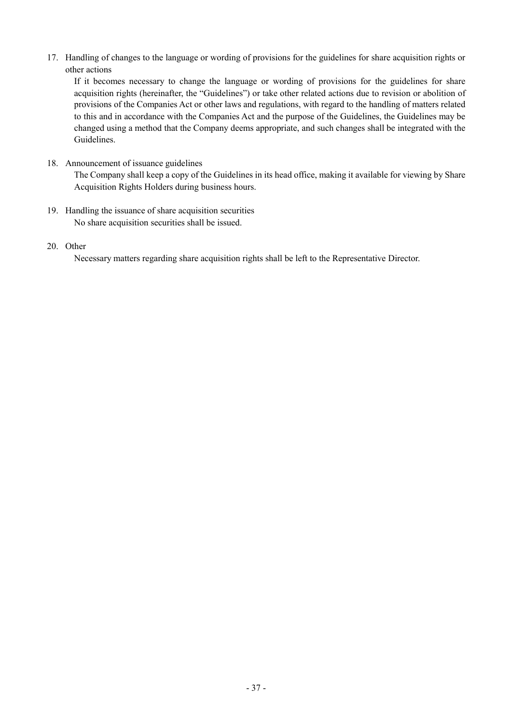17. Handling of changes to the language or wording of provisions for the guidelines for share acquisition rights or other actions

If it becomes necessary to change the language or wording of provisions for the guidelines for share acquisition rights (hereinafter, the "Guidelines") or take other related actions due to revision or abolition of provisions of the Companies Act or other laws and regulations, with regard to the handling of matters related to this and in accordance with the Companies Act and the purpose of the Guidelines, the Guidelines may be changed using a method that the Company deems appropriate, and such changes shall be integrated with the Guidelines.

18. Announcement of issuance guidelines

The Company shall keep a copy of the Guidelines in its head office, making it available for viewing by Share Acquisition Rights Holders during business hours.

- 19. Handling the issuance of share acquisition securities No share acquisition securities shall be issued.
- 20. Other

Necessary matters regarding share acquisition rights shall be left to the Representative Director.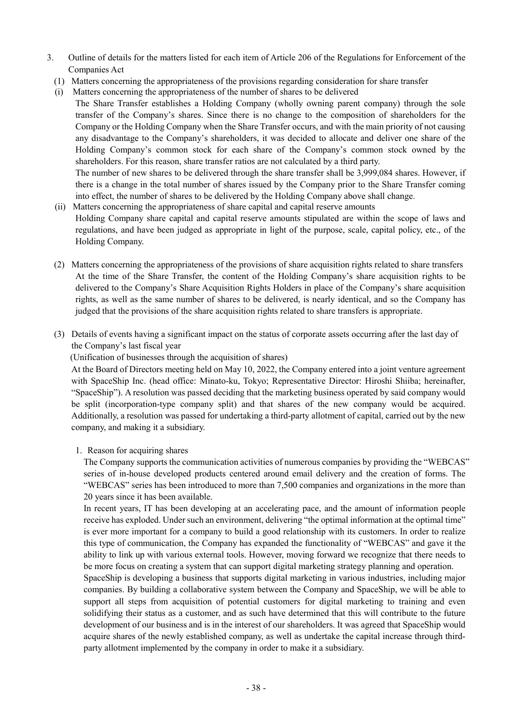- 3. Outline of details for the matters listed for each item of Article 206 of the Regulations for Enforcement of the Companies Act
	- (1) Matters concerning the appropriateness of the provisions regarding consideration for share transfer
	- (i) Matters concerning the appropriateness of the number of shares to be delivered
	- The Share Transfer establishes a Holding Company (wholly owning parent company) through the sole transfer of the Company's shares. Since there is no change to the composition of shareholders for the Company or the Holding Company when the Share Transfer occurs, and with the main priority of not causing any disadvantage to the Company's shareholders, it was decided to allocate and deliver one share of the Holding Company's common stock for each share of the Company's common stock owned by the shareholders. For this reason, share transfer ratios are not calculated by a third party. The number of new shares to be delivered through the share transfer shall be 3,999,084 shares. However, if there is a change in the total number of shares issued by the Company prior to the Share Transfer coming into effect, the number of shares to be delivered by the Holding Company above shall change.
	- (ii) Matters concerning the appropriateness of share capital and capital reserve amounts Holding Company share capital and capital reserve amounts stipulated are within the scope of laws and regulations, and have been judged as appropriate in light of the purpose, scale, capital policy, etc., of the Holding Company.
	- (2) Matters concerning the appropriateness of the provisions of share acquisition rights related to share transfers At the time of the Share Transfer, the content of the Holding Company's share acquisition rights to be delivered to the Company's Share Acquisition Rights Holders in place of the Company's share acquisition rights, as well as the same number of shares to be delivered, is nearly identical, and so the Company has judged that the provisions of the share acquisition rights related to share transfers is appropriate.
	- (3) Details of events having a significant impact on the status of corporate assets occurring after the last day of the Company's last fiscal year

(Unification of businesses through the acquisition of shares)

At the Board of Directors meeting held on May 10, 2022, the Company entered into a joint venture agreement with SpaceShip Inc. (head office: Minato-ku, Tokyo; Representative Director: Hiroshi Shiiba; hereinafter, "SpaceShip"). A resolution was passed deciding that the marketing business operated by said company would be split (incorporation-type company split) and that shares of the new company would be acquired. Additionally, a resolution was passed for undertaking a third-party allotment of capital, carried out by the new company, and making it a subsidiary.

1. Reason for acquiring shares

The Company supports the communication activities of numerous companies by providing the "WEBCAS" series of in-house developed products centered around email delivery and the creation of forms. The "WEBCAS" series has been introduced to more than 7,500 companies and organizations in the more than 20 years since it has been available.

In recent years, IT has been developing at an accelerating pace, and the amount of information people receive has exploded. Under such an environment, delivering "the optimal information at the optimal time" is ever more important for a company to build a good relationship with its customers. In order to realize this type of communication, the Company has expanded the functionality of "WEBCAS" and gave it the ability to link up with various external tools. However, moving forward we recognize that there needs to be more focus on creating a system that can support digital marketing strategy planning and operation.

SpaceShip is developing a business that supports digital marketing in various industries, including major companies. By building a collaborative system between the Company and SpaceShip, we will be able to support all steps from acquisition of potential customers for digital marketing to training and even solidifying their status as a customer, and as such have determined that this will contribute to the future development of our business and is in the interest of our shareholders. It was agreed that SpaceShip would acquire shares of the newly established company, as well as undertake the capital increase through thirdparty allotment implemented by the company in order to make it a subsidiary.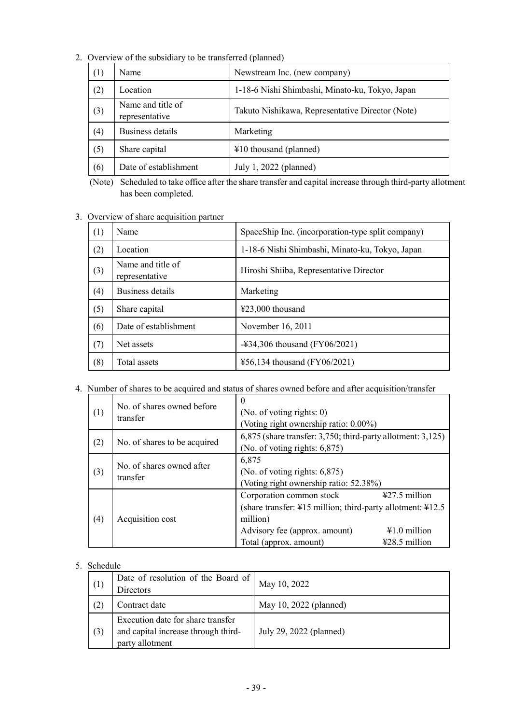|  |  | 2. Overview of the subsidiary to be transferred (planned) |  |
|--|--|-----------------------------------------------------------|--|
|  |  |                                                           |  |

| (1)               | Name                                | Newstream Inc. (new company)                     |
|-------------------|-------------------------------------|--------------------------------------------------|
| (2)               | Location                            | 1-18-6 Nishi Shimbashi, Minato-ku, Tokyo, Japan  |
| (3)               | Name and title of<br>representative | Takuto Nishikawa, Representative Director (Note) |
| $\left( 4\right)$ | Business details                    | Marketing                                        |
| (5)               | Share capital                       | ¥10 thousand (planned)                           |
| (6)               | Date of establishment               | July 1, 2022 (planned)                           |

(Note) Scheduled to take office after the share transfer and capital increase through third-party allotment has been completed.

# 3. Overview of share acquisition partner

| (1) | Name                                | SpaceShip Inc. (incorporation-type split company) |
|-----|-------------------------------------|---------------------------------------------------|
| (2) | Location                            | 1-18-6 Nishi Shimbashi, Minato-ku, Tokyo, Japan   |
| (3) | Name and title of<br>representative | Hiroshi Shiiba, Representative Director           |
| (4) | Business details                    | Marketing                                         |
| (5) | Share capital                       | ¥23,000 thousand                                  |
| (6) | Date of establishment               | November 16, 2011                                 |
| (7) | Net assets                          | $-434,306$ thousand (FY06/2021)                   |
| (8) | Total assets                        | ¥56,134 thousand (FY06/2021)                      |

# 4. Number of shares to be acquired and status of shares owned before and after acquisition/transfer

| (1) | No. of shares owned before<br>transfer | $\theta$<br>(No. of voting rights: 0)<br>(Voting right ownership ratio: 0.00%)                                                                                                                                                                                             |
|-----|----------------------------------------|----------------------------------------------------------------------------------------------------------------------------------------------------------------------------------------------------------------------------------------------------------------------------|
| (2) | No. of shares to be acquired           | $6,875$ (share transfer: 3,750; third-party allotment: 3,125)<br>(No. of voting rights: $6,875$ )                                                                                                                                                                          |
| (3) | No. of shares owned after<br>transfer  | 6,875<br>(No. of voting rights: $6,875$ )<br>(Voting right ownership ratio: 52.38%)                                                                                                                                                                                        |
| (4) | Acquisition cost                       | Corporation common stock<br>$\frac{127.5}{2}$ million<br>(share transfer: $\frac{1}{2}$ 15 million; third-party allotment: $\frac{1}{2}$ 12.5<br>million)<br>¥1.0 million<br>Advisory fee (approx. amount)<br>Total (approx. amount)<br>$\text{\textsterling}28.5$ million |

# 5. Schedule

| (1, | Date of resolution of the Board of<br>Directors                                             | May 10, 2022            |
|-----|---------------------------------------------------------------------------------------------|-------------------------|
| (2) | Contract date                                                                               | May 10, 2022 (planned)  |
| (3) | Execution date for share transfer<br>and capital increase through third-<br>party allotment | July 29, 2022 (planned) |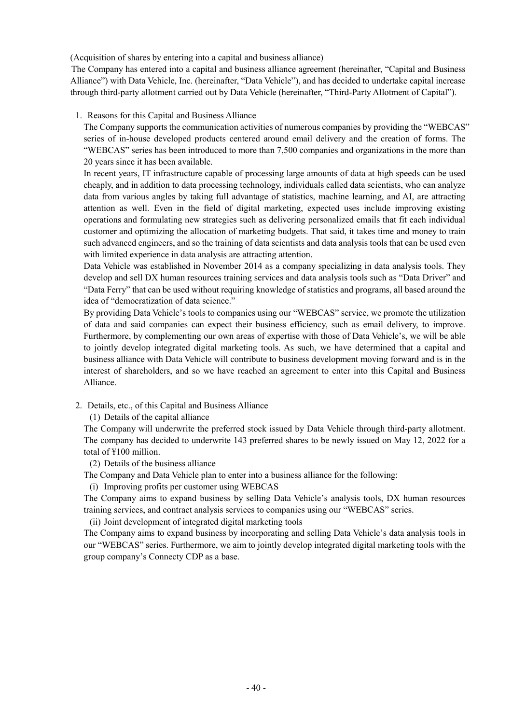(Acquisition of shares by entering into a capital and business alliance)

The Company has entered into a capital and business alliance agreement (hereinafter, "Capital and Business Alliance") with Data Vehicle, Inc. (hereinafter, "Data Vehicle"), and has decided to undertake capital increase through third-party allotment carried out by Data Vehicle (hereinafter, "Third-Party Allotment of Capital").

1. Reasons for this Capital and Business Alliance

The Company supports the communication activities of numerous companies by providing the "WEBCAS" series of in-house developed products centered around email delivery and the creation of forms. The "WEBCAS" series has been introduced to more than 7,500 companies and organizations in the more than 20 years since it has been available.

In recent years, IT infrastructure capable of processing large amounts of data at high speeds can be used cheaply, and in addition to data processing technology, individuals called data scientists, who can analyze data from various angles by taking full advantage of statistics, machine learning, and AI, are attracting attention as well. Even in the field of digital marketing, expected uses include improving existing operations and formulating new strategies such as delivering personalized emails that fit each individual customer and optimizing the allocation of marketing budgets. That said, it takes time and money to train such advanced engineers, and so the training of data scientists and data analysis tools that can be used even with limited experience in data analysis are attracting attention.

Data Vehicle was established in November 2014 as a company specializing in data analysis tools. They develop and sell DX human resources training services and data analysis tools such as "Data Driver" and "Data Ferry" that can be used without requiring knowledge of statistics and programs, all based around the idea of "democratization of data science."

By providing Data Vehicle's tools to companies using our "WEBCAS" service, we promote the utilization of data and said companies can expect their business efficiency, such as email delivery, to improve. Furthermore, by complementing our own areas of expertise with those of Data Vehicle's, we will be able to jointly develop integrated digital marketing tools. As such, we have determined that a capital and business alliance with Data Vehicle will contribute to business development moving forward and is in the interest of shareholders, and so we have reached an agreement to enter into this Capital and Business Alliance.

2. Details, etc., of this Capital and Business Alliance

(1) Details of the capital alliance

The Company will underwrite the preferred stock issued by Data Vehicle through third-party allotment. The company has decided to underwrite 143 preferred shares to be newly issued on May 12, 2022 for a total of ¥100 million.

(2) Details of the business alliance

The Company and Data Vehicle plan to enter into a business alliance for the following:

(i) Improving profits per customer using WEBCAS

The Company aims to expand business by selling Data Vehicle's analysis tools, DX human resources training services, and contract analysis services to companies using our "WEBCAS" series.

(ii) Joint development of integrated digital marketing tools

The Company aims to expand business by incorporating and selling Data Vehicle's data analysis tools in our "WEBCAS" series. Furthermore, we aim to jointly develop integrated digital marketing tools with the group company's Connecty CDP as a base.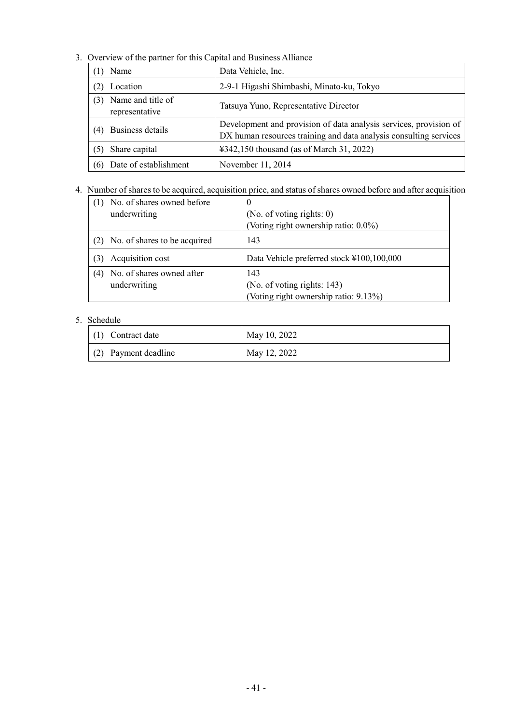3. Overview of the partner for this Capital and Business Alliance

| Name                                       | Data Vehicle, Inc.                                                                                                                     |
|--------------------------------------------|----------------------------------------------------------------------------------------------------------------------------------------|
| Location                                   | 2-9-1 Higashi Shimbashi, Minato-ku, Tokyo                                                                                              |
| Name and title of<br>(3)<br>representative | Tatsuya Yuno, Representative Director                                                                                                  |
| Business details<br>(4)                    | Development and provision of data analysis services, provision of<br>DX human resources training and data analysis consulting services |
| Share capital<br>(5)                       | ¥342,150 thousand (as of March 31, 2022)                                                                                               |
| Date of establishment<br>(6)               | November 11, 2014                                                                                                                      |

# 4. Number of shares to be acquired, acquisition price, and status of shares owned before and after acquisition

|     | (1) No. of shares owned before   |                                           |
|-----|----------------------------------|-------------------------------------------|
|     | underwriting                     | (No. of voting rights: 0)                 |
|     |                                  | (Voting right ownership ratio: 0.0%)      |
|     | (2) No. of shares to be acquired | 143                                       |
| (3) | Acquisition cost                 | Data Vehicle preferred stock ¥100,100,000 |
| (4) | No. of shares owned after        | 143                                       |
|     | underwriting                     | (No. of voting rights: 143)               |
|     |                                  | (Voting right ownership ratio: 9.13%)     |

# 5. Schedule

| $(1)$ Contract date    | May 10, 2022 |
|------------------------|--------------|
| $(2)$ Payment deadline | May 12, 2022 |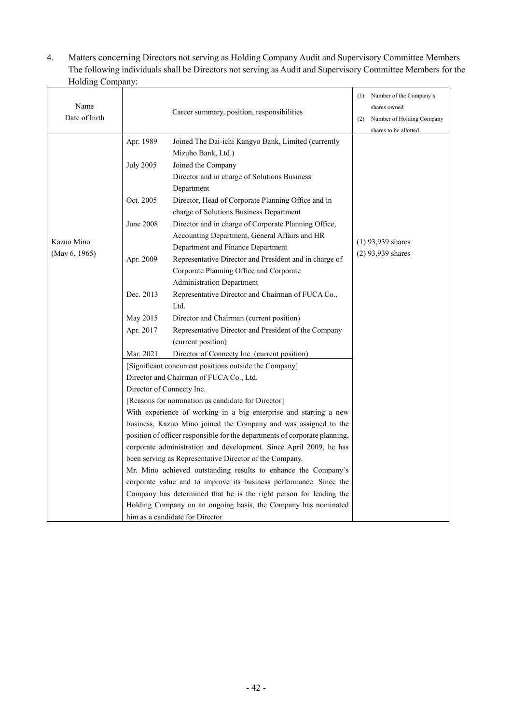4. Matters concerning Directors not serving as Holding Company Audit and Supervisory Committee Members The following individuals shall be Directors not serving as Audit and Supervisory Committee Members for the Holding Company:

|               |                           |                                                                            | Number of the Company's<br>(1)   |
|---------------|---------------------------|----------------------------------------------------------------------------|----------------------------------|
| Name          |                           | Career summary, position, responsibilities                                 | shares owned                     |
| Date of birth |                           |                                                                            | Number of Holding Company<br>(2) |
|               |                           |                                                                            | shares to be allotted            |
|               | Apr. 1989                 | Joined The Dai-ichi Kangyo Bank, Limited (currently                        |                                  |
|               |                           | Mizuho Bank, Ltd.)                                                         |                                  |
|               | <b>July 2005</b>          | Joined the Company                                                         |                                  |
|               |                           | Director and in charge of Solutions Business<br>Department                 |                                  |
|               | Oct. 2005                 | Director, Head of Corporate Planning Office and in                         |                                  |
|               |                           | charge of Solutions Business Department                                    |                                  |
|               | June 2008                 | Director and in charge of Corporate Planning Office,                       |                                  |
|               |                           | Accounting Department, General Affairs and HR                              |                                  |
| Kazuo Mino    |                           | Department and Finance Department                                          | $(1)$ 93,939 shares              |
| (May 6, 1965) | Apr. 2009                 | Representative Director and President and in charge of                     | $(2)$ 93,939 shares              |
|               |                           | Corporate Planning Office and Corporate                                    |                                  |
|               |                           | <b>Administration Department</b>                                           |                                  |
|               | Dec. 2013                 | Representative Director and Chairman of FUCA Co.,                          |                                  |
|               |                           | Ltd.                                                                       |                                  |
|               | May 2015                  | Director and Chairman (current position)                                   |                                  |
|               | Apr. 2017                 | Representative Director and President of the Company                       |                                  |
|               |                           | (current position)                                                         |                                  |
|               | Mar. 2021                 | Director of Connecty Inc. (current position)                               |                                  |
|               |                           | [Significant concurrent positions outside the Company]                     |                                  |
|               |                           | Director and Chairman of FUCA Co., Ltd.                                    |                                  |
|               | Director of Connecty Inc. |                                                                            |                                  |
|               |                           | [Reasons for nomination as candidate for Director]                         |                                  |
|               |                           | With experience of working in a big enterprise and starting a new          |                                  |
|               |                           | business, Kazuo Mino joined the Company and was assigned to the            |                                  |
|               |                           | position of officer responsible for the departments of corporate planning, |                                  |
|               |                           | corporate administration and development. Since April 2009, he has         |                                  |
|               |                           | been serving as Representative Director of the Company.                    |                                  |
|               |                           | Mr. Mino achieved outstanding results to enhance the Company's             |                                  |
|               |                           | corporate value and to improve its business performance. Since the         |                                  |
|               |                           | Company has determined that he is the right person for leading the         |                                  |
|               |                           | Holding Company on an ongoing basis, the Company has nominated             |                                  |
|               |                           | him as a candidate for Director.                                           |                                  |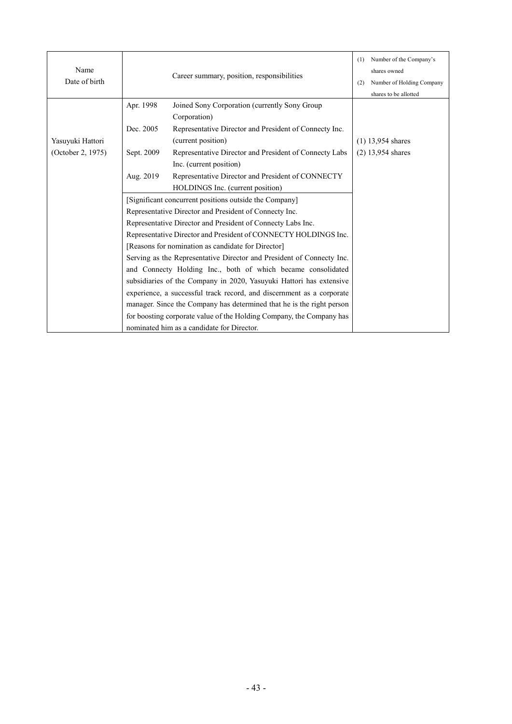| Name<br>Date of birth |            | Career summary, position, responsibilities                            | (1)<br>(2) | Number of the Company's<br>shares owned<br>Number of Holding Company<br>shares to be allotted |
|-----------------------|------------|-----------------------------------------------------------------------|------------|-----------------------------------------------------------------------------------------------|
|                       | Apr. 1998  | Joined Sony Corporation (currently Sony Group                         |            |                                                                                               |
|                       |            | Corporation)                                                          |            |                                                                                               |
|                       | Dec. 2005  | Representative Director and President of Connecty Inc.                |            |                                                                                               |
| Yasuyuki Hattori      |            | (current position)                                                    |            | $(1)$ 13,954 shares                                                                           |
| (October 2, 1975)     | Sept. 2009 | Representative Director and President of Connecty Labs                |            | $(2)$ 13,954 shares                                                                           |
|                       |            | Inc. (current position)                                               |            |                                                                                               |
|                       | Aug. 2019  | Representative Director and President of CONNECTY                     |            |                                                                                               |
|                       |            | HOLDINGS Inc. (current position)                                      |            |                                                                                               |
|                       |            | [Significant concurrent positions outside the Company]                |            |                                                                                               |
|                       |            | Representative Director and President of Connecty Inc.                |            |                                                                                               |
|                       |            | Representative Director and President of Connecty Labs Inc.           |            |                                                                                               |
|                       |            | Representative Director and President of CONNECTY HOLDINGS Inc.       |            |                                                                                               |
|                       |            | [Reasons for nomination as candidate for Director]                    |            |                                                                                               |
|                       |            | Serving as the Representative Director and President of Connecty Inc. |            |                                                                                               |
|                       |            | and Connecty Holding Inc., both of which became consolidated          |            |                                                                                               |
|                       |            | subsidiaries of the Company in 2020, Yasuyuki Hattori has extensive   |            |                                                                                               |
|                       |            | experience, a successful track record, and discernment as a corporate |            |                                                                                               |
|                       |            | manager. Since the Company has determined that he is the right person |            |                                                                                               |
|                       |            | for boosting corporate value of the Holding Company, the Company has  |            |                                                                                               |
|                       |            | nominated him as a candidate for Director.                            |            |                                                                                               |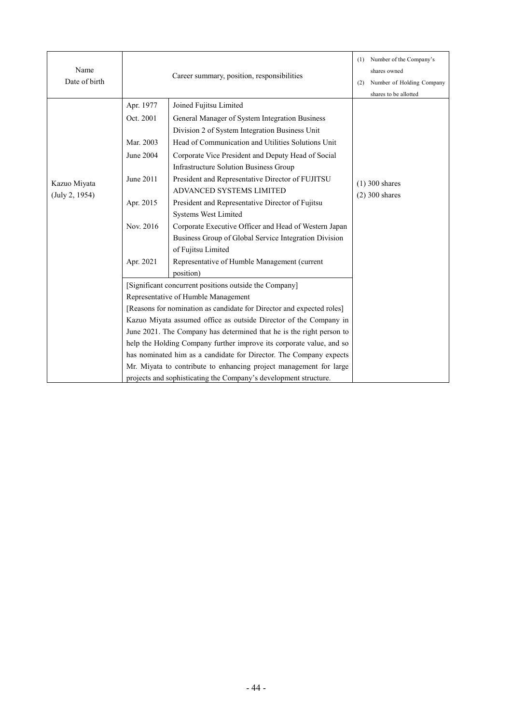| Name<br>Date of birth          |           | Career summary, position, responsibilities                                                          | Number of the Company's<br>(1)<br>shares owned<br>Number of Holding Company<br>(2)<br>shares to be allotted |
|--------------------------------|-----------|-----------------------------------------------------------------------------------------------------|-------------------------------------------------------------------------------------------------------------|
|                                | Apr. 1977 | Joined Fujitsu Limited                                                                              |                                                                                                             |
|                                | Oct. 2001 | General Manager of System Integration Business                                                      |                                                                                                             |
|                                |           | Division 2 of System Integration Business Unit                                                      |                                                                                                             |
|                                | Mar. 2003 | Head of Communication and Utilities Solutions Unit                                                  |                                                                                                             |
|                                | June 2004 | Corporate Vice President and Deputy Head of Social<br><b>Infrastructure Solution Business Group</b> |                                                                                                             |
| Kazuo Miyata<br>(July 2, 1954) | June 2011 | President and Representative Director of FUJITSU<br>ADVANCED SYSTEMS LIMITED                        | $(1)$ 300 shares<br>$(2)$ 300 shares                                                                        |
|                                | Apr. 2015 | President and Representative Director of Fujitsu                                                    |                                                                                                             |
|                                |           | <b>Systems West Limited</b>                                                                         |                                                                                                             |
|                                | Nov. 2016 | Corporate Executive Officer and Head of Western Japan                                               |                                                                                                             |
|                                |           | Business Group of Global Service Integration Division                                               |                                                                                                             |
|                                |           | of Fujitsu Limited                                                                                  |                                                                                                             |
|                                | Apr. 2021 | Representative of Humble Management (current                                                        |                                                                                                             |
|                                |           | position)                                                                                           |                                                                                                             |
|                                |           | [Significant concurrent positions outside the Company]                                              |                                                                                                             |
|                                |           | Representative of Humble Management                                                                 |                                                                                                             |
|                                |           | [Reasons for nomination as candidate for Director and expected roles]                               |                                                                                                             |
|                                |           | Kazuo Miyata assumed office as outside Director of the Company in                                   |                                                                                                             |
|                                |           | June 2021. The Company has determined that he is the right person to                                |                                                                                                             |
|                                |           | help the Holding Company further improve its corporate value, and so                                |                                                                                                             |
|                                |           | has nominated him as a candidate for Director. The Company expects                                  |                                                                                                             |
|                                |           | Mr. Miyata to contribute to enhancing project management for large                                  |                                                                                                             |
|                                |           | projects and sophisticating the Company's development structure.                                    |                                                                                                             |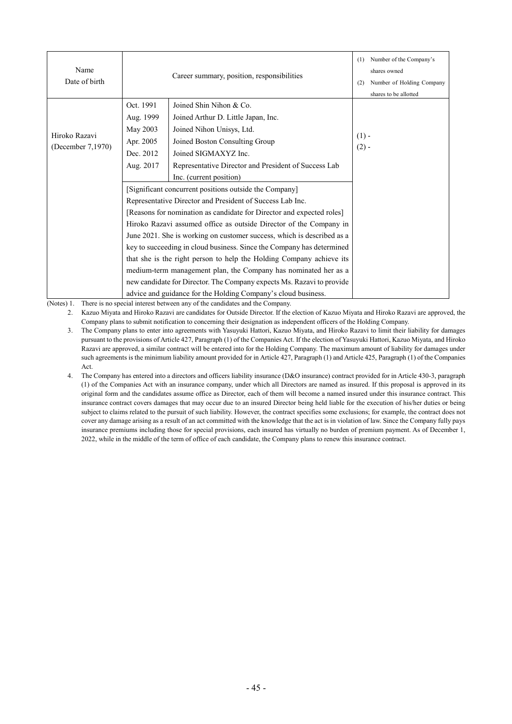| Name<br>Date of birth | Career summary, position, responsibilities |                                                                        | (1)<br>(2)         | Number of the Company's<br>shares owned<br>Number of Holding Company<br>shares to be allotted |
|-----------------------|--------------------------------------------|------------------------------------------------------------------------|--------------------|-----------------------------------------------------------------------------------------------|
|                       | Oct. 1991                                  | Joined Shin Nihon & Co.                                                |                    |                                                                                               |
|                       | Aug. 1999                                  | Joined Arthur D. Little Japan, Inc.                                    |                    |                                                                                               |
|                       | May 2003                                   | Joined Nihon Unisys, Ltd.                                              |                    |                                                                                               |
| Hiroko Razavi         | Apr. 2005                                  | Joined Boston Consulting Group                                         | $(1)$ -<br>$(2) -$ |                                                                                               |
| (December 7,1970)     | Dec. 2012                                  | Joined SIGMAXYZ Inc.                                                   |                    |                                                                                               |
|                       | Aug. 2017                                  | Representative Director and President of Success Lab                   |                    |                                                                                               |
|                       |                                            | Inc. (current position)                                                |                    |                                                                                               |
|                       |                                            | [Significant concurrent positions outside the Company]                 |                    |                                                                                               |
|                       |                                            | Representative Director and President of Success Lab Inc.              |                    |                                                                                               |
|                       |                                            | [Reasons for nomination as candidate for Director and expected roles]  |                    |                                                                                               |
|                       |                                            | Hiroko Razavi assumed office as outside Director of the Company in     |                    |                                                                                               |
|                       |                                            | June 2021. She is working on customer success, which is described as a |                    |                                                                                               |
|                       |                                            | key to succeeding in cloud business. Since the Company has determined  |                    |                                                                                               |
|                       |                                            | that she is the right person to help the Holding Company achieve its   |                    |                                                                                               |
|                       |                                            | medium-term management plan, the Company has nominated her as a        |                    |                                                                                               |
|                       |                                            | new candidate for Director. The Company expects Ms. Razavi to provide  |                    |                                                                                               |
|                       |                                            | advice and guidance for the Holding Company's cloud business.          |                    |                                                                                               |

(Notes) 1. There is no special interest between any of the candidates and the Company.

2. Kazuo Miyata and Hiroko Razavi are candidates for Outside Director. If the election of Kazuo Miyata and Hiroko Razavi are approved, the Company plans to submit notification to concerning their designation as independent officers of the Holding Company.

3. The Company plans to enter into agreements with Yasuyuki Hattori, Kazuo Miyata, and Hiroko Razavi to limit their liability for damages pursuant to the provisions of Article 427, Paragraph (1) of the Companies Act. If the election of Yasuyuki Hattori, Kazuo Miyata, and Hiroko Razavi are approved, a similar contract will be entered into for the Holding Company. The maximum amount of liability for damages under such agreements is the minimum liability amount provided for in Article 427, Paragraph (1) and Article 425, Paragraph (1) of the Companies Act.

4. The Company has entered into a directors and officers liability insurance (D&O insurance) contract provided for in Article 430-3, paragraph (1) of the Companies Act with an insurance company, under which all Directors are named as insured. If this proposal is approved in its original form and the candidates assume office as Director, each of them will become a named insured under this insurance contract. This insurance contract covers damages that may occur due to an insured Director being held liable for the execution of his/her duties or being subject to claims related to the pursuit of such liability. However, the contract specifies some exclusions; for example, the contract does not cover any damage arising as a result of an act committed with the knowledge that the act is in violation of law. Since the Company fully pays insurance premiums including those for special provisions, each insured has virtually no burden of premium payment. As of December 1, 2022, while in the middle of the term of office of each candidate, the Company plans to renew this insurance contract.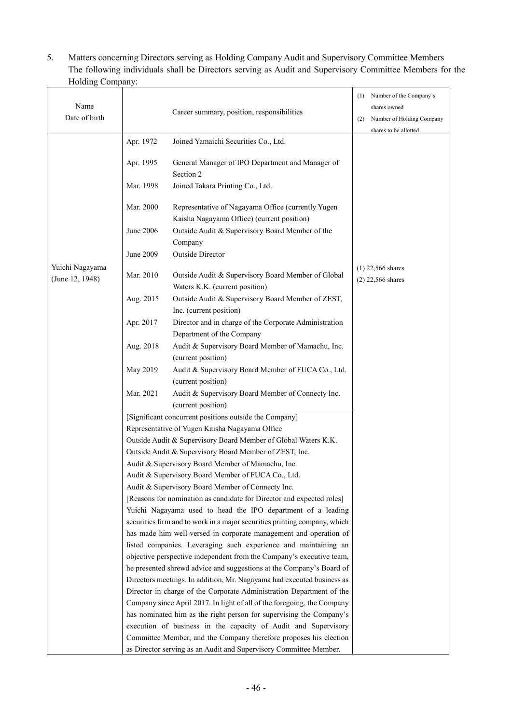5. Matters concerning Directors serving as Holding Company Audit and Supervisory Committee Members The following individuals shall be Directors serving as Audit and Supervisory Committee Members for the Holding Company:  $\overline{a}$ 

| Name<br>Date of birth              |                  | Career summary, position, responsibilities                                                                               | Number of the Company's<br>(1)<br>shares owned<br>Number of Holding Company<br>(2)<br>shares to be allotted |
|------------------------------------|------------------|--------------------------------------------------------------------------------------------------------------------------|-------------------------------------------------------------------------------------------------------------|
|                                    | Apr. 1972        | Joined Yamaichi Securities Co., Ltd.                                                                                     |                                                                                                             |
|                                    | Apr. 1995        | General Manager of IPO Department and Manager of<br>Section 2                                                            |                                                                                                             |
|                                    | Mar. 1998        | Joined Takara Printing Co., Ltd.                                                                                         |                                                                                                             |
|                                    | Mar. 2000        | Representative of Nagayama Office (currently Yugen<br>Kaisha Nagayama Office) (current position)                         |                                                                                                             |
|                                    | <b>June 2006</b> | Outside Audit & Supervisory Board Member of the<br>Company                                                               |                                                                                                             |
|                                    | June 2009        | <b>Outside Director</b>                                                                                                  |                                                                                                             |
| Yuichi Nagayama<br>(June 12, 1948) | Mar. 2010        | Outside Audit & Supervisory Board Member of Global<br>Waters K.K. (current position)                                     | $(1)$ 22,566 shares<br>$(2)$ 22,566 shares                                                                  |
|                                    | Aug. 2015        | Outside Audit & Supervisory Board Member of ZEST,<br>Inc. (current position)                                             |                                                                                                             |
|                                    | Apr. 2017        | Director and in charge of the Corporate Administration                                                                   |                                                                                                             |
|                                    | Aug. 2018        | Department of the Company<br>Audit & Supervisory Board Member of Mamachu, Inc.                                           |                                                                                                             |
|                                    | May 2019         | (current position)<br>Audit & Supervisory Board Member of FUCA Co., Ltd.                                                 |                                                                                                             |
|                                    | Mar. 2021        | (current position)<br>Audit & Supervisory Board Member of Connecty Inc.                                                  |                                                                                                             |
|                                    |                  | (current position)                                                                                                       |                                                                                                             |
|                                    |                  | [Significant concurrent positions outside the Company]                                                                   |                                                                                                             |
|                                    |                  | Representative of Yugen Kaisha Nagayama Office                                                                           |                                                                                                             |
|                                    |                  | Outside Audit & Supervisory Board Member of Global Waters K.K.<br>Outside Audit & Supervisory Board Member of ZEST, Inc. |                                                                                                             |
|                                    |                  | Audit & Supervisory Board Member of Mamachu, Inc.                                                                        |                                                                                                             |
|                                    |                  | Audit & Supervisory Board Member of FUCA Co., Ltd.                                                                       |                                                                                                             |
|                                    |                  | Audit & Supervisory Board Member of Connecty Inc.                                                                        |                                                                                                             |
|                                    |                  | [Reasons for nomination as candidate for Director and expected roles]                                                    |                                                                                                             |
|                                    |                  | Yuichi Nagayama used to head the IPO department of a leading                                                             |                                                                                                             |
|                                    |                  | securities firm and to work in a major securities printing company, which                                                |                                                                                                             |
|                                    |                  | has made him well-versed in corporate management and operation of                                                        |                                                                                                             |
|                                    |                  | listed companies. Leveraging such experience and maintaining an                                                          |                                                                                                             |
|                                    |                  | objective perspective independent from the Company's executive team,                                                     |                                                                                                             |
|                                    |                  | he presented shrewd advice and suggestions at the Company's Board of                                                     |                                                                                                             |
|                                    |                  | Directors meetings. In addition, Mr. Nagayama had executed business as                                                   |                                                                                                             |
|                                    |                  | Director in charge of the Corporate Administration Department of the                                                     |                                                                                                             |
|                                    |                  | Company since April 2017. In light of all of the foregoing, the Company                                                  |                                                                                                             |
|                                    |                  | has nominated him as the right person for supervising the Company's                                                      |                                                                                                             |
|                                    |                  | execution of business in the capacity of Audit and Supervisory                                                           |                                                                                                             |
|                                    |                  | Committee Member, and the Company therefore proposes his election                                                        |                                                                                                             |
|                                    |                  | as Director serving as an Audit and Supervisory Committee Member.                                                        |                                                                                                             |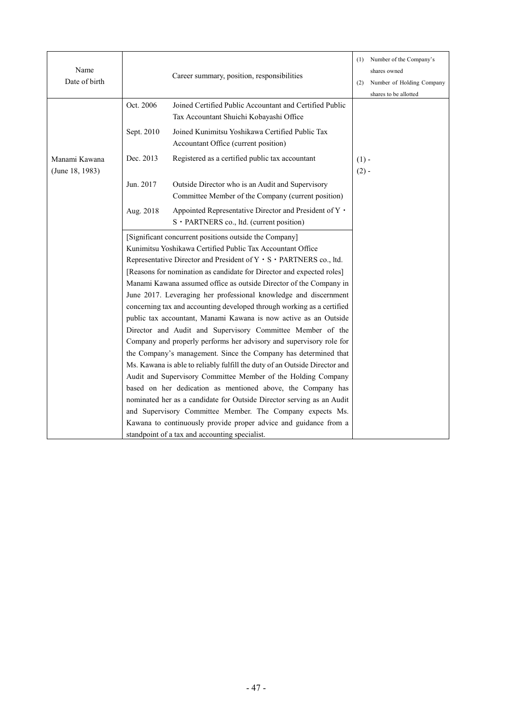| Name<br>Date of birth            |            | Career summary, position, responsibilities                                                                                                                                                                                                                                                                                                                                                                                                                                                                                                                                                                                                                                                                                                                                                                                                                                                                                                                                                                                                                                                                                                                                                                                                     | (1)<br>(2)         | Number of the Company's<br>shares owned<br>Number of Holding Company<br>shares to be allotted |
|----------------------------------|------------|------------------------------------------------------------------------------------------------------------------------------------------------------------------------------------------------------------------------------------------------------------------------------------------------------------------------------------------------------------------------------------------------------------------------------------------------------------------------------------------------------------------------------------------------------------------------------------------------------------------------------------------------------------------------------------------------------------------------------------------------------------------------------------------------------------------------------------------------------------------------------------------------------------------------------------------------------------------------------------------------------------------------------------------------------------------------------------------------------------------------------------------------------------------------------------------------------------------------------------------------|--------------------|-----------------------------------------------------------------------------------------------|
|                                  | Oct. 2006  | Joined Certified Public Accountant and Certified Public<br>Tax Accountant Shuichi Kobayashi Office                                                                                                                                                                                                                                                                                                                                                                                                                                                                                                                                                                                                                                                                                                                                                                                                                                                                                                                                                                                                                                                                                                                                             |                    |                                                                                               |
|                                  | Sept. 2010 | Joined Kunimitsu Yoshikawa Certified Public Tax<br>Accountant Office (current position)                                                                                                                                                                                                                                                                                                                                                                                                                                                                                                                                                                                                                                                                                                                                                                                                                                                                                                                                                                                                                                                                                                                                                        |                    |                                                                                               |
| Manami Kawana<br>(June 18, 1983) | Dec. 2013  | Registered as a certified public tax accountant                                                                                                                                                                                                                                                                                                                                                                                                                                                                                                                                                                                                                                                                                                                                                                                                                                                                                                                                                                                                                                                                                                                                                                                                | $(1)$ -<br>$(2) -$ |                                                                                               |
|                                  | Jun. 2017  | Outside Director who is an Audit and Supervisory<br>Committee Member of the Company (current position)                                                                                                                                                                                                                                                                                                                                                                                                                                                                                                                                                                                                                                                                                                                                                                                                                                                                                                                                                                                                                                                                                                                                         |                    |                                                                                               |
|                                  | Aug. 2018  | Appointed Representative Director and President of Y ·<br>S · PARTNERS co., ltd. (current position)                                                                                                                                                                                                                                                                                                                                                                                                                                                                                                                                                                                                                                                                                                                                                                                                                                                                                                                                                                                                                                                                                                                                            |                    |                                                                                               |
|                                  |            | [Significant concurrent positions outside the Company]<br>Kunimitsu Yoshikawa Certified Public Tax Accountant Office<br>Representative Director and President of Y · S · PARTNERS co., ltd.<br>[Reasons for nomination as candidate for Director and expected roles]<br>Manami Kawana assumed office as outside Director of the Company in<br>June 2017. Leveraging her professional knowledge and discernment<br>concerning tax and accounting developed through working as a certified<br>public tax accountant, Manami Kawana is now active as an Outside<br>Director and Audit and Supervisory Committee Member of the<br>Company and properly performs her advisory and supervisory role for<br>the Company's management. Since the Company has determined that<br>Ms. Kawana is able to reliably fulfill the duty of an Outside Director and<br>Audit and Supervisory Committee Member of the Holding Company<br>based on her dedication as mentioned above, the Company has<br>nominated her as a candidate for Outside Director serving as an Audit<br>and Supervisory Committee Member. The Company expects Ms.<br>Kawana to continuously provide proper advice and guidance from a<br>standpoint of a tax and accounting specialist. |                    |                                                                                               |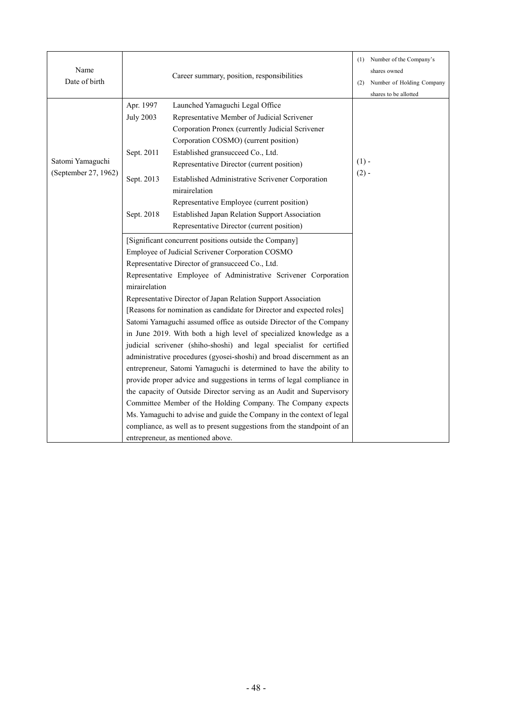| Name<br>Date of birth |                                                                       | Career summary, position, responsibilities                              | (1)<br>(2) | Number of the Company's<br>shares owned<br>Number of Holding Company<br>shares to be allotted |
|-----------------------|-----------------------------------------------------------------------|-------------------------------------------------------------------------|------------|-----------------------------------------------------------------------------------------------|
|                       | Apr. 1997                                                             | Launched Yamaguchi Legal Office                                         |            |                                                                                               |
|                       | <b>July 2003</b>                                                      | Representative Member of Judicial Scrivener                             |            |                                                                                               |
|                       |                                                                       | Corporation Pronex (currently Judicial Scrivener                        |            |                                                                                               |
|                       |                                                                       | Corporation COSMO) (current position)                                   |            |                                                                                               |
|                       | Sept. 2011                                                            | Established gransucceed Co., Ltd.                                       |            |                                                                                               |
| Satomi Yamaguchi      |                                                                       | Representative Director (current position)                              | $(1)$ -    |                                                                                               |
| (September 27, 1962)  | Sept. 2013                                                            | Established Administrative Scrivener Corporation                        | $(2) -$    |                                                                                               |
|                       |                                                                       | mirairelation                                                           |            |                                                                                               |
|                       |                                                                       | Representative Employee (current position)                              |            |                                                                                               |
|                       | Sept. 2018                                                            | Established Japan Relation Support Association                          |            |                                                                                               |
|                       |                                                                       | Representative Director (current position)                              |            |                                                                                               |
|                       |                                                                       | [Significant concurrent positions outside the Company]                  |            |                                                                                               |
|                       |                                                                       | Employee of Judicial Scrivener Corporation COSMO                        |            |                                                                                               |
|                       |                                                                       | Representative Director of gransucceed Co., Ltd.                        |            |                                                                                               |
|                       |                                                                       | Representative Employee of Administrative Scrivener Corporation         |            |                                                                                               |
|                       | mirairelation                                                         |                                                                         |            |                                                                                               |
|                       | Representative Director of Japan Relation Support Association         |                                                                         |            |                                                                                               |
|                       | [Reasons for nomination as candidate for Director and expected roles] |                                                                         |            |                                                                                               |
|                       | Satomi Yamaguchi assumed office as outside Director of the Company    |                                                                         |            |                                                                                               |
|                       |                                                                       | in June 2019. With both a high level of specialized knowledge as a      |            |                                                                                               |
|                       |                                                                       | judicial scrivener (shiho-shoshi) and legal specialist for certified    |            |                                                                                               |
|                       |                                                                       | administrative procedures (gyosei-shoshi) and broad discernment as an   |            |                                                                                               |
|                       |                                                                       | entrepreneur, Satomi Yamaguchi is determined to have the ability to     |            |                                                                                               |
|                       |                                                                       | provide proper advice and suggestions in terms of legal compliance in   |            |                                                                                               |
|                       |                                                                       | the capacity of Outside Director serving as an Audit and Supervisory    |            |                                                                                               |
|                       |                                                                       | Committee Member of the Holding Company. The Company expects            |            |                                                                                               |
|                       | Ms. Yamaguchi to advise and guide the Company in the context of legal |                                                                         |            |                                                                                               |
|                       |                                                                       | compliance, as well as to present suggestions from the standpoint of an |            |                                                                                               |
|                       |                                                                       | entrepreneur, as mentioned above.                                       |            |                                                                                               |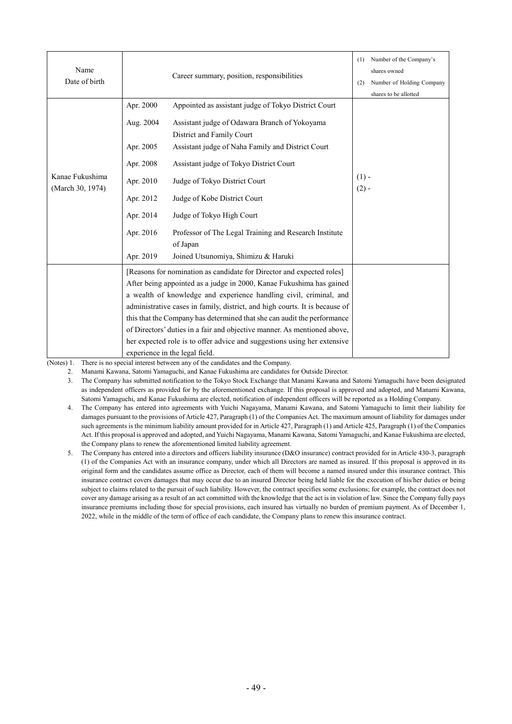| Name<br>Date of birth               | Career summary, position, responsibilities                                              | Number of the Company's<br>(1)<br>shares owned<br>Number of Holding Company<br>(2)<br>shares to be allotted |
|-------------------------------------|-----------------------------------------------------------------------------------------|-------------------------------------------------------------------------------------------------------------|
|                                     | Apr. 2000<br>Appointed as assistant judge of Tokyo District Court                       |                                                                                                             |
|                                     | Aug. 2004<br>Assistant judge of Odawara Branch of Yokoyama<br>District and Family Court |                                                                                                             |
|                                     | Apr. 2005<br>Assistant judge of Naha Family and District Court                          |                                                                                                             |
|                                     | Apr. 2008<br>Assistant judge of Tokyo District Court                                    |                                                                                                             |
| Kanae Fukushima<br>(March 30, 1974) | Apr. 2010<br>Judge of Tokyo District Court                                              | $(1)$ -<br>$(2) -$                                                                                          |
|                                     | Apr. 2012<br>Judge of Kobe District Court                                               |                                                                                                             |
|                                     | Apr. 2014<br>Judge of Tokyo High Court                                                  |                                                                                                             |
|                                     | Apr. 2016<br>Professor of The Legal Training and Research Institute<br>of Japan         |                                                                                                             |
|                                     | Apr. 2019<br>Joined Utsunomiya, Shimizu & Haruki                                        |                                                                                                             |
|                                     | [Reasons for nomination as candidate for Director and expected roles]                   |                                                                                                             |
|                                     | After being appointed as a judge in 2000, Kanae Fukushima has gained                    |                                                                                                             |
|                                     | a wealth of knowledge and experience handling civil, criminal, and                      |                                                                                                             |
|                                     | administrative cases in family, district, and high courts. It is because of             |                                                                                                             |
|                                     | this that the Company has determined that she can audit the performance                 |                                                                                                             |
|                                     | of Directors' duties in a fair and objective manner. As mentioned above,                |                                                                                                             |
|                                     | her expected role is to offer advice and suggestions using her extensive                |                                                                                                             |
|                                     | experience in the legal field.                                                          |                                                                                                             |

(Notes) 1. There is no special interest between any of the candidates and the Company.

2. Manami Kawana, Satomi Yamaguchi, and Kanae Fukushima are candidates for Outside Director.

3. The Company has submitted notification to the Tokyo Stock Exchange that Manami Kawana and Satomi Yamaguchi have been designated as independent officers as provided for by the aforementioned exchange. If this proposal is approved and adopted, and Manami Kawana, Satomi Yamaguchi, and Kanae Fukushima are elected, notification of independent officers will be reported as a Holding Company.

- 4. The Company has entered into agreements with Yuichi Nagayama, Manami Kawana, and Satomi Yamaguchi to limit their liability for damages pursuant to the provisions of Article 427, Paragraph (1) of the Companies Act. The maximum amount of liability for damages under such agreements is the minimum liability amount provided for in Article 427, Paragraph (1) and Article 425, Paragraph (1) of the Companies Act. If this proposal is approved and adopted, and Yuichi Nagayama, Manami Kawana, Satomi Yamaguchi, and Kanae Fukushima are elected, the Company plans to renew the aforementioned limited liability agreement.
- 5. The Company has entered into a directors and officers liability insurance (D&O insurance) contract provided for in Article 430-3, paragraph (1) of the Companies Act with an insurance company, under which all Directors are named as insured. If this proposal is approved in its original form and the candidates assume office as Director, each of them will become a named insured under this insurance contract. This insurance contract covers damages that may occur due to an insured Director being held liable for the execution of his/her duties or being subject to claims related to the pursuit of such liability. However, the contract specifies some exclusions; for example, the contract does not cover any damage arising as a result of an act committed with the knowledge that the act is in violation of law. Since the Company fully pays insurance premiums including those for special provisions, each insured has virtually no burden of premium payment. As of December 1, 2022, while in the middle of the term of office of each candidate, the Company plans to renew this insurance contract.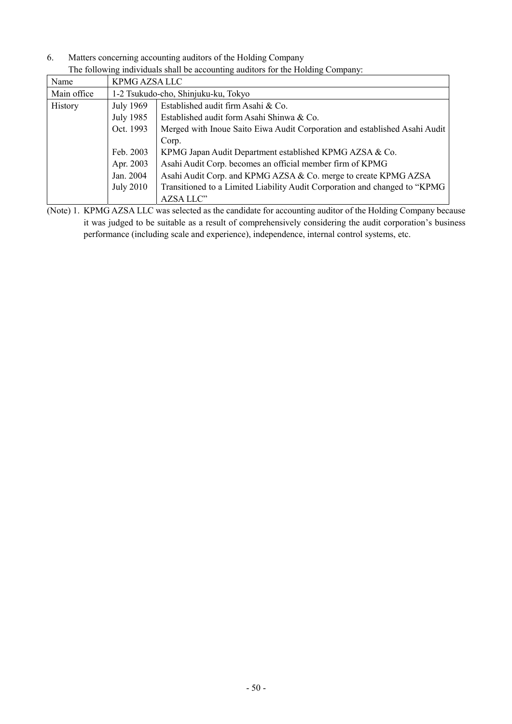6. Matters concerning accounting auditors of the Holding Company

|  | The following individuals shall be accounting auditors for the Holding Company: |  |
|--|---------------------------------------------------------------------------------|--|
|  |                                                                                 |  |

| Name        | KPMG AZSA LLC    |                                                                            |  |  |
|-------------|------------------|----------------------------------------------------------------------------|--|--|
| Main office |                  | 1-2 Tsukudo-cho, Shinjuku-ku, Tokyo                                        |  |  |
| History     | <b>July 1969</b> | Established audit firm Asahi & Co.                                         |  |  |
|             | July 1985        | Established audit form Asahi Shinwa & Co.                                  |  |  |
|             | Oct. 1993        | Merged with Inoue Saito Eiwa Audit Corporation and established Asahi Audit |  |  |
|             |                  | Corp.                                                                      |  |  |
|             | Feb. 2003        | KPMG Japan Audit Department established KPMG AZSA & Co.                    |  |  |
|             | Apr. 2003        | Asahi Audit Corp. becomes an official member firm of KPMG                  |  |  |
|             | Jan. 2004        | Asahi Audit Corp. and KPMG AZSA & Co. merge to create KPMG AZSA            |  |  |
|             | <b>July 2010</b> | Transitioned to a Limited Liability Audit Corporation and changed to "KPMG |  |  |
|             |                  | <b>AZSA LLC"</b>                                                           |  |  |

(Note) 1. KPMG AZSA LLC was selected as the candidate for accounting auditor of the Holding Company because it was judged to be suitable as a result of comprehensively considering the audit corporation's business performance (including scale and experience), independence, internal control systems, etc.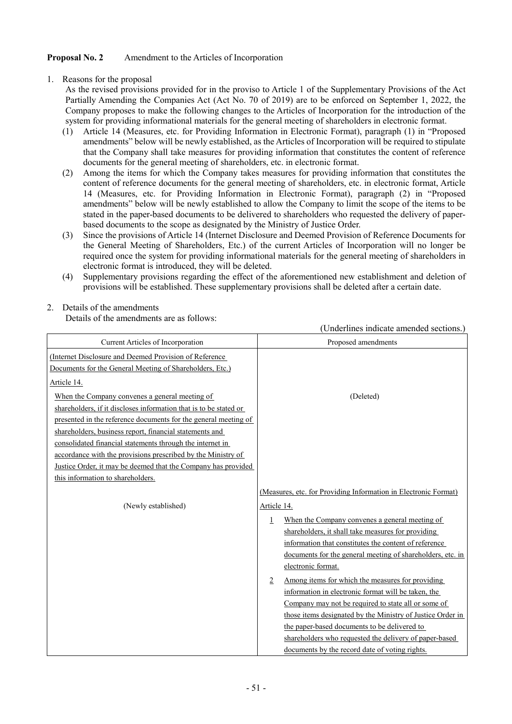# **Proposal No. 2** Amendment to the Articles of Incorporation

# 1. Reasons for the proposal

As the revised provisions provided for in the proviso to Article 1 of the Supplementary Provisions of the Act Partially Amending the Companies Act (Act No. 70 of 2019) are to be enforced on September 1, 2022, the Company proposes to make the following changes to the Articles of Incorporation for the introduction of the system for providing informational materials for the general meeting of shareholders in electronic format.

- (1) Article 14 (Measures, etc. for Providing Information in Electronic Format), paragraph (1) in "Proposed amendments" below will be newly established, as the Articles of Incorporation will be required to stipulate that the Company shall take measures for providing information that constitutes the content of reference documents for the general meeting of shareholders, etc. in electronic format.
- (2) Among the items for which the Company takes measures for providing information that constitutes the content of reference documents for the general meeting of shareholders, etc. in electronic format, Article 14 (Measures, etc. for Providing Information in Electronic Format), paragraph (2) in "Proposed amendments" below will be newly established to allow the Company to limit the scope of the items to be stated in the paper-based documents to be delivered to shareholders who requested the delivery of paperbased documents to the scope as designated by the Ministry of Justice Order.
- (3) Since the provisions of Article 14 (Internet Disclosure and Deemed Provision of Reference Documents for the General Meeting of Shareholders, Etc.) of the current Articles of Incorporation will no longer be required once the system for providing informational materials for the general meeting of shareholders in electronic format is introduced, they will be deleted.
- (4) Supplementary provisions regarding the effect of the aforementioned new establishment and deletion of provisions will be established. These supplementary provisions shall be deleted after a certain date.

(Underlines indicate amended sections.)

# 2. Details of the amendments

Details of the amendments are as follows:

|                                                                   | nacrimes marcule unichaea secti                                 |
|-------------------------------------------------------------------|-----------------------------------------------------------------|
| Current Articles of Incorporation                                 | Proposed amendments                                             |
| (Internet Disclosure and Deemed Provision of Reference            |                                                                 |
| Documents for the General Meeting of Shareholders, Etc.)          |                                                                 |
| Article 14.                                                       |                                                                 |
| When the Company convenes a general meeting of                    | (Deleted)                                                       |
| shareholders, if it discloses information that is to be stated or |                                                                 |
| presented in the reference documents for the general meeting of   |                                                                 |
| shareholders, business report, financial statements and           |                                                                 |
| consolidated financial statements through the internet in         |                                                                 |
| accordance with the provisions prescribed by the Ministry of      |                                                                 |
| Justice Order, it may be deemed that the Company has provided     |                                                                 |
| this information to shareholders.                                 |                                                                 |
|                                                                   | (Measures, etc. for Providing Information in Electronic Format) |
| (Newly established)                                               | Article 14.                                                     |
|                                                                   | When the Company convenes a general meeting of<br>1             |
|                                                                   | shareholders, it shall take measures for providing              |
|                                                                   | information that constitutes the content of reference           |
|                                                                   | documents for the general meeting of shareholders, etc. in      |
|                                                                   | electronic format.                                              |
|                                                                   | Among items for which the measures for providing<br>2           |
|                                                                   | information in electronic format will be taken, the             |
|                                                                   | Company may not be required to state all or some of             |
|                                                                   | those items designated by the Ministry of Justice Order in      |
|                                                                   | the paper-based documents to be delivered to                    |
|                                                                   | shareholders who requested the delivery of paper-based          |
|                                                                   | documents by the record date of voting rights.                  |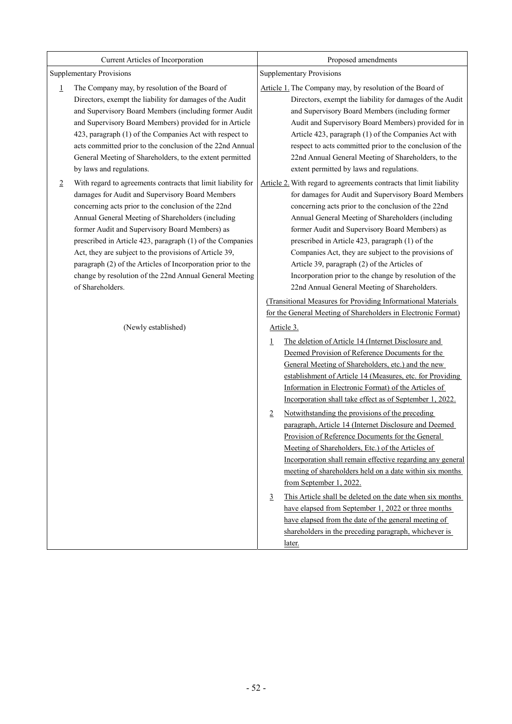|                | Current Articles of Incorporation                                                                                 | Proposed amendments                                                                                                        |
|----------------|-------------------------------------------------------------------------------------------------------------------|----------------------------------------------------------------------------------------------------------------------------|
|                | <b>Supplementary Provisions</b>                                                                                   | <b>Supplementary Provisions</b>                                                                                            |
| 1              | The Company may, by resolution of the Board of<br>Directors, exempt the liability for damages of the Audit        | Article 1. The Company may, by resolution of the Board of<br>Directors, exempt the liability for damages of the Audit      |
|                | and Supervisory Board Members (including former Audit                                                             | and Supervisory Board Members (including former                                                                            |
|                | and Supervisory Board Members) provided for in Article<br>423, paragraph (1) of the Companies Act with respect to | Audit and Supervisory Board Members) provided for in<br>Article 423, paragraph (1) of the Companies Act with               |
|                | acts committed prior to the conclusion of the 22nd Annual                                                         | respect to acts committed prior to the conclusion of the                                                                   |
|                | General Meeting of Shareholders, to the extent permitted                                                          | 22nd Annual General Meeting of Shareholders, to the                                                                        |
|                | by laws and regulations.                                                                                          | extent permitted by laws and regulations.                                                                                  |
| $\overline{2}$ | With regard to agreements contracts that limit liability for<br>damages for Audit and Supervisory Board Members   | Article 2. With regard to agreements contracts that limit liability<br>for damages for Audit and Supervisory Board Members |
|                | concerning acts prior to the conclusion of the 22nd                                                               | concerning acts prior to the conclusion of the 22nd                                                                        |
|                | Annual General Meeting of Shareholders (including                                                                 | Annual General Meeting of Shareholders (including                                                                          |
|                | former Audit and Supervisory Board Members) as<br>prescribed in Article 423, paragraph (1) of the Companies       | former Audit and Supervisory Board Members) as<br>prescribed in Article 423, paragraph (1) of the                          |
|                | Act, they are subject to the provisions of Article 39,                                                            | Companies Act, they are subject to the provisions of                                                                       |
|                | paragraph (2) of the Articles of Incorporation prior to the                                                       | Article 39, paragraph (2) of the Articles of                                                                               |
|                | change by resolution of the 22nd Annual General Meeting                                                           | Incorporation prior to the change by resolution of the                                                                     |
|                | of Shareholders.                                                                                                  | 22nd Annual General Meeting of Shareholders.                                                                               |
|                |                                                                                                                   | (Transitional Measures for Providing Informational Materials                                                               |
|                |                                                                                                                   | for the General Meeting of Shareholders in Electronic Format)                                                              |
|                | (Newly established)                                                                                               | Article 3.                                                                                                                 |
|                |                                                                                                                   | The deletion of Article 14 (Internet Disclosure and<br>$\perp$                                                             |
|                |                                                                                                                   | Deemed Provision of Reference Documents for the                                                                            |
|                |                                                                                                                   | General Meeting of Shareholders, etc.) and the new                                                                         |
|                |                                                                                                                   | establishment of Article 14 (Measures, etc. for Providing                                                                  |
|                |                                                                                                                   | Information in Electronic Format) of the Articles of<br>Incorporation shall take effect as of September 1, 2022.           |
|                |                                                                                                                   |                                                                                                                            |
|                |                                                                                                                   | Notwithstanding the provisions of the preceding<br>$\overline{2}$<br>paragraph, Article 14 (Internet Disclosure and Deemed |
|                |                                                                                                                   | Provision of Reference Documents for the General                                                                           |
|                |                                                                                                                   | Meeting of Shareholders, Etc.) of the Articles of                                                                          |
|                |                                                                                                                   | Incorporation shall remain effective regarding any general                                                                 |
|                |                                                                                                                   | meeting of shareholders held on a date within six months                                                                   |
|                |                                                                                                                   | from September 1, 2022.                                                                                                    |
|                |                                                                                                                   | This Article shall be deleted on the date when six months<br>$\overline{3}$                                                |
|                |                                                                                                                   | have elapsed from September 1, 2022 or three months                                                                        |
|                |                                                                                                                   | have elapsed from the date of the general meeting of                                                                       |
|                |                                                                                                                   | shareholders in the preceding paragraph, whichever is                                                                      |
|                |                                                                                                                   | later.                                                                                                                     |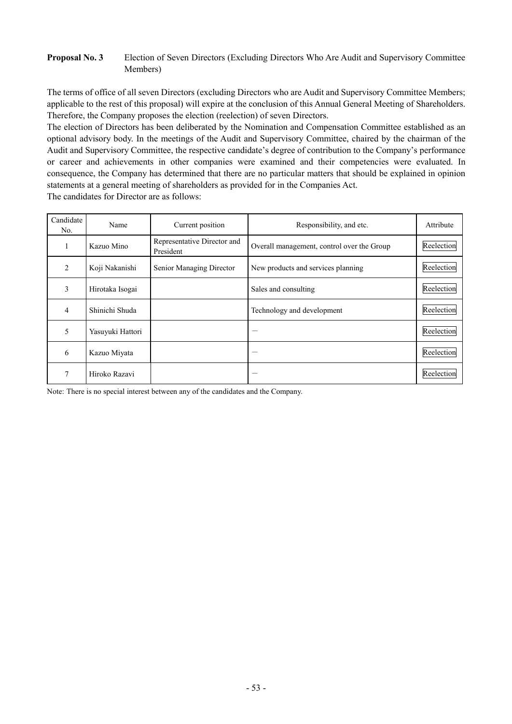# **Proposal No. 3** Election of Seven Directors (Excluding Directors Who Are Audit and Supervisory Committee Members)

The terms of office of all seven Directors (excluding Directors who are Audit and Supervisory Committee Members; applicable to the rest of this proposal) will expire at the conclusion of this Annual General Meeting of Shareholders. Therefore, the Company proposes the election (reelection) of seven Directors.

The election of Directors has been deliberated by the Nomination and Compensation Committee established as an optional advisory body. In the meetings of the Audit and Supervisory Committee, chaired by the chairman of the Audit and Supervisory Committee, the respective candidate's degree of contribution to the Company's performance or career and achievements in other companies were examined and their competencies were evaluated. In consequence, the Company has determined that there are no particular matters that should be explained in opinion statements at a general meeting of shareholders as provided for in the Companies Act.

The candidates for Director are as follows:

| Candidate<br>No. | Name             | Current position                         | Responsibility, and etc.                   | Attribute  |
|------------------|------------------|------------------------------------------|--------------------------------------------|------------|
|                  | Kazuo Mino       | Representative Director and<br>President | Overall management, control over the Group | Reelection |
| $\mathfrak{D}$   | Koji Nakanishi   | Senior Managing Director                 | New products and services planning         | Reelection |
| 3                | Hirotaka Isogai  |                                          | Sales and consulting                       | Reelection |
| 4                | Shinichi Shuda   |                                          | Technology and development                 | Reelection |
| 5                | Yasuyuki Hattori |                                          |                                            | Reelection |
| 6                | Kazuo Miyata     |                                          |                                            | Reelection |
| $\mathcal{I}$    | Hiroko Razavi    |                                          |                                            | Reelection |

Note: There is no special interest between any of the candidates and the Company.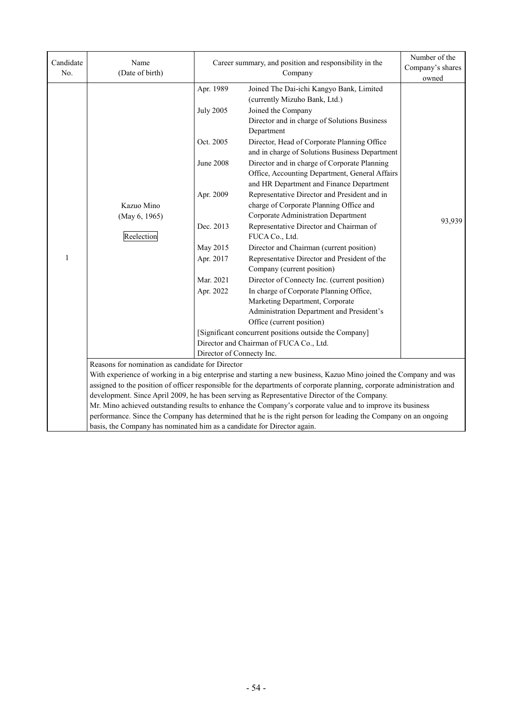| Candidate<br>No. | Name<br>(Date of birth)                                                                                                                                               | Career summary, and position and responsibility in the                                                                                                                   | Number of the<br>Company's shares<br>owned                                                                                                                                                                                                                                                                                                                                                                                                                                                                                                                                                                                                                                                                                                                                                                                                                                                                                                                                                                                                         |        |  |  |
|------------------|-----------------------------------------------------------------------------------------------------------------------------------------------------------------------|--------------------------------------------------------------------------------------------------------------------------------------------------------------------------|----------------------------------------------------------------------------------------------------------------------------------------------------------------------------------------------------------------------------------------------------------------------------------------------------------------------------------------------------------------------------------------------------------------------------------------------------------------------------------------------------------------------------------------------------------------------------------------------------------------------------------------------------------------------------------------------------------------------------------------------------------------------------------------------------------------------------------------------------------------------------------------------------------------------------------------------------------------------------------------------------------------------------------------------------|--------|--|--|
| 1                | Kazuo Mino<br>(May 6, 1965)<br>Reelection                                                                                                                             | Apr. 1989<br><b>July 2005</b><br>Oct. 2005<br><b>June 2008</b><br>Apr. 2009<br>Dec. 2013<br>May 2015<br>Apr. 2017<br>Mar. 2021<br>Apr. 2022<br>Director of Connecty Inc. | Joined The Dai-ichi Kangyo Bank, Limited<br>(currently Mizuho Bank, Ltd.)<br>Joined the Company<br>Director and in charge of Solutions Business<br>Department<br>Director, Head of Corporate Planning Office<br>and in charge of Solutions Business Department<br>Director and in charge of Corporate Planning<br>Office, Accounting Department, General Affairs<br>and HR Department and Finance Department<br>Representative Director and President and in<br>charge of Corporate Planning Office and<br>Corporate Administration Department<br>Representative Director and Chairman of<br>FUCA Co., Ltd.<br>Director and Chairman (current position)<br>Representative Director and President of the<br>Company (current position)<br>Director of Connecty Inc. (current position)<br>In charge of Corporate Planning Office,<br>Marketing Department, Corporate<br>Administration Department and President's<br>Office (current position)<br>[Significant concurrent positions outside the Company]<br>Director and Chairman of FUCA Co., Ltd. | 93,939 |  |  |
|                  | Reasons for nomination as candidate for Director<br>With experience of working in a big enterprise and starting a new business, Kazuo Mino joined the Company and was |                                                                                                                                                                          |                                                                                                                                                                                                                                                                                                                                                                                                                                                                                                                                                                                                                                                                                                                                                                                                                                                                                                                                                                                                                                                    |        |  |  |
|                  | assigned to the position of officer responsible for the departments of corporate planning, corporate administration and                                               |                                                                                                                                                                          |                                                                                                                                                                                                                                                                                                                                                                                                                                                                                                                                                                                                                                                                                                                                                                                                                                                                                                                                                                                                                                                    |        |  |  |
|                  |                                                                                                                                                                       |                                                                                                                                                                          | development. Since April 2009, he has been serving as Representative Director of the Company.<br>Mr. Mino achieved outstanding results to enhance the Company's corporate value and to improve its business                                                                                                                                                                                                                                                                                                                                                                                                                                                                                                                                                                                                                                                                                                                                                                                                                                        |        |  |  |
|                  |                                                                                                                                                                       |                                                                                                                                                                          | performance. Since the Company has determined that he is the right person for leading the Company on an ongoing                                                                                                                                                                                                                                                                                                                                                                                                                                                                                                                                                                                                                                                                                                                                                                                                                                                                                                                                    |        |  |  |
|                  | basis, the Company has nominated him as a candidate for Director again.                                                                                               |                                                                                                                                                                          |                                                                                                                                                                                                                                                                                                                                                                                                                                                                                                                                                                                                                                                                                                                                                                                                                                                                                                                                                                                                                                                    |        |  |  |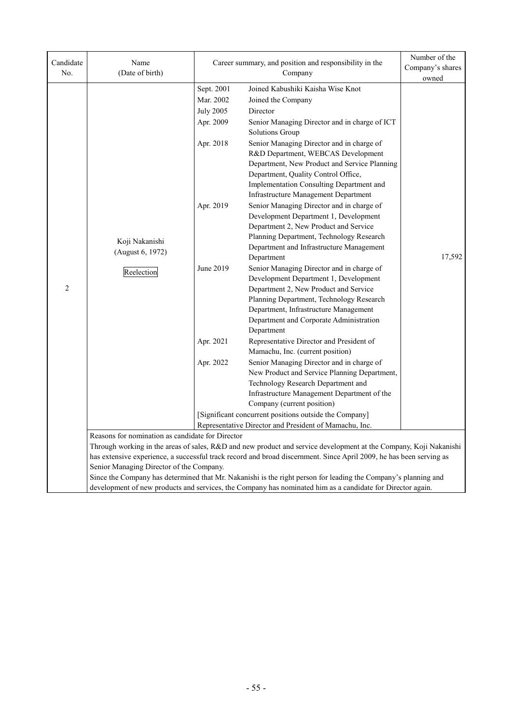| Candidate<br>No. | Name<br>(Date of birth)                                                                                                                                                                                                                                                                      |                                                                                                                    | Career summary, and position and responsibility in the<br>Company                                                                                                                                                                                                                                                                                                                                                                                                                                                                                                                                                                                                                                                                                                                                                                                                                                                                                                                                                                                                                                                                                                                                                                                                                                                                           | Number of the<br>Company's shares<br>owned |  |  |
|------------------|----------------------------------------------------------------------------------------------------------------------------------------------------------------------------------------------------------------------------------------------------------------------------------------------|--------------------------------------------------------------------------------------------------------------------|---------------------------------------------------------------------------------------------------------------------------------------------------------------------------------------------------------------------------------------------------------------------------------------------------------------------------------------------------------------------------------------------------------------------------------------------------------------------------------------------------------------------------------------------------------------------------------------------------------------------------------------------------------------------------------------------------------------------------------------------------------------------------------------------------------------------------------------------------------------------------------------------------------------------------------------------------------------------------------------------------------------------------------------------------------------------------------------------------------------------------------------------------------------------------------------------------------------------------------------------------------------------------------------------------------------------------------------------|--------------------------------------------|--|--|
| $\overline{2}$   | Koji Nakanishi<br>(August 6, 1972)<br>Reelection                                                                                                                                                                                                                                             | Sept. 2001<br>Mar. 2002<br>July 2005<br>Apr. 2009<br>Apr. 2018<br>Apr. 2019<br>June 2019<br>Apr. 2021<br>Apr. 2022 | Joined Kabushiki Kaisha Wise Knot<br>Joined the Company<br>Director<br>Senior Managing Director and in charge of ICT<br>Solutions Group<br>Senior Managing Director and in charge of<br>R&D Department, WEBCAS Development<br>Department, New Product and Service Planning<br>Department, Quality Control Office,<br>Implementation Consulting Department and<br>Infrastructure Management Department<br>Senior Managing Director and in charge of<br>Development Department 1, Development<br>Department 2, New Product and Service<br>Planning Department, Technology Research<br>Department and Infrastructure Management<br>Department<br>Senior Managing Director and in charge of<br>Development Department 1, Development<br>Department 2, New Product and Service<br>Planning Department, Technology Research<br>Department, Infrastructure Management<br>Department and Corporate Administration<br>Department<br>Representative Director and President of<br>Mamachu, Inc. (current position)<br>Senior Managing Director and in charge of<br>New Product and Service Planning Department,<br>Technology Research Department and<br>Infrastructure Management Department of the<br>Company (current position)<br>[Significant concurrent positions outside the Company]<br>Representative Director and President of Mamachu, Inc. | 17,592                                     |  |  |
|                  | Reasons for nomination as candidate for Director<br>Through working in the areas of sales, R&D and new product and service development at the Company, Koji Nakanishi<br>has extensive experience, a successful track record and broad discernment. Since April 2009, he has been serving as |                                                                                                                    |                                                                                                                                                                                                                                                                                                                                                                                                                                                                                                                                                                                                                                                                                                                                                                                                                                                                                                                                                                                                                                                                                                                                                                                                                                                                                                                                             |                                            |  |  |
|                  | Senior Managing Director of the Company.<br>Since the Company has determined that Mr. Nakanishi is the right person for leading the Company's planning and<br>development of new products and services, the Company has nominated him as a candidate for Director again.                     |                                                                                                                    |                                                                                                                                                                                                                                                                                                                                                                                                                                                                                                                                                                                                                                                                                                                                                                                                                                                                                                                                                                                                                                                                                                                                                                                                                                                                                                                                             |                                            |  |  |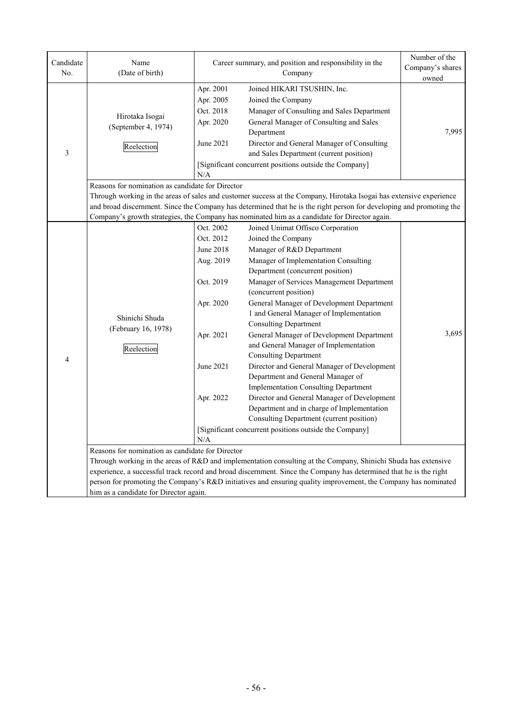| Candidate<br>No. | Name<br>(Date of birth)                                                                                                                                                                                                                                                                                                                                                                                                                              | Career summary, and position and responsibility in the                                                                   | Number of the<br>Company's shares<br>owned                                                                                                                                                                                                                                                                                                                                                                                                                                                                                                                                                                                                                                                                                                                                                                                 |       |  |  |  |
|------------------|------------------------------------------------------------------------------------------------------------------------------------------------------------------------------------------------------------------------------------------------------------------------------------------------------------------------------------------------------------------------------------------------------------------------------------------------------|--------------------------------------------------------------------------------------------------------------------------|----------------------------------------------------------------------------------------------------------------------------------------------------------------------------------------------------------------------------------------------------------------------------------------------------------------------------------------------------------------------------------------------------------------------------------------------------------------------------------------------------------------------------------------------------------------------------------------------------------------------------------------------------------------------------------------------------------------------------------------------------------------------------------------------------------------------------|-------|--|--|--|
| 3                | Hirotaka Isogai<br>(September 4, 1974)<br>Reelection                                                                                                                                                                                                                                                                                                                                                                                                 | Apr. 2001<br>Apr. 2005<br>Oct. 2018<br>Apr. 2020<br>June 2021<br>N/A                                                     | Joined HIKARI TSUSHIN, Inc.<br>Joined the Company<br>Manager of Consulting and Sales Department<br>General Manager of Consulting and Sales<br>Department<br>Director and General Manager of Consulting<br>and Sales Department (current position)<br>[Significant concurrent positions outside the Company]                                                                                                                                                                                                                                                                                                                                                                                                                                                                                                                | 7,995 |  |  |  |
|                  | Reasons for nomination as candidate for Director<br>Through working in the areas of sales and customer success at the Company, Hirotaka Isogai has extensive experience<br>and broad discernment. Since the Company has determined that he is the right person for developing and promoting the<br>Company's growth strategies, the Company has nominated him as a candidate for Director again.                                                     |                                                                                                                          |                                                                                                                                                                                                                                                                                                                                                                                                                                                                                                                                                                                                                                                                                                                                                                                                                            |       |  |  |  |
| 4                | Shinichi Shuda<br>(February 16, 1978)<br>Reelection                                                                                                                                                                                                                                                                                                                                                                                                  | Oct. 2002<br>Oct. 2012<br>June 2018<br>Aug. 2019<br>Oct. 2019<br>Apr. 2020<br>Apr. 2021<br>June 2021<br>Apr. 2022<br>N/A | Joined Unimat Offisco Corporation<br>Joined the Company<br>Manager of R&D Department<br>Manager of Implementation Consulting<br>Department (concurrent position)<br>Manager of Services Management Department<br>(concurrent position)<br>General Manager of Development Department<br>1 and General Manager of Implementation<br><b>Consulting Department</b><br>General Manager of Development Department<br>and General Manager of Implementation<br><b>Consulting Department</b><br>Director and General Manager of Development<br>Department and General Manager of<br><b>Implementation Consulting Department</b><br>Director and General Manager of Development<br>Department and in charge of Implementation<br>Consulting Department (current position)<br>[Significant concurrent positions outside the Company] | 3,695 |  |  |  |
|                  | Reasons for nomination as candidate for Director<br>Through working in the areas of R&D and implementation consulting at the Company, Shinichi Shuda has extensive<br>experience, a successful track record and broad discernment. Since the Company has determined that he is the right<br>person for promoting the Company's R&D initiatives and ensuring quality improvement, the Company has nominated<br>him as a candidate for Director again. |                                                                                                                          |                                                                                                                                                                                                                                                                                                                                                                                                                                                                                                                                                                                                                                                                                                                                                                                                                            |       |  |  |  |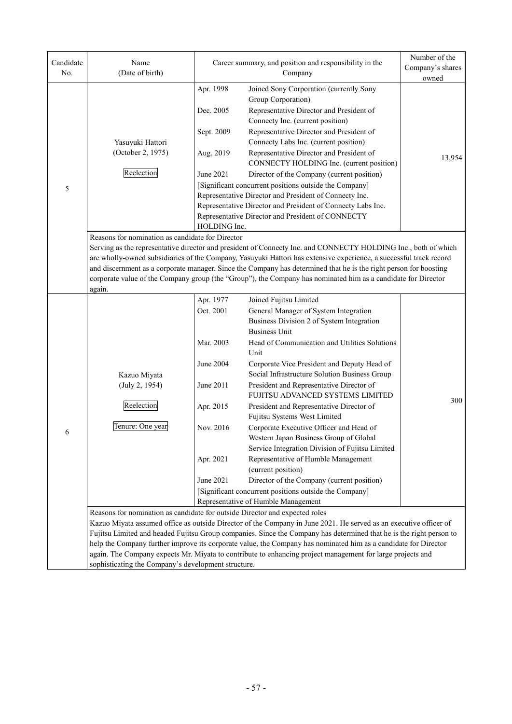| Candidate | Name                                                                                                                                                                                                                                    |                        | Number of the                                                                                                       |                  |  |  |  |
|-----------|-----------------------------------------------------------------------------------------------------------------------------------------------------------------------------------------------------------------------------------------|------------------------|---------------------------------------------------------------------------------------------------------------------|------------------|--|--|--|
| No.       | (Date of birth)                                                                                                                                                                                                                         |                        | Career summary, and position and responsibility in the<br>Company                                                   | Company's shares |  |  |  |
|           |                                                                                                                                                                                                                                         |                        |                                                                                                                     | owned            |  |  |  |
|           |                                                                                                                                                                                                                                         | Apr. 1998              | Joined Sony Corporation (currently Sony<br>Group Corporation)                                                       |                  |  |  |  |
|           |                                                                                                                                                                                                                                         | Dec. 2005              | Representative Director and President of                                                                            |                  |  |  |  |
|           |                                                                                                                                                                                                                                         |                        | Connecty Inc. (current position)                                                                                    |                  |  |  |  |
|           |                                                                                                                                                                                                                                         | Sept. 2009             | Representative Director and President of                                                                            |                  |  |  |  |
|           | Yasuyuki Hattori                                                                                                                                                                                                                        |                        | Connecty Labs Inc. (current position)                                                                               |                  |  |  |  |
|           | (October 2, 1975)                                                                                                                                                                                                                       | Aug. 2019              | Representative Director and President of                                                                            | 13,954           |  |  |  |
|           |                                                                                                                                                                                                                                         |                        | CONNECTY HOLDING Inc. (current position)                                                                            |                  |  |  |  |
|           | Reelection                                                                                                                                                                                                                              | June 2021              | Director of the Company (current position)                                                                          |                  |  |  |  |
| 5         |                                                                                                                                                                                                                                         |                        | [Significant concurrent positions outside the Company]                                                              |                  |  |  |  |
|           |                                                                                                                                                                                                                                         |                        | Representative Director and President of Connecty Inc.                                                              |                  |  |  |  |
|           |                                                                                                                                                                                                                                         |                        | Representative Director and President of Connecty Labs Inc.                                                         |                  |  |  |  |
|           |                                                                                                                                                                                                                                         |                        | Representative Director and President of CONNECTY                                                                   |                  |  |  |  |
|           |                                                                                                                                                                                                                                         | HOLDING Inc.           |                                                                                                                     |                  |  |  |  |
|           | Reasons for nomination as candidate for Director                                                                                                                                                                                        |                        |                                                                                                                     |                  |  |  |  |
|           |                                                                                                                                                                                                                                         |                        | Serving as the representative director and president of Connecty Inc. and CONNECTY HOLDING Inc., both of which      |                  |  |  |  |
|           | are wholly-owned subsidiaries of the Company, Yasuyuki Hattori has extensive experience, a successful track record<br>and discernment as a corporate manager. Since the Company has determined that he is the right person for boosting |                        |                                                                                                                     |                  |  |  |  |
|           |                                                                                                                                                                                                                                         |                        |                                                                                                                     |                  |  |  |  |
|           |                                                                                                                                                                                                                                         |                        | corporate value of the Company group (the "Group"), the Company has nominated him as a candidate for Director       |                  |  |  |  |
|           | again.                                                                                                                                                                                                                                  |                        |                                                                                                                     |                  |  |  |  |
|           |                                                                                                                                                                                                                                         | Apr. 1977<br>Oct. 2001 | Joined Fujitsu Limited<br>General Manager of System Integration                                                     |                  |  |  |  |
|           |                                                                                                                                                                                                                                         |                        | Business Division 2 of System Integration                                                                           |                  |  |  |  |
|           |                                                                                                                                                                                                                                         |                        | <b>Business Unit</b>                                                                                                |                  |  |  |  |
|           |                                                                                                                                                                                                                                         | Mar. 2003              | Head of Communication and Utilities Solutions                                                                       |                  |  |  |  |
|           |                                                                                                                                                                                                                                         |                        | Unit                                                                                                                |                  |  |  |  |
|           |                                                                                                                                                                                                                                         | June 2004              | Corporate Vice President and Deputy Head of                                                                         |                  |  |  |  |
|           | Kazuo Miyata                                                                                                                                                                                                                            |                        | Social Infrastructure Solution Business Group                                                                       |                  |  |  |  |
|           | (July 2, 1954)                                                                                                                                                                                                                          | June 2011              | President and Representative Director of                                                                            |                  |  |  |  |
|           |                                                                                                                                                                                                                                         |                        | FUJITSU ADVANCED SYSTEMS LIMITED                                                                                    |                  |  |  |  |
|           | Reelection                                                                                                                                                                                                                              | Apr. 2015              | President and Representative Director of                                                                            | 300              |  |  |  |
|           |                                                                                                                                                                                                                                         |                        | Fujitsu Systems West Limited                                                                                        |                  |  |  |  |
|           | Tenure: One year                                                                                                                                                                                                                        | Nov. 2016              | Corporate Executive Officer and Head of                                                                             |                  |  |  |  |
| 6         |                                                                                                                                                                                                                                         |                        | Western Japan Business Group of Global                                                                              |                  |  |  |  |
|           |                                                                                                                                                                                                                                         |                        | Service Integration Division of Fujitsu Limited                                                                     |                  |  |  |  |
|           |                                                                                                                                                                                                                                         | Apr. 2021              | Representative of Humble Management                                                                                 |                  |  |  |  |
|           |                                                                                                                                                                                                                                         |                        | (current position)                                                                                                  |                  |  |  |  |
|           |                                                                                                                                                                                                                                         | June 2021              | Director of the Company (current position)                                                                          |                  |  |  |  |
|           |                                                                                                                                                                                                                                         |                        | [Significant concurrent positions outside the Company]                                                              |                  |  |  |  |
|           |                                                                                                                                                                                                                                         |                        | Representative of Humble Management                                                                                 |                  |  |  |  |
|           | Reasons for nomination as candidate for outside Director and expected roles                                                                                                                                                             |                        |                                                                                                                     |                  |  |  |  |
|           |                                                                                                                                                                                                                                         |                        | Kazuo Miyata assumed office as outside Director of the Company in June 2021. He served as an executive officer of   |                  |  |  |  |
|           |                                                                                                                                                                                                                                         |                        | Fujitsu Limited and headed Fujitsu Group companies. Since the Company has determined that he is the right person to |                  |  |  |  |
|           | help the Company further improve its corporate value, the Company has nominated him as a candidate for Director                                                                                                                         |                        |                                                                                                                     |                  |  |  |  |
|           |                                                                                                                                                                                                                                         |                        | again. The Company expects Mr. Miyata to contribute to enhancing project management for large projects and          |                  |  |  |  |
|           | sophisticating the Company's development structure.                                                                                                                                                                                     |                        |                                                                                                                     |                  |  |  |  |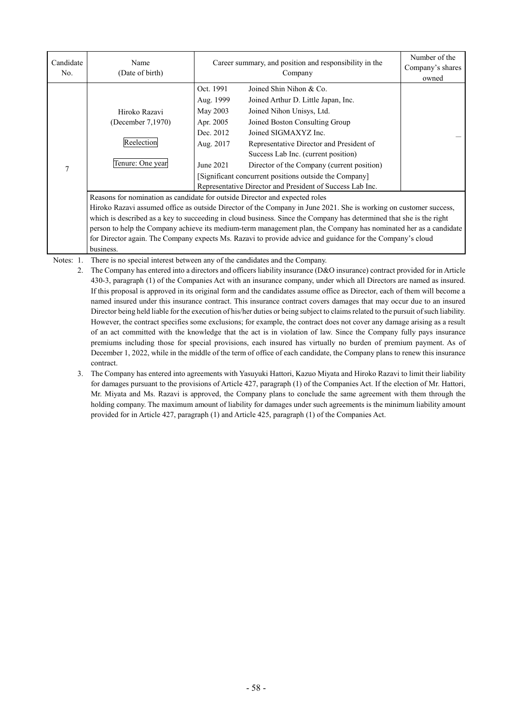| Candidate<br>No. | Name<br>(Date of birth)                                                                                                                                                                                                                                                                                                                                                                                                                                                                                                                                               |                                                                                        | Career summary, and position and responsibility in the<br>Company                                                                                                                                                                                                                                                                                                                                             |  |  |  |
|------------------|-----------------------------------------------------------------------------------------------------------------------------------------------------------------------------------------------------------------------------------------------------------------------------------------------------------------------------------------------------------------------------------------------------------------------------------------------------------------------------------------------------------------------------------------------------------------------|----------------------------------------------------------------------------------------|---------------------------------------------------------------------------------------------------------------------------------------------------------------------------------------------------------------------------------------------------------------------------------------------------------------------------------------------------------------------------------------------------------------|--|--|--|
| 7                | Hiroko Razavi<br>(December 7,1970)<br>Reelection<br>Tenure: One year                                                                                                                                                                                                                                                                                                                                                                                                                                                                                                  | Oct. 1991<br>Aug. 1999<br>May 2003<br>Apr. 2005<br>Dec. 2012<br>Aug. 2017<br>June 2021 | Joined Shin Nihon & Co.<br>Joined Arthur D. Little Japan, Inc.<br>Joined Nihon Unisys, Ltd.<br>Joined Boston Consulting Group<br>Joined SIGMAXYZ Inc.<br>Representative Director and President of<br>Success Lab Inc. (current position)<br>Director of the Company (current position)<br>[Significant concurrent positions outside the Company]<br>Representative Director and President of Success Lab Inc. |  |  |  |
|                  | Reasons for nomination as candidate for outside Director and expected roles<br>Hiroko Razavi assumed office as outside Director of the Company in June 2021. She is working on customer success,<br>which is described as a key to succeeding in cloud business. Since the Company has determined that she is the right<br>person to help the Company achieve its medium-term management plan, the Company has nominated her as a candidate<br>for Director again. The Company expects Ms. Razavi to provide advice and guidance for the Company's cloud<br>business. |                                                                                        |                                                                                                                                                                                                                                                                                                                                                                                                               |  |  |  |

Notes: 1. There is no special interest between any of the candidates and the Company.

2. The Company has entered into a directors and officers liability insurance (D&O insurance) contract provided for in Article 430-3, paragraph (1) of the Companies Act with an insurance company, under which all Directors are named as insured. If this proposal is approved in its original form and the candidates assume office as Director, each of them will become a named insured under this insurance contract. This insurance contract covers damages that may occur due to an insured Director being held liable for the execution of his/her duties or being subject to claims related to the pursuit of such liability. However, the contract specifies some exclusions; for example, the contract does not cover any damage arising as a result of an act committed with the knowledge that the act is in violation of law. Since the Company fully pays insurance premiums including those for special provisions, each insured has virtually no burden of premium payment. As of December 1, 2022, while in the middle of the term of office of each candidate, the Company plans to renew this insurance contract.

3. The Company has entered into agreements with Yasuyuki Hattori, Kazuo Miyata and Hiroko Razavi to limit their liability for damages pursuant to the provisions of Article 427, paragraph (1) of the Companies Act. If the election of Mr. Hattori, Mr. Miyata and Ms. Razavi is approved, the Company plans to conclude the same agreement with them through the holding company. The maximum amount of liability for damages under such agreements is the minimum liability amount provided for in Article 427, paragraph (1) and Article 425, paragraph (1) of the Companies Act.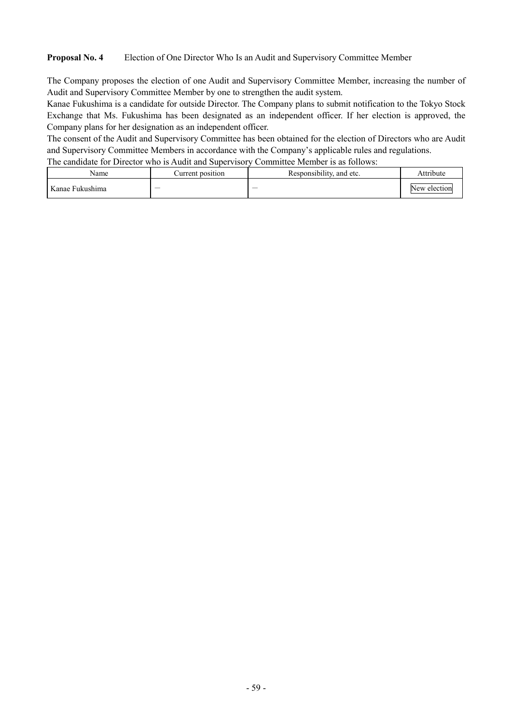**Proposal No. 4** Election of One Director Who Is an Audit and Supervisory Committee Member

The Company proposes the election of one Audit and Supervisory Committee Member, increasing the number of Audit and Supervisory Committee Member by one to strengthen the audit system.

Kanae Fukushima is a candidate for outside Director. The Company plans to submit notification to the Tokyo Stock Exchange that Ms. Fukushima has been designated as an independent officer. If her election is approved, the Company plans for her designation as an independent officer.

The consent of the Audit and Supervisory Committee has been obtained for the election of Directors who are Audit and Supervisory Committee Members in accordance with the Company's applicable rules and regulations.

The candidate for Director who is Audit and Supervisory Committee Member is as follows:

| Name        | Jurrent position | <br>Responsibility, and etc. | $^{\bullet}$<br>Attribute |
|-------------|------------------|------------------------------|---------------------------|
| Kanae,      |                  |                              | election                  |
| : Fukushima |                  | $\overline{\phantom{a}}$     | l ew                      |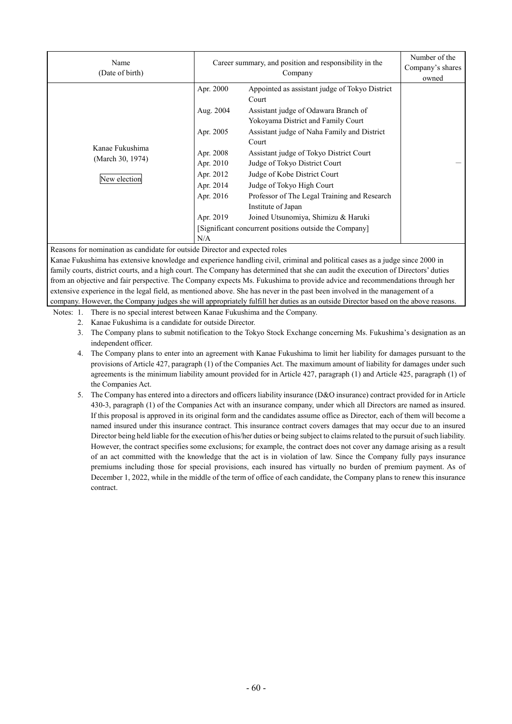| Name<br>(Date of birth)             | Career summary, and position and responsibility in the | Number of the<br>Company's shares<br>owned                                 |  |
|-------------------------------------|--------------------------------------------------------|----------------------------------------------------------------------------|--|
|                                     | Apr. 2000                                              | Appointed as assistant judge of Tokyo District<br>Court                    |  |
|                                     | Aug. 2004                                              | Assistant judge of Odawara Branch of<br>Yokoyama District and Family Court |  |
|                                     | Apr. 2005                                              | Assistant judge of Naha Family and District<br>Court                       |  |
| Kanae Fukushima<br>(March 30, 1974) | Apr. 2008<br>Apr. 2010                                 | Assistant judge of Tokyo District Court<br>Judge of Tokyo District Court   |  |
| New election                        | Apr. 2012                                              | Judge of Kobe District Court                                               |  |
|                                     | Apr. 2014                                              | Judge of Tokyo High Court                                                  |  |
|                                     | Apr. 2016                                              | Professor of The Legal Training and Research<br>Institute of Japan         |  |
|                                     | Apr. 2019                                              | Joined Utsunomiya, Shimizu & Haruki                                        |  |
|                                     | [Significant concurrent positions outside the Company] |                                                                            |  |
|                                     | N/A                                                    |                                                                            |  |

Reasons for nomination as candidate for outside Director and expected roles

Kanae Fukushima has extensive knowledge and experience handling civil, criminal and political cases as a judge since 2000 in family courts, district courts, and a high court. The Company has determined that she can audit the execution of Directors' duties from an objective and fair perspective. The Company expects Ms. Fukushima to provide advice and recommendations through her extensive experience in the legal field, as mentioned above. She has never in the past been involved in the management of a company. However, the Company judges she will appropriately fulfill her duties as an outside Director based on the above reasons.

- Notes: 1. There is no special interest between Kanae Fukushima and the Company.
	- 2. Kanae Fukushima is a candidate for outside Director.

3. The Company plans to submit notification to the Tokyo Stock Exchange concerning Ms. Fukushima's designation as an independent officer.

- 4. The Company plans to enter into an agreement with Kanae Fukushima to limit her liability for damages pursuant to the provisions of Article 427, paragraph (1) of the Companies Act. The maximum amount of liability for damages under such agreements is the minimum liability amount provided for in Article 427, paragraph (1) and Article 425, paragraph (1) of the Companies Act.
- 5. The Company has entered into a directors and officers liability insurance (D&O insurance) contract provided for in Article 430-3, paragraph (1) of the Companies Act with an insurance company, under which all Directors are named as insured. If this proposal is approved in its original form and the candidates assume office as Director, each of them will become a named insured under this insurance contract. This insurance contract covers damages that may occur due to an insured Director being held liable for the execution of his/her duties or being subject to claims related to the pursuit of such liability. However, the contract specifies some exclusions; for example, the contract does not cover any damage arising as a result of an act committed with the knowledge that the act is in violation of law. Since the Company fully pays insurance premiums including those for special provisions, each insured has virtually no burden of premium payment. As of December 1, 2022, while in the middle of the term of office of each candidate, the Company plans to renew this insurance contract.